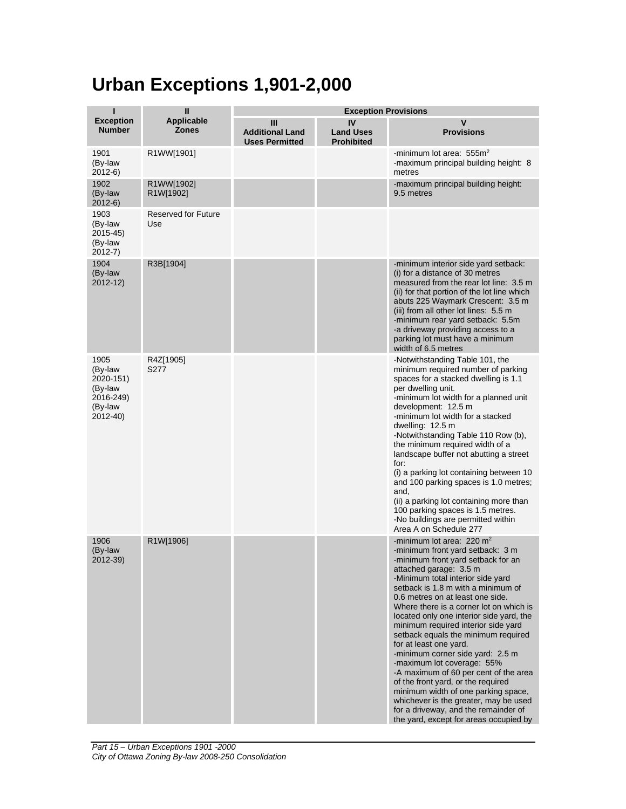## **Urban Exceptions 1,901-2,000**

| ī<br>$\mathbf{I}$                                                           |                                   |                                                      | <b>Exception Provisions</b>                 |                                                                                                                                                                                                                                                                                                                                                                                                                                                                                                                                                                                                                                                                                                                                                                           |
|-----------------------------------------------------------------------------|-----------------------------------|------------------------------------------------------|---------------------------------------------|---------------------------------------------------------------------------------------------------------------------------------------------------------------------------------------------------------------------------------------------------------------------------------------------------------------------------------------------------------------------------------------------------------------------------------------------------------------------------------------------------------------------------------------------------------------------------------------------------------------------------------------------------------------------------------------------------------------------------------------------------------------------------|
| <b>Exception</b><br><b>Number</b>                                           | <b>Applicable</b><br><b>Zones</b> | Ш<br><b>Additional Land</b><br><b>Uses Permitted</b> | IV<br><b>Land Uses</b><br><b>Prohibited</b> | $\mathsf{V}$<br><b>Provisions</b>                                                                                                                                                                                                                                                                                                                                                                                                                                                                                                                                                                                                                                                                                                                                         |
| 1901<br>(By-law<br>$2012-6$                                                 | R1WW[1901]                        |                                                      |                                             | -minimum lot area: $555m2$<br>-maximum principal building height: 8<br>metres                                                                                                                                                                                                                                                                                                                                                                                                                                                                                                                                                                                                                                                                                             |
| 1902<br>(By-law<br>$2012-6$                                                 | R1WW[1902]<br>R1W[1902]           |                                                      |                                             | -maximum principal building height:<br>9.5 metres                                                                                                                                                                                                                                                                                                                                                                                                                                                                                                                                                                                                                                                                                                                         |
| 1903<br>(By-law<br>$2015 - 45$<br>(By-law<br>$2012 - 7$ )                   | Reserved for Future<br>Use        |                                                      |                                             |                                                                                                                                                                                                                                                                                                                                                                                                                                                                                                                                                                                                                                                                                                                                                                           |
| 1904<br>(By-law<br>$2012 - 12$                                              | R3B[1904]                         |                                                      |                                             | -minimum interior side yard setback:<br>(i) for a distance of 30 metres<br>measured from the rear lot line: 3.5 m<br>(ii) for that portion of the lot line which<br>abuts 225 Waymark Crescent: 3.5 m<br>(iii) from all other lot lines: 5.5 m<br>-minimum rear yard setback: 5.5m<br>-a driveway providing access to a<br>parking lot must have a minimum<br>width of 6.5 metres                                                                                                                                                                                                                                                                                                                                                                                         |
| 1905<br>(By-law<br>2020-151)<br>(By-law<br>2016-249)<br>(By-law<br>2012-40) | R4Z[1905]<br>S277                 |                                                      |                                             | -Notwithstanding Table 101, the<br>minimum required number of parking<br>spaces for a stacked dwelling is 1.1<br>per dwelling unit.<br>-minimum lot width for a planned unit<br>development: 12.5 m<br>-minimum lot width for a stacked<br>dwelling: 12.5 m<br>-Notwithstanding Table 110 Row (b),<br>the minimum required width of a<br>landscape buffer not abutting a street<br>for:<br>(i) a parking lot containing between 10<br>and 100 parking spaces is 1.0 metres;<br>and,<br>(ii) a parking lot containing more than<br>100 parking spaces is 1.5 metres.<br>-No buildings are permitted within<br>Area A on Schedule 277                                                                                                                                       |
| 1906<br>(By-law<br>2012-39)                                                 | R1W[1906]                         |                                                      |                                             | -minimum lot area: $220 \text{ m}^2$<br>-minimum front yard setback: 3 m<br>-minimum front yard setback for an<br>attached garage: 3.5 m<br>-Minimum total interior side yard<br>setback is 1.8 m with a minimum of<br>0.6 metres on at least one side.<br>Where there is a corner lot on which is<br>located only one interior side yard, the<br>minimum required interior side yard<br>setback equals the minimum required<br>for at least one yard.<br>-minimum corner side yard: 2.5 m<br>-maximum lot coverage: 55%<br>-A maximum of 60 per cent of the area<br>of the front yard, or the required<br>minimum width of one parking space,<br>whichever is the greater, may be used<br>for a driveway, and the remainder of<br>the yard, except for areas occupied by |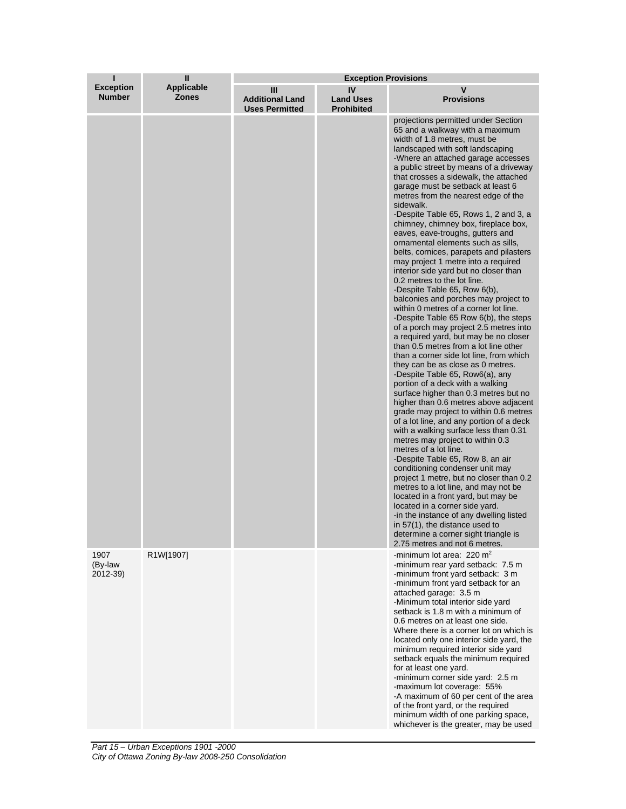| ı                                 | $\mathbf{I}$                      | <b>Exception Provisions</b>                          |                                             |                                                                                                                                                                                                                                                                                                                                                                                                                                                                                                                                                                                                                                                                                                                                                                                                                                                                                                                                                                                                                                                                                                                                                                                                                                                                                                                                                                                                                                                                                                                                                                                                                                                                                                                                                                                                       |  |
|-----------------------------------|-----------------------------------|------------------------------------------------------|---------------------------------------------|-------------------------------------------------------------------------------------------------------------------------------------------------------------------------------------------------------------------------------------------------------------------------------------------------------------------------------------------------------------------------------------------------------------------------------------------------------------------------------------------------------------------------------------------------------------------------------------------------------------------------------------------------------------------------------------------------------------------------------------------------------------------------------------------------------------------------------------------------------------------------------------------------------------------------------------------------------------------------------------------------------------------------------------------------------------------------------------------------------------------------------------------------------------------------------------------------------------------------------------------------------------------------------------------------------------------------------------------------------------------------------------------------------------------------------------------------------------------------------------------------------------------------------------------------------------------------------------------------------------------------------------------------------------------------------------------------------------------------------------------------------------------------------------------------------|--|
| <b>Exception</b><br><b>Number</b> | <b>Applicable</b><br><b>Zones</b> | Ш<br><b>Additional Land</b><br><b>Uses Permitted</b> | IV<br><b>Land Uses</b><br><b>Prohibited</b> | v<br><b>Provisions</b>                                                                                                                                                                                                                                                                                                                                                                                                                                                                                                                                                                                                                                                                                                                                                                                                                                                                                                                                                                                                                                                                                                                                                                                                                                                                                                                                                                                                                                                                                                                                                                                                                                                                                                                                                                                |  |
|                                   |                                   |                                                      |                                             | projections permitted under Section<br>65 and a walkway with a maximum<br>width of 1.8 metres, must be<br>landscaped with soft landscaping<br>-Where an attached garage accesses<br>a public street by means of a driveway<br>that crosses a sidewalk, the attached<br>garage must be setback at least 6<br>metres from the nearest edge of the<br>sidewalk.<br>-Despite Table 65, Rows 1, 2 and 3, a<br>chimney, chimney box, fireplace box,<br>eaves, eave-troughs, gutters and<br>ornamental elements such as sills,<br>belts, cornices, parapets and pilasters<br>may project 1 metre into a required<br>interior side yard but no closer than<br>0.2 metres to the lot line.<br>-Despite Table 65, Row 6(b),<br>balconies and porches may project to<br>within 0 metres of a corner lot line.<br>-Despite Table 65 Row 6(b), the steps<br>of a porch may project 2.5 metres into<br>a required yard, but may be no closer<br>than 0.5 metres from a lot line other<br>than a corner side lot line, from which<br>they can be as close as 0 metres.<br>-Despite Table 65, Row6(a), any<br>portion of a deck with a walking<br>surface higher than 0.3 metres but no<br>higher than 0.6 metres above adjacent<br>grade may project to within 0.6 metres<br>of a lot line, and any portion of a deck<br>with a walking surface less than 0.31<br>metres may project to within 0.3<br>metres of a lot line.<br>-Despite Table 65, Row 8, an air<br>conditioning condenser unit may<br>project 1 metre, but no closer than 0.2<br>metres to a lot line, and may not be<br>located in a front yard, but may be<br>located in a corner side yard.<br>-in the instance of any dwelling listed<br>in 57(1), the distance used to<br>determine a corner sight triangle is<br>2.75 metres and not 6 metres. |  |
| 1907<br>(By-law<br>2012-39)       | R1W[1907]                         |                                                      |                                             | -minimum lot area: 220 m <sup>2</sup><br>-minimum rear yard setback: 7.5 m<br>-minimum front yard setback: 3 m<br>-minimum front yard setback for an<br>attached garage: 3.5 m<br>-Minimum total interior side yard<br>setback is 1.8 m with a minimum of<br>0.6 metres on at least one side.<br>Where there is a corner lot on which is<br>located only one interior side yard, the<br>minimum required interior side yard<br>setback equals the minimum required<br>for at least one yard.<br>-minimum corner side yard: 2.5 m<br>-maximum lot coverage: 55%<br>-A maximum of 60 per cent of the area<br>of the front yard, or the required<br>minimum width of one parking space,<br>whichever is the greater, may be used                                                                                                                                                                                                                                                                                                                                                                                                                                                                                                                                                                                                                                                                                                                                                                                                                                                                                                                                                                                                                                                                         |  |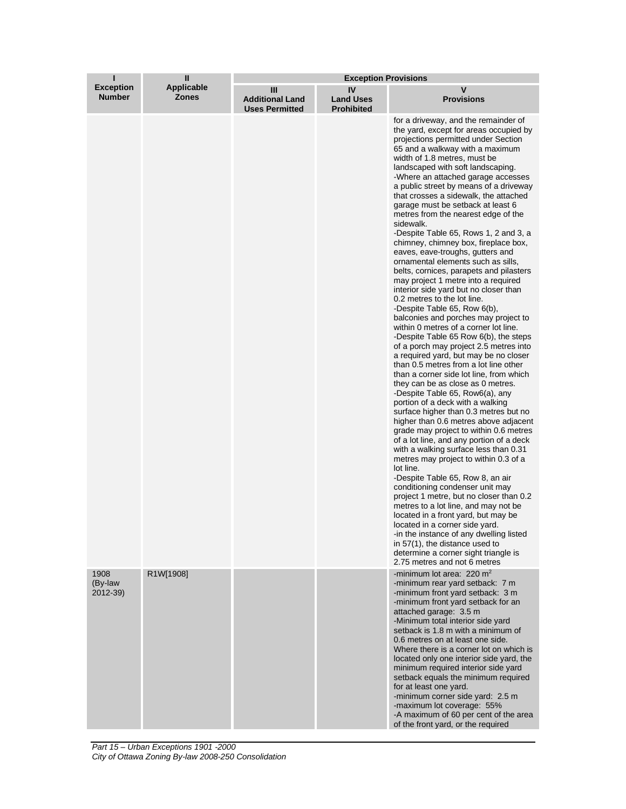| ī                                 | $\mathbf{I}$                      | <b>Exception Provisions</b>                          |                                             |                                                                                                                                                                                                                                                                                                                                                                                                                                                                                                                                                                                                                                                                                                                                                                                                                                                                                                                                                                                                                                                                                                                                                                                                                                                                                                                                                                                                                                                                                                                                                                                                                                                                                                                                                                                                                                                                                  |  |
|-----------------------------------|-----------------------------------|------------------------------------------------------|---------------------------------------------|----------------------------------------------------------------------------------------------------------------------------------------------------------------------------------------------------------------------------------------------------------------------------------------------------------------------------------------------------------------------------------------------------------------------------------------------------------------------------------------------------------------------------------------------------------------------------------------------------------------------------------------------------------------------------------------------------------------------------------------------------------------------------------------------------------------------------------------------------------------------------------------------------------------------------------------------------------------------------------------------------------------------------------------------------------------------------------------------------------------------------------------------------------------------------------------------------------------------------------------------------------------------------------------------------------------------------------------------------------------------------------------------------------------------------------------------------------------------------------------------------------------------------------------------------------------------------------------------------------------------------------------------------------------------------------------------------------------------------------------------------------------------------------------------------------------------------------------------------------------------------------|--|
| <b>Exception</b><br><b>Number</b> | <b>Applicable</b><br><b>Zones</b> | Ш<br><b>Additional Land</b><br><b>Uses Permitted</b> | IV<br><b>Land Uses</b><br><b>Prohibited</b> | v<br><b>Provisions</b>                                                                                                                                                                                                                                                                                                                                                                                                                                                                                                                                                                                                                                                                                                                                                                                                                                                                                                                                                                                                                                                                                                                                                                                                                                                                                                                                                                                                                                                                                                                                                                                                                                                                                                                                                                                                                                                           |  |
|                                   |                                   |                                                      |                                             | for a driveway, and the remainder of<br>the yard, except for areas occupied by<br>projections permitted under Section<br>65 and a walkway with a maximum<br>width of 1.8 metres, must be<br>landscaped with soft landscaping.<br>-Where an attached garage accesses<br>a public street by means of a driveway<br>that crosses a sidewalk, the attached<br>garage must be setback at least 6<br>metres from the nearest edge of the<br>sidewalk.<br>-Despite Table 65, Rows 1, 2 and 3, a<br>chimney, chimney box, fireplace box,<br>eaves, eave-troughs, gutters and<br>ornamental elements such as sills,<br>belts, cornices, parapets and pilasters<br>may project 1 metre into a required<br>interior side yard but no closer than<br>0.2 metres to the lot line.<br>-Despite Table 65, Row 6(b),<br>balconies and porches may project to<br>within 0 metres of a corner lot line.<br>-Despite Table 65 Row 6(b), the steps<br>of a porch may project 2.5 metres into<br>a required yard, but may be no closer<br>than 0.5 metres from a lot line other<br>than a corner side lot line, from which<br>they can be as close as 0 metres.<br>-Despite Table 65, Row6(a), any<br>portion of a deck with a walking<br>surface higher than 0.3 metres but no<br>higher than 0.6 metres above adjacent<br>grade may project to within 0.6 metres<br>of a lot line, and any portion of a deck<br>with a walking surface less than 0.31<br>metres may project to within 0.3 of a<br>lot line.<br>-Despite Table 65, Row 8, an air<br>conditioning condenser unit may<br>project 1 metre, but no closer than 0.2<br>metres to a lot line, and may not be<br>located in a front yard, but may be<br>located in a corner side yard.<br>-in the instance of any dwelling listed<br>in 57(1), the distance used to<br>determine a corner sight triangle is<br>2.75 metres and not 6 metres |  |
| 1908<br>(By-law<br>2012-39)       | R1W[1908]                         |                                                      |                                             | -minimum lot area: $220 \text{ m}^2$<br>-minimum rear yard setback: 7 m<br>-minimum front yard setback: 3 m<br>-minimum front yard setback for an<br>attached garage: 3.5 m<br>-Minimum total interior side yard<br>setback is 1.8 m with a minimum of<br>0.6 metres on at least one side.<br>Where there is a corner lot on which is<br>located only one interior side yard, the<br>minimum required interior side yard<br>setback equals the minimum required<br>for at least one yard.<br>-minimum corner side yard: 2.5 m<br>-maximum lot coverage: 55%<br>-A maximum of 60 per cent of the area<br>of the front yard, or the required                                                                                                                                                                                                                                                                                                                                                                                                                                                                                                                                                                                                                                                                                                                                                                                                                                                                                                                                                                                                                                                                                                                                                                                                                                       |  |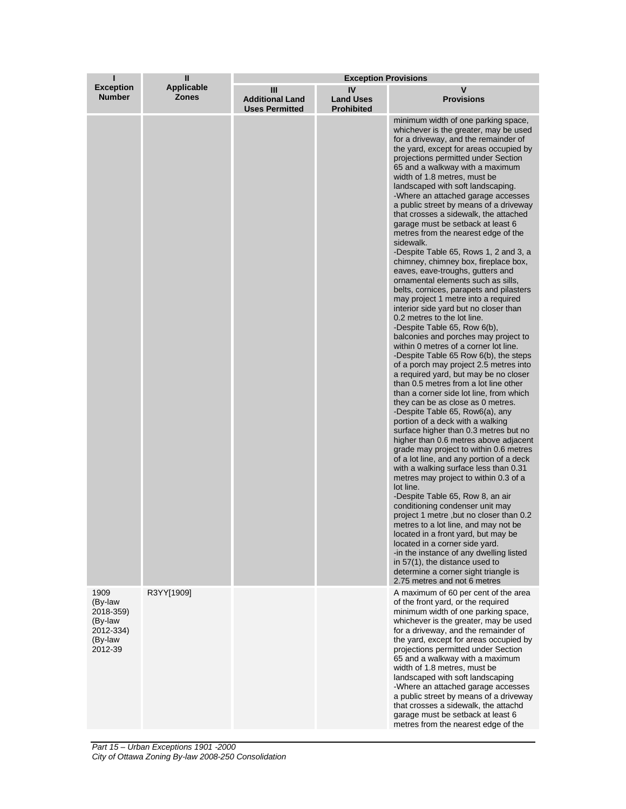| ı                                                                          | $\mathbf{I}$               | <b>Exception Provisions</b>                          |                                             |                                                                                                                                                                                                                                                                                                                                                                                                                                                                                                                                                                                                                                                                                                                                                                                                                                                                                                                                                                                                                                                                                                                                                                                                                                                                                                                                                                                                                                                                                                                                                                                                                                                                                                                                                                                                                                                                                                                                                                  |  |
|----------------------------------------------------------------------------|----------------------------|------------------------------------------------------|---------------------------------------------|------------------------------------------------------------------------------------------------------------------------------------------------------------------------------------------------------------------------------------------------------------------------------------------------------------------------------------------------------------------------------------------------------------------------------------------------------------------------------------------------------------------------------------------------------------------------------------------------------------------------------------------------------------------------------------------------------------------------------------------------------------------------------------------------------------------------------------------------------------------------------------------------------------------------------------------------------------------------------------------------------------------------------------------------------------------------------------------------------------------------------------------------------------------------------------------------------------------------------------------------------------------------------------------------------------------------------------------------------------------------------------------------------------------------------------------------------------------------------------------------------------------------------------------------------------------------------------------------------------------------------------------------------------------------------------------------------------------------------------------------------------------------------------------------------------------------------------------------------------------------------------------------------------------------------------------------------------------|--|
| <b>Exception</b><br><b>Number</b>                                          | Applicable<br><b>Zones</b> | Ш<br><b>Additional Land</b><br><b>Uses Permitted</b> | IV<br><b>Land Uses</b><br><b>Prohibited</b> | v<br><b>Provisions</b>                                                                                                                                                                                                                                                                                                                                                                                                                                                                                                                                                                                                                                                                                                                                                                                                                                                                                                                                                                                                                                                                                                                                                                                                                                                                                                                                                                                                                                                                                                                                                                                                                                                                                                                                                                                                                                                                                                                                           |  |
|                                                                            |                            |                                                      |                                             | minimum width of one parking space,<br>whichever is the greater, may be used<br>for a driveway, and the remainder of<br>the yard, except for areas occupied by<br>projections permitted under Section<br>65 and a walkway with a maximum<br>width of 1.8 metres, must be<br>landscaped with soft landscaping.<br>-Where an attached garage accesses<br>a public street by means of a driveway<br>that crosses a sidewalk, the attached<br>garage must be setback at least 6<br>metres from the nearest edge of the<br>sidewalk.<br>-Despite Table 65, Rows 1, 2 and 3, a<br>chimney, chimney box, fireplace box,<br>eaves, eave-troughs, gutters and<br>ornamental elements such as sills,<br>belts, cornices, parapets and pilasters<br>may project 1 metre into a required<br>interior side yard but no closer than<br>0.2 metres to the lot line.<br>-Despite Table 65, Row 6(b),<br>balconies and porches may project to<br>within 0 metres of a corner lot line.<br>-Despite Table 65 Row 6(b), the steps<br>of a porch may project 2.5 metres into<br>a required yard, but may be no closer<br>than 0.5 metres from a lot line other<br>than a corner side lot line, from which<br>they can be as close as 0 metres.<br>-Despite Table 65, Row6(a), any<br>portion of a deck with a walking<br>surface higher than 0.3 metres but no<br>higher than 0.6 metres above adjacent<br>grade may project to within 0.6 metres<br>of a lot line, and any portion of a deck<br>with a walking surface less than 0.31<br>metres may project to within 0.3 of a<br>lot line.<br>-Despite Table 65, Row 8, an air<br>conditioning condenser unit may<br>project 1 metre, but no closer than 0.2<br>metres to a lot line, and may not be<br>located in a front yard, but may be<br>located in a corner side yard.<br>-in the instance of any dwelling listed<br>in 57(1), the distance used to<br>determine a corner sight triangle is<br>2.75 metres and not 6 metres |  |
| 1909<br>(By-law<br>2018-359)<br>(By-law<br>2012-334)<br>(By-law<br>2012-39 | R3YY[1909]                 |                                                      |                                             | A maximum of 60 per cent of the area<br>of the front yard, or the required<br>minimum width of one parking space,<br>whichever is the greater, may be used<br>for a driveway, and the remainder of<br>the yard, except for areas occupied by<br>projections permitted under Section<br>65 and a walkway with a maximum<br>width of 1.8 metres, must be<br>landscaped with soft landscaping<br>-Where an attached garage accesses<br>a public street by means of a driveway<br>that crosses a sidewalk, the attachd<br>garage must be setback at least 6<br>metres from the nearest edge of the                                                                                                                                                                                                                                                                                                                                                                                                                                                                                                                                                                                                                                                                                                                                                                                                                                                                                                                                                                                                                                                                                                                                                                                                                                                                                                                                                                   |  |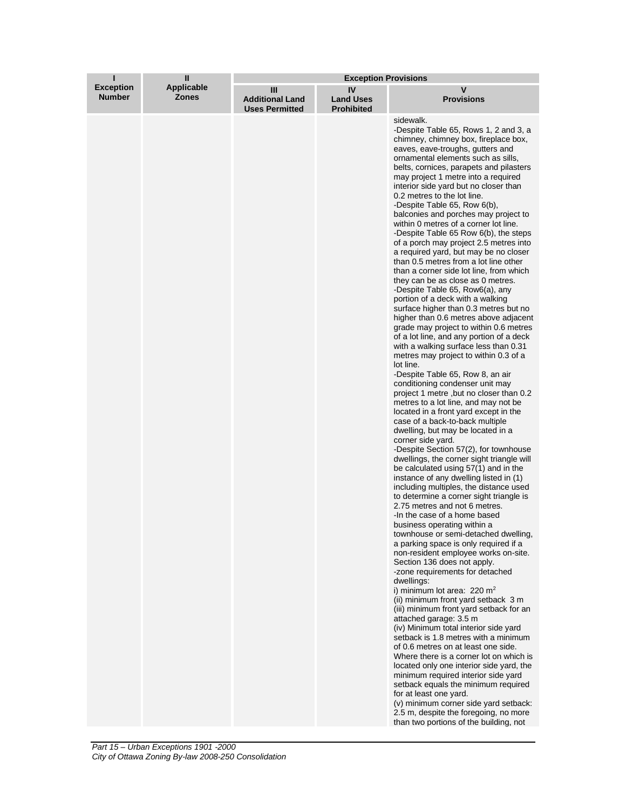| ı                                 | Ш                                 | <b>Exception Provisions</b>                          |                                             |                                                                                                                                                                                                                                                                                                                                                                                                                                                                                                                                                                                                                                                                                                                                                                                                                                                                                                                                                                                                                                                                                                                                                                                                                                                                                                                                                                                                                                                                                                                                                                                                                                                                                                                                                                                                                                                                                                                                                                                                                                                                                                                                                                                                                                                                                                                                                                                                                                                                                                                                    |
|-----------------------------------|-----------------------------------|------------------------------------------------------|---------------------------------------------|------------------------------------------------------------------------------------------------------------------------------------------------------------------------------------------------------------------------------------------------------------------------------------------------------------------------------------------------------------------------------------------------------------------------------------------------------------------------------------------------------------------------------------------------------------------------------------------------------------------------------------------------------------------------------------------------------------------------------------------------------------------------------------------------------------------------------------------------------------------------------------------------------------------------------------------------------------------------------------------------------------------------------------------------------------------------------------------------------------------------------------------------------------------------------------------------------------------------------------------------------------------------------------------------------------------------------------------------------------------------------------------------------------------------------------------------------------------------------------------------------------------------------------------------------------------------------------------------------------------------------------------------------------------------------------------------------------------------------------------------------------------------------------------------------------------------------------------------------------------------------------------------------------------------------------------------------------------------------------------------------------------------------------------------------------------------------------------------------------------------------------------------------------------------------------------------------------------------------------------------------------------------------------------------------------------------------------------------------------------------------------------------------------------------------------------------------------------------------------------------------------------------------------|
| <b>Exception</b><br><b>Number</b> | <b>Applicable</b><br><b>Zones</b> | Ш<br><b>Additional Land</b><br><b>Uses Permitted</b> | IV<br><b>Land Uses</b><br><b>Prohibited</b> | V<br><b>Provisions</b>                                                                                                                                                                                                                                                                                                                                                                                                                                                                                                                                                                                                                                                                                                                                                                                                                                                                                                                                                                                                                                                                                                                                                                                                                                                                                                                                                                                                                                                                                                                                                                                                                                                                                                                                                                                                                                                                                                                                                                                                                                                                                                                                                                                                                                                                                                                                                                                                                                                                                                             |
|                                   |                                   |                                                      |                                             | sidewalk.<br>-Despite Table 65, Rows 1, 2 and 3, a<br>chimney, chimney box, fireplace box,<br>eaves, eave-troughs, gutters and<br>ornamental elements such as sills,<br>belts, cornices, parapets and pilasters<br>may project 1 metre into a required<br>interior side yard but no closer than<br>0.2 metres to the lot line.<br>-Despite Table 65, Row 6(b),<br>balconies and porches may project to<br>within 0 metres of a corner lot line.<br>-Despite Table 65 Row 6(b), the steps<br>of a porch may project 2.5 metres into<br>a required yard, but may be no closer<br>than 0.5 metres from a lot line other<br>than a corner side lot line, from which<br>they can be as close as 0 metres.<br>-Despite Table 65, Row6(a), any<br>portion of a deck with a walking<br>surface higher than 0.3 metres but no<br>higher than 0.6 metres above adjacent<br>grade may project to within 0.6 metres<br>of a lot line, and any portion of a deck<br>with a walking surface less than 0.31<br>metres may project to within 0.3 of a<br>lot line.<br>-Despite Table 65, Row 8, an air<br>conditioning condenser unit may<br>project 1 metre , but no closer than 0.2<br>metres to a lot line, and may not be<br>located in a front yard except in the<br>case of a back-to-back multiple<br>dwelling, but may be located in a<br>corner side yard.<br>-Despite Section 57(2), for townhouse<br>dwellings, the corner sight triangle will<br>be calculated using 57(1) and in the<br>instance of any dwelling listed in (1)<br>including multiples, the distance used<br>to determine a corner sight triangle is<br>2.75 metres and not 6 metres.<br>-In the case of a home based<br>business operating within a<br>townhouse or semi-detached dwelling,<br>a parking space is only required if a<br>non-resident employee works on-site.<br>Section 136 does not apply.<br>-zone requirements for detached<br>dwellings:<br>i) minimum lot area: $220 \text{ m}^2$<br>(ii) minimum front yard setback 3 m<br>(iii) minimum front yard setback for an<br>attached garage: 3.5 m<br>(iv) Minimum total interior side yard<br>setback is 1.8 metres with a minimum<br>of 0.6 metres on at least one side.<br>Where there is a corner lot on which is<br>located only one interior side yard, the<br>minimum required interior side yard<br>setback equals the minimum required<br>for at least one yard.<br>(v) minimum corner side yard setback:<br>2.5 m, despite the foregoing, no more<br>than two portions of the building, not |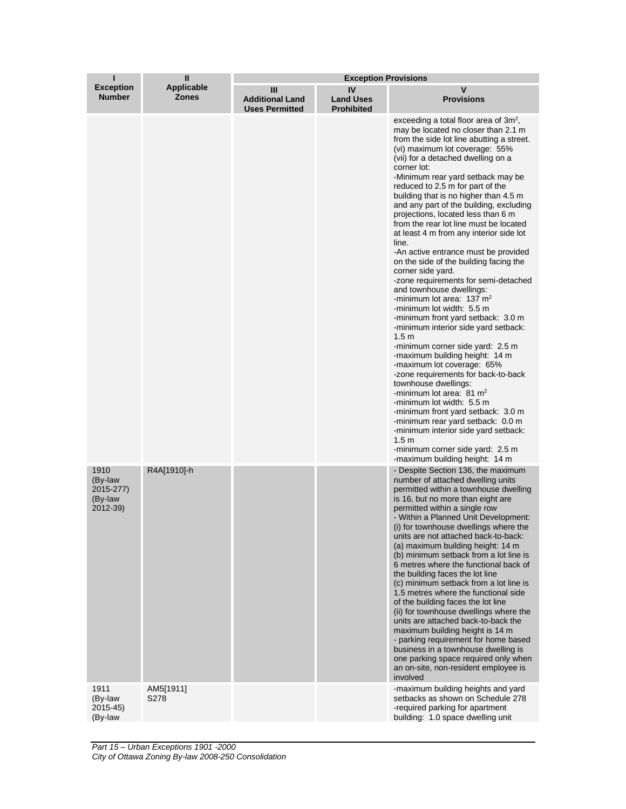| ı                                                   | Ш                          | <b>Exception Provisions</b>                          |                                             |                                                                                                                                                                                                                                                                                                                                                                                                                                                                                                                                                                                                                                                                                                                                                                                                                                                                                                                                                                                                                                                                                                                                                                                                                                                                                                                            |
|-----------------------------------------------------|----------------------------|------------------------------------------------------|---------------------------------------------|----------------------------------------------------------------------------------------------------------------------------------------------------------------------------------------------------------------------------------------------------------------------------------------------------------------------------------------------------------------------------------------------------------------------------------------------------------------------------------------------------------------------------------------------------------------------------------------------------------------------------------------------------------------------------------------------------------------------------------------------------------------------------------------------------------------------------------------------------------------------------------------------------------------------------------------------------------------------------------------------------------------------------------------------------------------------------------------------------------------------------------------------------------------------------------------------------------------------------------------------------------------------------------------------------------------------------|
| <b>Exception</b><br><b>Number</b>                   | Applicable<br><b>Zones</b> | Ш<br><b>Additional Land</b><br><b>Uses Permitted</b> | IV<br><b>Land Uses</b><br><b>Prohibited</b> | v<br><b>Provisions</b>                                                                                                                                                                                                                                                                                                                                                                                                                                                                                                                                                                                                                                                                                                                                                                                                                                                                                                                                                                                                                                                                                                                                                                                                                                                                                                     |
|                                                     |                            |                                                      |                                             | exceeding a total floor area of $3m^2$ ,<br>may be located no closer than 2.1 m<br>from the side lot line abutting a street.<br>(vi) maximum lot coverage: 55%<br>(vii) for a detached dwelling on a<br>corner lot:<br>-Minimum rear yard setback may be<br>reduced to 2.5 m for part of the<br>building that is no higher than 4.5 m<br>and any part of the building, excluding<br>projections, located less than 6 m<br>from the rear lot line must be located<br>at least 4 m from any interior side lot<br>line.<br>-An active entrance must be provided<br>on the side of the building facing the<br>corner side yard.<br>-zone requirements for semi-detached<br>and townhouse dwellings:<br>-minimum lot area: $137 \text{ m}^2$<br>-minimum lot width: 5.5 m<br>-minimum front yard setback: 3.0 m<br>-minimum interior side yard setback:<br>1.5 <sub>m</sub><br>-minimum corner side yard: 2.5 m<br>-maximum building height: 14 m<br>-maximum lot coverage: 65%<br>-zone requirements for back-to-back<br>townhouse dwellings:<br>-minimum lot area: $81 \text{ m}^2$<br>-minimum lot width: 5.5 m<br>-minimum front yard setback: 3.0 m<br>-minimum rear yard setback: 0.0 m<br>-minimum interior side yard setback:<br>1.5 <sub>m</sub><br>-minimum corner side yard: 2.5 m<br>-maximum building height: 14 m |
| 1910<br>(By-law<br>2015-277)<br>(By-law<br>2012-39) | R4A[1910]-h                |                                                      |                                             | - Despite Section 136, the maximum<br>number of attached dwelling units<br>permitted within a townhouse dwelling<br>is 16, but no more than eight are<br>permitted within a single row<br>- Within a Planned Unit Development:<br>(i) for townhouse dwellings where the<br>units are not attached back-to-back:<br>(a) maximum building height: 14 m<br>(b) minimum setback from a lot line is<br>6 metres where the functional back of<br>the building faces the lot line<br>(c) minimum setback from a lot line is<br>1.5 metres where the functional side<br>of the building faces the lot line<br>(ii) for townhouse dwellings where the<br>units are attached back-to-back the<br>maximum building height is 14 m<br>- parking requirement for home based<br>business in a townhouse dwelling is<br>one parking space required only when<br>an on-site, non-resident employee is<br>involved                                                                                                                                                                                                                                                                                                                                                                                                                          |
| 1911<br>(By-law<br>2015-45)<br>(By-law              | AM5[1911]<br>S278          |                                                      |                                             | -maximum building heights and yard<br>setbacks as shown on Schedule 278<br>-required parking for apartment<br>building: 1.0 space dwelling unit                                                                                                                                                                                                                                                                                                                                                                                                                                                                                                                                                                                                                                                                                                                                                                                                                                                                                                                                                                                                                                                                                                                                                                            |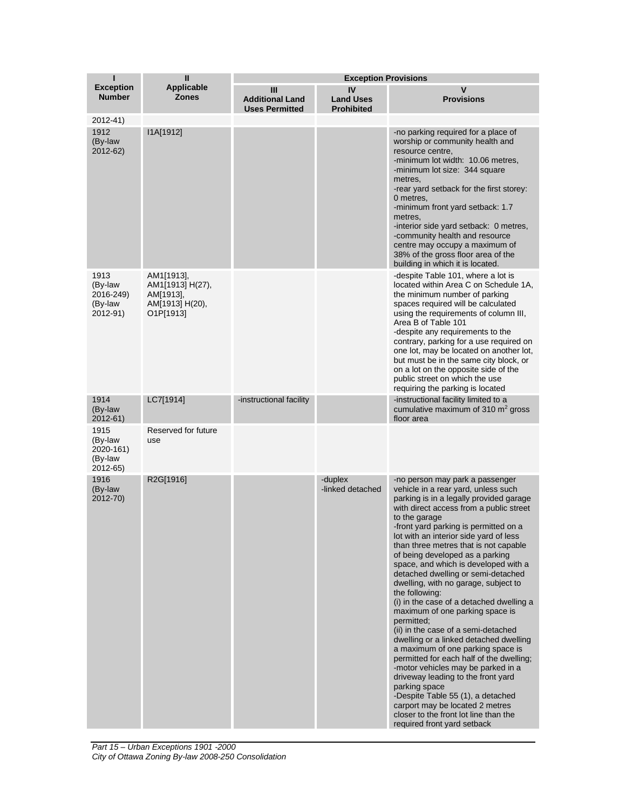| ī                                                   | $\mathbf{I}$                                                                             | <b>Exception Provisions</b>                          |                                             |                                                                                                                                                                                                                                                                                                                                                                                                                                                                                                                                                                                                                                                                                                                                                                                                                                                                                                                                                                                                  |
|-----------------------------------------------------|------------------------------------------------------------------------------------------|------------------------------------------------------|---------------------------------------------|--------------------------------------------------------------------------------------------------------------------------------------------------------------------------------------------------------------------------------------------------------------------------------------------------------------------------------------------------------------------------------------------------------------------------------------------------------------------------------------------------------------------------------------------------------------------------------------------------------------------------------------------------------------------------------------------------------------------------------------------------------------------------------------------------------------------------------------------------------------------------------------------------------------------------------------------------------------------------------------------------|
| <b>Exception</b><br><b>Number</b>                   | <b>Applicable</b><br><b>Zones</b>                                                        | Ш<br><b>Additional Land</b><br><b>Uses Permitted</b> | IV<br><b>Land Uses</b><br><b>Prohibited</b> | V<br><b>Provisions</b>                                                                                                                                                                                                                                                                                                                                                                                                                                                                                                                                                                                                                                                                                                                                                                                                                                                                                                                                                                           |
| $2012 - 41$<br>1912<br>(By-law<br>2012-62)          | I1A[1912]                                                                                |                                                      |                                             | -no parking required for a place of<br>worship or community health and<br>resource centre,                                                                                                                                                                                                                                                                                                                                                                                                                                                                                                                                                                                                                                                                                                                                                                                                                                                                                                       |
|                                                     |                                                                                          |                                                      |                                             | -minimum lot width: 10.06 metres,<br>-minimum lot size: 344 square<br>metres,<br>-rear yard setback for the first storey:<br>0 metres,<br>-minimum front yard setback: 1.7<br>metres,<br>-interior side yard setback: 0 metres,<br>-community health and resource<br>centre may occupy a maximum of<br>38% of the gross floor area of the<br>building in which it is located.                                                                                                                                                                                                                                                                                                                                                                                                                                                                                                                                                                                                                    |
| 1913<br>(By-law<br>2016-249)<br>(By-law<br>2012-91) | AM1[1913],<br>AM1[1913] H(27),<br>AM[1913],<br>AM[1913] H(20),<br>O <sub>1</sub> P[1913] |                                                      |                                             | -despite Table 101, where a lot is<br>located within Area C on Schedule 1A,<br>the minimum number of parking<br>spaces required will be calculated<br>using the requirements of column III,<br>Area B of Table 101<br>-despite any requirements to the<br>contrary, parking for a use required on<br>one lot, may be located on another lot,<br>but must be in the same city block, or<br>on a lot on the opposite side of the<br>public street on which the use<br>requiring the parking is located                                                                                                                                                                                                                                                                                                                                                                                                                                                                                             |
| 1914<br>(By-law<br>2012-61)                         | LC7[1914]                                                                                | -instructional facility                              |                                             | -instructional facility limited to a<br>cumulative maximum of 310 $\mathrm{m}^2$ gross<br>floor area                                                                                                                                                                                                                                                                                                                                                                                                                                                                                                                                                                                                                                                                                                                                                                                                                                                                                             |
| 1915<br>(By-law<br>2020-161)<br>(By-law<br>2012-65) | Reserved for future<br>use                                                               |                                                      |                                             |                                                                                                                                                                                                                                                                                                                                                                                                                                                                                                                                                                                                                                                                                                                                                                                                                                                                                                                                                                                                  |
| 1916<br>(By-law<br>2012-70)                         | R2G[1916]                                                                                |                                                      | -duplex<br>-linked detached                 | -no person may park a passenger<br>vehicle in a rear yard, unless such<br>parking is in a legally provided garage<br>with direct access from a public street<br>to the garage<br>-front yard parking is permitted on a<br>lot with an interior side yard of less<br>than three metres that is not capable<br>of being developed as a parking<br>space, and which is developed with a<br>detached dwelling or semi-detached<br>dwelling, with no garage, subject to<br>the following:<br>(i) in the case of a detached dwelling a<br>maximum of one parking space is<br>permitted;<br>(ii) in the case of a semi-detached<br>dwelling or a linked detached dwelling<br>a maximum of one parking space is<br>permitted for each half of the dwelling;<br>-motor vehicles may be parked in a<br>driveway leading to the front yard<br>parking space<br>-Despite Table 55 (1), a detached<br>carport may be located 2 metres<br>closer to the front lot line than the<br>required front yard setback |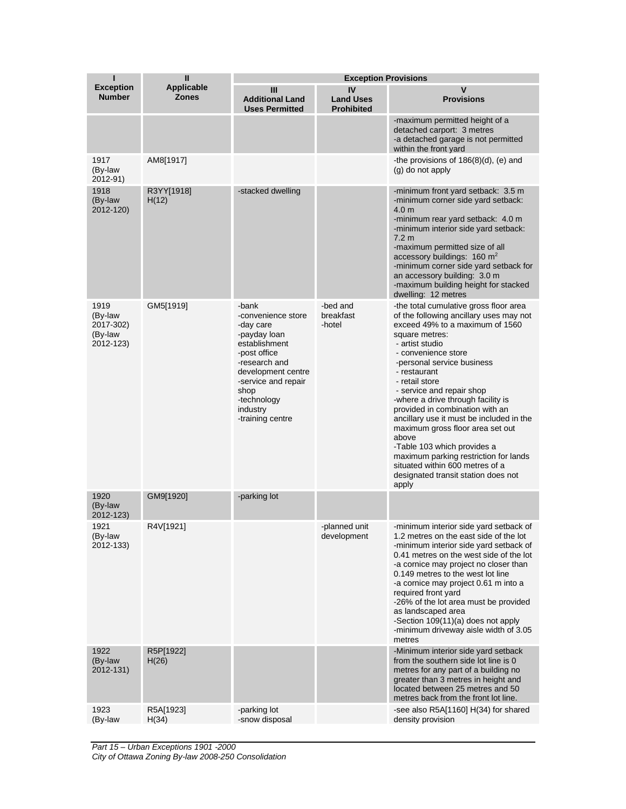| ı                                                    | $\mathbf{I}$                      |                                                                                                                                                                                                                | <b>Exception Provisions</b>                 |                                                                                                                                                                                                                                                                                                                                                                                                                                                                                                                                                                                                            |
|------------------------------------------------------|-----------------------------------|----------------------------------------------------------------------------------------------------------------------------------------------------------------------------------------------------------------|---------------------------------------------|------------------------------------------------------------------------------------------------------------------------------------------------------------------------------------------------------------------------------------------------------------------------------------------------------------------------------------------------------------------------------------------------------------------------------------------------------------------------------------------------------------------------------------------------------------------------------------------------------------|
| <b>Exception</b><br><b>Number</b>                    | <b>Applicable</b><br><b>Zones</b> | Ш<br><b>Additional Land</b><br><b>Uses Permitted</b>                                                                                                                                                           | IV<br><b>Land Uses</b><br><b>Prohibited</b> | v<br><b>Provisions</b>                                                                                                                                                                                                                                                                                                                                                                                                                                                                                                                                                                                     |
|                                                      |                                   |                                                                                                                                                                                                                |                                             | -maximum permitted height of a<br>detached carport: 3 metres<br>-a detached garage is not permitted<br>within the front yard                                                                                                                                                                                                                                                                                                                                                                                                                                                                               |
| 1917<br>(By-law<br>2012-91)                          | AM8[1917]                         |                                                                                                                                                                                                                |                                             | -the provisions of $186(8)(d)$ , (e) and<br>(g) do not apply                                                                                                                                                                                                                                                                                                                                                                                                                                                                                                                                               |
| 1918<br>(By-law<br>2012-120)                         | R3YY[1918]<br>H(12)               | -stacked dwelling                                                                                                                                                                                              |                                             | -minimum front yard setback: 3.5 m<br>-minimum corner side yard setback:<br>4.0 <sub>m</sub><br>-minimum rear yard setback: 4.0 m<br>-minimum interior side yard setback:<br>7.2 <sub>m</sub><br>-maximum permitted size of all<br>accessory buildings: 160 m <sup>2</sup><br>-minimum corner side yard setback for<br>an accessory building: 3.0 m<br>-maximum building height for stacked<br>dwelling: 12 metres                                                                                                                                                                                         |
| 1919<br>(By-law<br>2017-302)<br>(By-law<br>2012-123) | GM5[1919]                         | -bank<br>-convenience store<br>-day care<br>-payday loan<br>establishment<br>-post office<br>-research and<br>development centre<br>-service and repair<br>shop<br>-technology<br>industry<br>-training centre | -bed and<br>breakfast<br>-hotel             | -the total cumulative gross floor area<br>of the following ancillary uses may not<br>exceed 49% to a maximum of 1560<br>square metres:<br>- artist studio<br>- convenience store<br>-personal service business<br>- restaurant<br>- retail store<br>- service and repair shop<br>-where a drive through facility is<br>provided in combination with an<br>ancillary use it must be included in the<br>maximum gross floor area set out<br>above<br>-Table 103 which provides a<br>maximum parking restriction for lands<br>situated within 600 metres of a<br>designated transit station does not<br>apply |
| 1920<br>(By-law<br>2012-123)                         | GM9[1920]                         | -parking lot                                                                                                                                                                                                   |                                             |                                                                                                                                                                                                                                                                                                                                                                                                                                                                                                                                                                                                            |
| 1921<br>(By-law<br>2012-133)                         | R4V[1921]                         |                                                                                                                                                                                                                | -planned unit<br>development                | -minimum interior side yard setback of<br>1.2 metres on the east side of the lot<br>-minimum interior side yard setback of<br>0.41 metres on the west side of the lot<br>-a cornice may project no closer than<br>0.149 metres to the west lot line<br>-a cornice may project 0.61 m into a<br>required front yard<br>-26% of the lot area must be provided<br>as landscaped area<br>-Section 109(11)(a) does not apply<br>-minimum driveway aisle width of 3.05<br>metres                                                                                                                                 |
| 1922<br>(By-law<br>2012-131)                         | R5P[1922]<br>H(26)                |                                                                                                                                                                                                                |                                             | -Minimum interior side yard setback<br>from the southern side lot line is 0<br>metres for any part of a building no<br>greater than 3 metres in height and<br>located between 25 metres and 50<br>metres back from the front lot line.                                                                                                                                                                                                                                                                                                                                                                     |
| 1923<br>(By-law                                      | R5A[1923]<br>H(34)                | -parking lot<br>-snow disposal                                                                                                                                                                                 |                                             | -see also R5A[1160] H(34) for shared<br>density provision                                                                                                                                                                                                                                                                                                                                                                                                                                                                                                                                                  |

*Part 15 – Urban Exceptions 1901 -2000 City of Ottawa Zoning By-law 2008-250 Consolidation*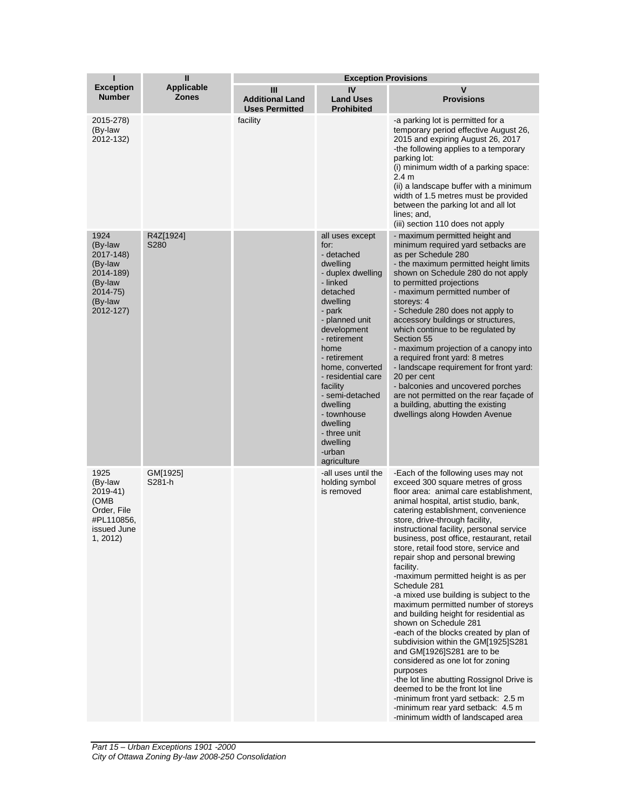| ī                                                                                                   | $\mathbf{I}$               | <b>Exception Provisions</b>                          |                                                                                                                                                                                                                                                                                                                                                                   |                                                                                                                                                                                                                                                                                                                                                                                                                                                                                                                                                                                                                                                                                                                                                                                                                                                                                                                                                                                                    |
|-----------------------------------------------------------------------------------------------------|----------------------------|------------------------------------------------------|-------------------------------------------------------------------------------------------------------------------------------------------------------------------------------------------------------------------------------------------------------------------------------------------------------------------------------------------------------------------|----------------------------------------------------------------------------------------------------------------------------------------------------------------------------------------------------------------------------------------------------------------------------------------------------------------------------------------------------------------------------------------------------------------------------------------------------------------------------------------------------------------------------------------------------------------------------------------------------------------------------------------------------------------------------------------------------------------------------------------------------------------------------------------------------------------------------------------------------------------------------------------------------------------------------------------------------------------------------------------------------|
| <b>Exception</b><br><b>Number</b>                                                                   | <b>Applicable</b><br>Zones | Ш<br><b>Additional Land</b><br><b>Uses Permitted</b> | IV<br><b>Land Uses</b><br><b>Prohibited</b>                                                                                                                                                                                                                                                                                                                       | V<br><b>Provisions</b>                                                                                                                                                                                                                                                                                                                                                                                                                                                                                                                                                                                                                                                                                                                                                                                                                                                                                                                                                                             |
| 2015-278)<br>(By-law<br>2012-132)                                                                   |                            | facility                                             |                                                                                                                                                                                                                                                                                                                                                                   | -a parking lot is permitted for a<br>temporary period effective August 26,<br>2015 and expiring August 26, 2017<br>-the following applies to a temporary<br>parking lot:<br>(i) minimum width of a parking space:<br>2.4 m<br>(ii) a landscape buffer with a minimum<br>width of 1.5 metres must be provided<br>between the parking lot and all lot<br>lines; and,<br>(iii) section 110 does not apply                                                                                                                                                                                                                                                                                                                                                                                                                                                                                                                                                                                             |
| 1924<br>(By-law<br>2017-148)<br>(By-law<br>2014-189)<br>(By-law<br>2014-75)<br>(By-law<br>2012-127) | R4Z[1924]<br>S280          |                                                      | all uses except<br>for:<br>- detached<br>dwelling<br>- duplex dwelling<br>- linked<br>detached<br>dwelling<br>- park<br>- planned unit<br>development<br>- retirement<br>home<br>- retirement<br>home, converted<br>- residential care<br>facility<br>- semi-detached<br>dwelling<br>- townhouse<br>dwelling<br>- three unit<br>dwelling<br>-urban<br>agriculture | - maximum permitted height and<br>minimum required yard setbacks are<br>as per Schedule 280<br>- the maximum permitted height limits<br>shown on Schedule 280 do not apply<br>to permitted projections<br>- maximum permitted number of<br>storeys: 4<br>- Schedule 280 does not apply to<br>accessory buildings or structures,<br>which continue to be regulated by<br>Section 55<br>- maximum projection of a canopy into<br>a required front yard: 8 metres<br>- landscape requirement for front yard:<br>20 per cent<br>- balconies and uncovered porches<br>are not permitted on the rear façade of<br>a building, abutting the existing<br>dwellings along Howden Avenue                                                                                                                                                                                                                                                                                                                     |
| 1925<br>(By-law<br>2019-41)<br>(OMB<br>Order, File<br>#PL110856,<br>issued June<br>1, 2012)         | GM[1925]<br>S281-h         |                                                      | -all uses until the<br>holding symbol<br>is removed                                                                                                                                                                                                                                                                                                               | -Each of the following uses may not<br>exceed 300 square metres of gross<br>floor area: animal care establishment,<br>animal hospital, artist studio, bank,<br>catering establishment, convenience<br>store, drive-through facility,<br>instructional facility, personal service<br>business, post office, restaurant, retail<br>store, retail food store, service and<br>repair shop and personal brewing<br>facility.<br>-maximum permitted height is as per<br>Schedule 281<br>-a mixed use building is subject to the<br>maximum permitted number of storeys<br>and building height for residential as<br>shown on Schedule 281<br>-each of the blocks created by plan of<br>subdivision within the GM[1925]S281<br>and GM[1926]S281 are to be<br>considered as one lot for zoning<br>purposes<br>-the lot line abutting Rossignol Drive is<br>deemed to be the front lot line<br>-minimum front yard setback: 2.5 m<br>-minimum rear yard setback: 4.5 m<br>-minimum width of landscaped area |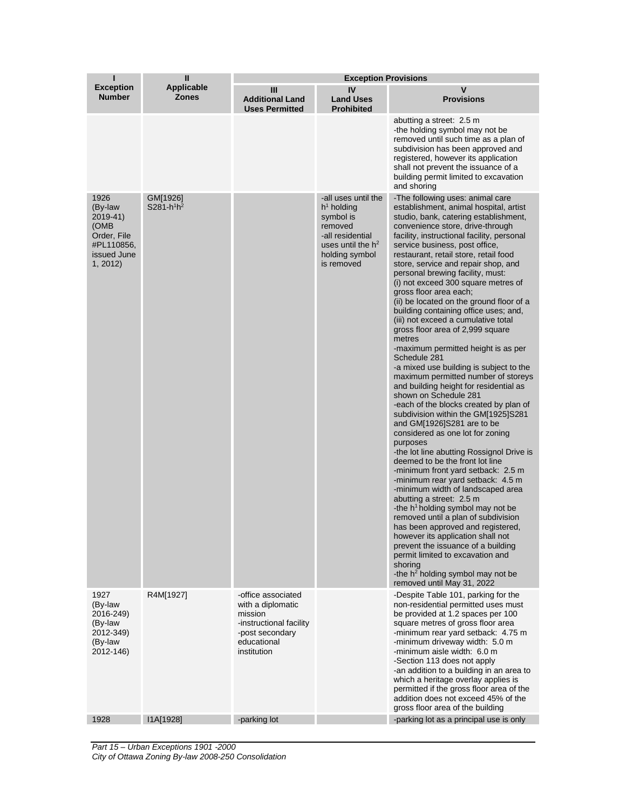| ı                                                                                           | $\mathbf{I}$                      | <b>Exception Provisions</b>                                                                                                    |                                                                                                                                                  |                                                                                                                                                                                                                                                                                                                                                                                                                                                                                                                                                                                                                                                                                                                                                                                                                                                                                                                                                                                                                                                                                                                                                                                                                                                                                                                                                                                                                                                                                                                                            |  |
|---------------------------------------------------------------------------------------------|-----------------------------------|--------------------------------------------------------------------------------------------------------------------------------|--------------------------------------------------------------------------------------------------------------------------------------------------|--------------------------------------------------------------------------------------------------------------------------------------------------------------------------------------------------------------------------------------------------------------------------------------------------------------------------------------------------------------------------------------------------------------------------------------------------------------------------------------------------------------------------------------------------------------------------------------------------------------------------------------------------------------------------------------------------------------------------------------------------------------------------------------------------------------------------------------------------------------------------------------------------------------------------------------------------------------------------------------------------------------------------------------------------------------------------------------------------------------------------------------------------------------------------------------------------------------------------------------------------------------------------------------------------------------------------------------------------------------------------------------------------------------------------------------------------------------------------------------------------------------------------------------------|--|
| <b>Exception</b><br><b>Number</b>                                                           | <b>Applicable</b><br><b>Zones</b> | Ш<br><b>Additional Land</b><br><b>Uses Permitted</b>                                                                           | IV<br><b>Land Uses</b><br><b>Prohibited</b>                                                                                                      | v<br><b>Provisions</b>                                                                                                                                                                                                                                                                                                                                                                                                                                                                                                                                                                                                                                                                                                                                                                                                                                                                                                                                                                                                                                                                                                                                                                                                                                                                                                                                                                                                                                                                                                                     |  |
|                                                                                             |                                   |                                                                                                                                |                                                                                                                                                  | abutting a street: 2.5 m<br>-the holding symbol may not be<br>removed until such time as a plan of<br>subdivision has been approved and<br>registered, however its application<br>shall not prevent the issuance of a<br>building permit limited to excavation<br>and shoring                                                                                                                                                                                                                                                                                                                                                                                                                                                                                                                                                                                                                                                                                                                                                                                                                                                                                                                                                                                                                                                                                                                                                                                                                                                              |  |
| 1926<br>(By-law<br>2019-41)<br>(OMB<br>Order, File<br>#PL110856,<br>issued June<br>1, 2012) | GM[1926]<br>$S281-h^1h^2$         |                                                                                                                                | -all uses until the<br>$h1$ holding<br>symbol is<br>removed<br>-all residential<br>uses until the h <sup>2</sup><br>holding symbol<br>is removed | -The following uses: animal care<br>establishment, animal hospital, artist<br>studio, bank, catering establishment,<br>convenience store, drive-through<br>facility, instructional facility, personal<br>service business, post office,<br>restaurant, retail store, retail food<br>store, service and repair shop, and<br>personal brewing facility, must:<br>(i) not exceed 300 square metres of<br>gross floor area each;<br>(ii) be located on the ground floor of a<br>building containing office uses; and,<br>(iii) not exceed a cumulative total<br>gross floor area of 2,999 square<br>metres<br>-maximum permitted height is as per<br>Schedule 281<br>-a mixed use building is subject to the<br>maximum permitted number of storeys<br>and building height for residential as<br>shown on Schedule 281<br>-each of the blocks created by plan of<br>subdivision within the GM[1925]S281<br>and GM[1926]S281 are to be<br>considered as one lot for zoning<br>purposes<br>-the lot line abutting Rossignol Drive is<br>deemed to be the front lot line<br>-minimum front yard setback: 2.5 m<br>-minimum rear yard setback: 4.5 m<br>-minimum width of landscaped area<br>abutting a street: 2.5 m<br>-the h <sup>1</sup> holding symbol may not be<br>removed until a plan of subdivision<br>has been approved and registered,<br>however its application shall not<br>prevent the issuance of a building<br>permit limited to excavation and<br>shoring<br>-the $h^2$ holding symbol may not be<br>removed until May 31, 2022 |  |
| 1927<br>(By-law<br>2016-249)<br>(By-law<br>2012-349)<br>(By-law<br>2012-146)                | R4M[1927]                         | -office associated<br>with a diplomatic<br>mission<br>-instructional facility<br>-post secondary<br>educational<br>institution |                                                                                                                                                  | -Despite Table 101, parking for the<br>non-residential permitted uses must<br>be provided at 1.2 spaces per 100<br>square metres of gross floor area<br>-minimum rear yard setback: 4.75 m<br>-minimum driveway width: 5.0 m<br>-minimum aisle width: 6.0 m<br>-Section 113 does not apply<br>-an addition to a building in an area to<br>which a heritage overlay applies is<br>permitted if the gross floor area of the<br>addition does not exceed 45% of the<br>gross floor area of the building                                                                                                                                                                                                                                                                                                                                                                                                                                                                                                                                                                                                                                                                                                                                                                                                                                                                                                                                                                                                                                       |  |
| 1928                                                                                        | I1A[1928]                         | -parking lot                                                                                                                   |                                                                                                                                                  | -parking lot as a principal use is only                                                                                                                                                                                                                                                                                                                                                                                                                                                                                                                                                                                                                                                                                                                                                                                                                                                                                                                                                                                                                                                                                                                                                                                                                                                                                                                                                                                                                                                                                                    |  |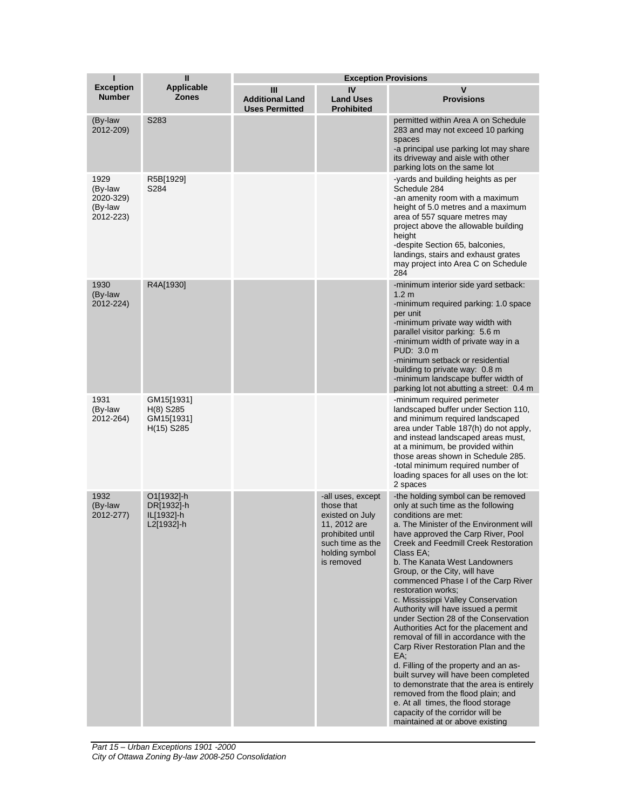| ī                                                    | $\mathbf{I}$                                            | <b>Exception Provisions</b>                          |                                                                                                                                            |                                                                                                                                                                                                                                                                                                                                                                                                                                                                                                                                                                                                                                                                                                                                                                                                                                                                                                            |
|------------------------------------------------------|---------------------------------------------------------|------------------------------------------------------|--------------------------------------------------------------------------------------------------------------------------------------------|------------------------------------------------------------------------------------------------------------------------------------------------------------------------------------------------------------------------------------------------------------------------------------------------------------------------------------------------------------------------------------------------------------------------------------------------------------------------------------------------------------------------------------------------------------------------------------------------------------------------------------------------------------------------------------------------------------------------------------------------------------------------------------------------------------------------------------------------------------------------------------------------------------|
| <b>Exception</b><br><b>Number</b>                    | <b>Applicable</b><br>Zones                              | Ш<br><b>Additional Land</b><br><b>Uses Permitted</b> | IV<br><b>Land Uses</b><br><b>Prohibited</b>                                                                                                | V<br><b>Provisions</b>                                                                                                                                                                                                                                                                                                                                                                                                                                                                                                                                                                                                                                                                                                                                                                                                                                                                                     |
| (By-law<br>2012-209)                                 | S283                                                    |                                                      |                                                                                                                                            | permitted within Area A on Schedule<br>283 and may not exceed 10 parking<br>spaces<br>-a principal use parking lot may share<br>its driveway and aisle with other<br>parking lots on the same lot                                                                                                                                                                                                                                                                                                                                                                                                                                                                                                                                                                                                                                                                                                          |
| 1929<br>(By-law<br>2020-329)<br>(By-law<br>2012-223) | R5B[1929]<br>S284                                       |                                                      |                                                                                                                                            | -yards and building heights as per<br>Schedule 284<br>-an amenity room with a maximum<br>height of 5.0 metres and a maximum<br>area of 557 square metres may<br>project above the allowable building<br>height<br>-despite Section 65, balconies,<br>landings, stairs and exhaust grates<br>may project into Area C on Schedule<br>284                                                                                                                                                                                                                                                                                                                                                                                                                                                                                                                                                                     |
| 1930<br>(By-law<br>2012-224)                         | R4A[1930]                                               |                                                      |                                                                                                                                            | -minimum interior side yard setback:<br>1.2 <sub>m</sub><br>-minimum required parking: 1.0 space<br>per unit<br>-minimum private way width with<br>parallel visitor parking: 5.6 m<br>-minimum width of private way in a<br>PUD: 3.0 m<br>-minimum setback or residential<br>building to private way: 0.8 m<br>-minimum landscape buffer width of<br>parking lot not abutting a street: 0.4 m                                                                                                                                                                                                                                                                                                                                                                                                                                                                                                              |
| 1931<br>(By-law<br>2012-264)                         | GM15[1931]<br>$H(8)$ S285<br>GM15[1931]<br>$H(15)$ S285 |                                                      |                                                                                                                                            | -minimum required perimeter<br>landscaped buffer under Section 110,<br>and minimum required landscaped<br>area under Table 187(h) do not apply,<br>and instead landscaped areas must,<br>at a minimum, be provided within<br>those areas shown in Schedule 285.<br>-total minimum required number of<br>loading spaces for all uses on the lot:<br>2 spaces                                                                                                                                                                                                                                                                                                                                                                                                                                                                                                                                                |
| 1932<br>(By-law<br>2012-277)                         | O1[1932]-h<br>DR[1932]-h<br>IL[1932]-h<br>L2[1932]-h    |                                                      | -all uses, except<br>those that<br>existed on July<br>11, 2012 are<br>prohibited until<br>such time as the<br>holding symbol<br>is removed | -the holding symbol can be removed<br>only at such time as the following<br>conditions are met:<br>a. The Minister of the Environment will<br>have approved the Carp River, Pool<br>Creek and Feedmill Creek Restoration<br>Class EA;<br>b. The Kanata West Landowners<br>Group, or the City, will have<br>commenced Phase I of the Carp River<br>restoration works:<br>c. Mississippi Valley Conservation<br>Authority will have issued a permit<br>under Section 28 of the Conservation<br>Authorities Act for the placement and<br>removal of fill in accordance with the<br>Carp River Restoration Plan and the<br>EA:<br>d. Filling of the property and an as-<br>built survey will have been completed<br>to demonstrate that the area is entirely<br>removed from the flood plain; and<br>e. At all times, the flood storage<br>capacity of the corridor will be<br>maintained at or above existing |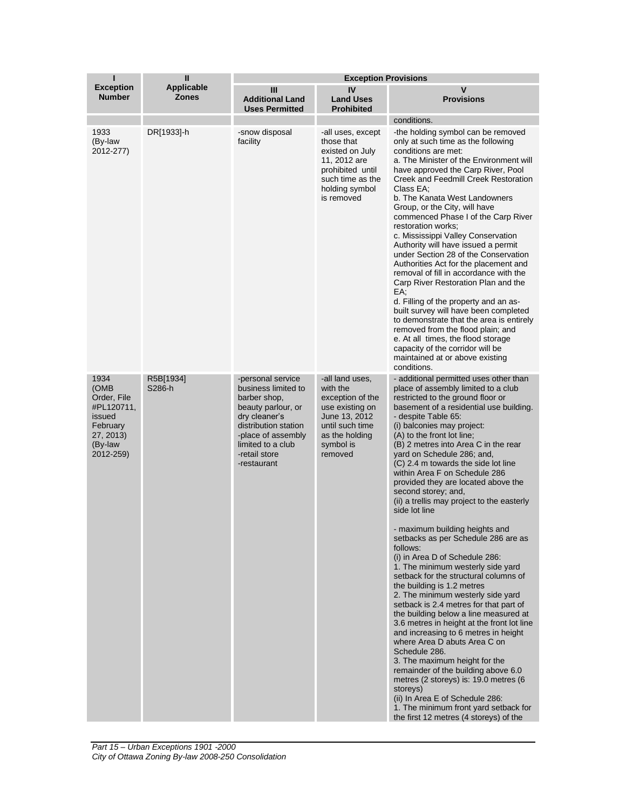| ī                                                                                                    | $\mathbf{I}$                      | <b>Exception Provisions</b>                                                                                                                                                                        |                                                                                                                                                  |                                                                                                                                                                                                                                                                                                                                                                                                                                                                                                                                                                                                                                                                                                                                                                                                                                                                                                                                                                                                                                                                                                                                                                                                                                                                                  |
|------------------------------------------------------------------------------------------------------|-----------------------------------|----------------------------------------------------------------------------------------------------------------------------------------------------------------------------------------------------|--------------------------------------------------------------------------------------------------------------------------------------------------|----------------------------------------------------------------------------------------------------------------------------------------------------------------------------------------------------------------------------------------------------------------------------------------------------------------------------------------------------------------------------------------------------------------------------------------------------------------------------------------------------------------------------------------------------------------------------------------------------------------------------------------------------------------------------------------------------------------------------------------------------------------------------------------------------------------------------------------------------------------------------------------------------------------------------------------------------------------------------------------------------------------------------------------------------------------------------------------------------------------------------------------------------------------------------------------------------------------------------------------------------------------------------------|
| <b>Exception</b><br><b>Number</b>                                                                    | <b>Applicable</b><br><b>Zones</b> | Ш<br><b>Additional Land</b><br><b>Uses Permitted</b>                                                                                                                                               | IV<br><b>Land Uses</b><br><b>Prohibited</b>                                                                                                      | V<br><b>Provisions</b>                                                                                                                                                                                                                                                                                                                                                                                                                                                                                                                                                                                                                                                                                                                                                                                                                                                                                                                                                                                                                                                                                                                                                                                                                                                           |
|                                                                                                      |                                   |                                                                                                                                                                                                    |                                                                                                                                                  | conditions.                                                                                                                                                                                                                                                                                                                                                                                                                                                                                                                                                                                                                                                                                                                                                                                                                                                                                                                                                                                                                                                                                                                                                                                                                                                                      |
| 1933<br>(By-law<br>2012-277)                                                                         | DR[1933]-h                        | -snow disposal<br>facility                                                                                                                                                                         | -all uses, except<br>those that<br>existed on July<br>11, 2012 are<br>prohibited until<br>such time as the<br>holding symbol<br>is removed       | -the holding symbol can be removed<br>only at such time as the following<br>conditions are met:<br>a. The Minister of the Environment will<br>have approved the Carp River, Pool<br>Creek and Feedmill Creek Restoration<br>Class EA;<br>b. The Kanata West Landowners<br>Group, or the City, will have<br>commenced Phase I of the Carp River<br>restoration works:<br>c. Mississippi Valley Conservation<br>Authority will have issued a permit<br>under Section 28 of the Conservation<br>Authorities Act for the placement and<br>removal of fill in accordance with the<br>Carp River Restoration Plan and the<br>EA;<br>d. Filling of the property and an as-<br>built survey will have been completed<br>to demonstrate that the area is entirely<br>removed from the flood plain; and<br>e. At all times, the flood storage<br>capacity of the corridor will be<br>maintained at or above existing<br>conditions.                                                                                                                                                                                                                                                                                                                                                        |
| 1934<br>(OMB<br>Order, File<br>#PL120711,<br>issued<br>February<br>27, 2013)<br>(By-law<br>2012-259) | R5B[1934]<br>S286-h               | -personal service<br>business limited to<br>barber shop,<br>beauty parlour, or<br>dry cleaner's<br>distribution station<br>-place of assembly<br>limited to a club<br>-retail store<br>-restaurant | -all land uses,<br>with the<br>exception of the<br>use existing on<br>June 13, 2012<br>until such time<br>as the holding<br>symbol is<br>removed | - additional permitted uses other than<br>place of assembly limited to a club<br>restricted to the ground floor or<br>basement of a residential use building.<br>- despite Table 65:<br>(i) balconies may project:<br>(A) to the front lot line;<br>(B) 2 metres into Area C in the rear<br>yard on Schedule 286; and,<br>(C) 2.4 m towards the side lot line<br>within Area F on Schedule 286<br>provided they are located above the<br>second storey; and,<br>(ii) a trellis may project to the easterly<br>side lot line<br>- maximum building heights and<br>setbacks as per Schedule 286 are as<br>follows:<br>(i) in Area D of Schedule 286:<br>1. The minimum westerly side yard<br>setback for the structural columns of<br>the building is 1.2 metres<br>2. The minimum westerly side yard<br>setback is 2.4 metres for that part of<br>the building below a line measured at<br>3.6 metres in height at the front lot line<br>and increasing to 6 metres in height<br>where Area D abuts Area C on<br>Schedule 286.<br>3. The maximum height for the<br>remainder of the building above 6.0<br>metres (2 storeys) is: 19.0 metres (6<br>storeys)<br>(ii) In Area E of Schedule 286:<br>1. The minimum front yard setback for<br>the first 12 metres (4 storeys) of the |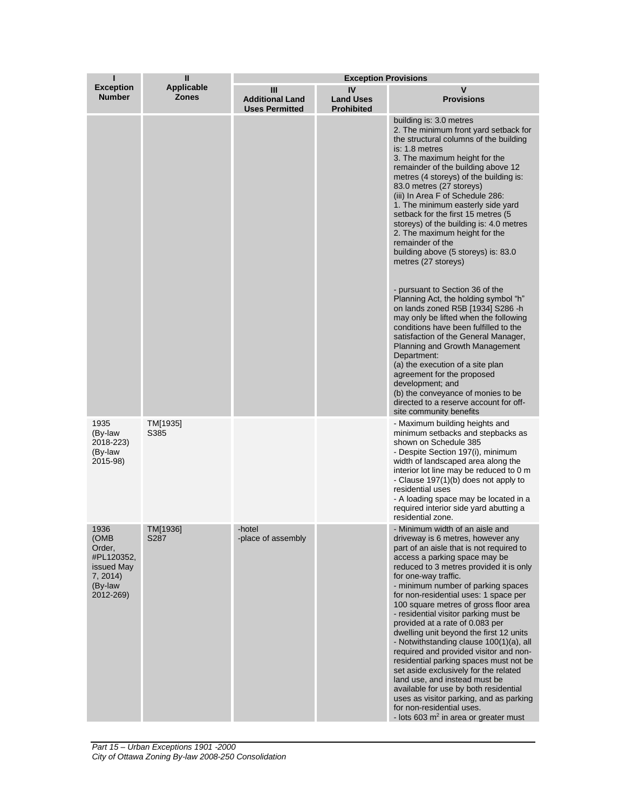| ı                                                                                      | $\mathbf{u}$                      | <b>Exception Provisions</b>                          |                                             |                                                                                                                                                                                                                                                                                                                                                                                                                                                                                                                                                                                                                                                                                                                                                                                                                                          |  |
|----------------------------------------------------------------------------------------|-----------------------------------|------------------------------------------------------|---------------------------------------------|------------------------------------------------------------------------------------------------------------------------------------------------------------------------------------------------------------------------------------------------------------------------------------------------------------------------------------------------------------------------------------------------------------------------------------------------------------------------------------------------------------------------------------------------------------------------------------------------------------------------------------------------------------------------------------------------------------------------------------------------------------------------------------------------------------------------------------------|--|
| <b>Exception</b><br><b>Number</b>                                                      | <b>Applicable</b><br><b>Zones</b> | Ш<br><b>Additional Land</b><br><b>Uses Permitted</b> | IV<br><b>Land Uses</b><br><b>Prohibited</b> | v<br><b>Provisions</b>                                                                                                                                                                                                                                                                                                                                                                                                                                                                                                                                                                                                                                                                                                                                                                                                                   |  |
|                                                                                        |                                   |                                                      |                                             | building is: 3.0 metres<br>2. The minimum front yard setback for<br>the structural columns of the building<br>is: 1.8 metres<br>3. The maximum height for the<br>remainder of the building above 12<br>metres (4 storeys) of the building is:<br>83.0 metres (27 storeys)<br>(iii) In Area F of Schedule 286:<br>1. The minimum easterly side yard<br>setback for the first 15 metres (5<br>storeys) of the building is: 4.0 metres<br>2. The maximum height for the<br>remainder of the<br>building above (5 storeys) is: 83.0<br>metres (27 storeys)<br>- pursuant to Section 36 of the<br>Planning Act, the holding symbol "h"<br>on lands zoned R5B [1934] S286 -h                                                                                                                                                                   |  |
|                                                                                        |                                   |                                                      |                                             | may only be lifted when the following<br>conditions have been fulfilled to the<br>satisfaction of the General Manager,<br>Planning and Growth Management<br>Department:<br>(a) the execution of a site plan<br>agreement for the proposed<br>development; and<br>(b) the conveyance of monies to be<br>directed to a reserve account for off-<br>site community benefits                                                                                                                                                                                                                                                                                                                                                                                                                                                                 |  |
| 1935<br>(By-law<br>2018-223)<br>(By-law<br>2015-98)                                    | TM[1935]<br>S385                  |                                                      |                                             | - Maximum building heights and<br>minimum setbacks and stepbacks as<br>shown on Schedule 385<br>- Despite Section 197(i), minimum<br>width of landscaped area along the<br>interior lot line may be reduced to 0 m<br>- Clause 197(1)(b) does not apply to<br>residential uses<br>- A loading space may be located in a<br>required interior side yard abutting a<br>residential zone.                                                                                                                                                                                                                                                                                                                                                                                                                                                   |  |
| 1936<br>(OMB<br>Order,<br>#PL120352,<br>issued May<br>7, 2014)<br>(By-law<br>2012-269) | TM[1936]<br>S287                  | -hotel<br>-place of assembly                         |                                             | - Minimum width of an aisle and<br>driveway is 6 metres, however any<br>part of an aisle that is not required to<br>access a parking space may be<br>reduced to 3 metres provided it is only<br>for one-way traffic.<br>- minimum number of parking spaces<br>for non-residential uses: 1 space per<br>100 square metres of gross floor area<br>- residential visitor parking must be<br>provided at a rate of 0.083 per<br>dwelling unit beyond the first 12 units<br>- Notwithstanding clause 100(1)(a), all<br>required and provided visitor and non-<br>residential parking spaces must not be<br>set aside exclusively for the related<br>land use, and instead must be<br>available for use by both residential<br>uses as visitor parking, and as parking<br>for non-residential uses.<br>- lots 603 $m2$ in area or greater must |  |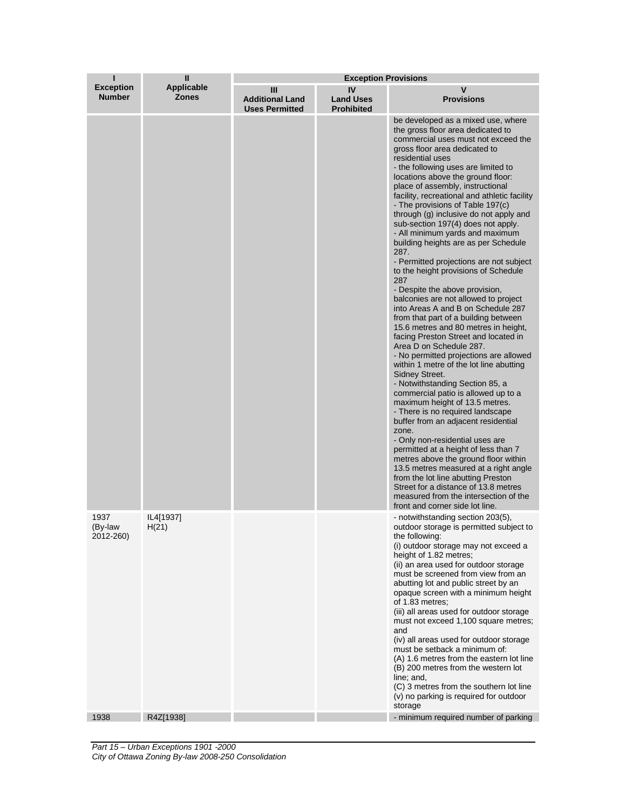| ı                                 | $\mathbf{I}$                      | <b>Exception Provisions</b>                          |                                             |                                                                                                                                                                                                                                                                                                                                                                                                                                                                                                                                                                                                                                                                                                                                                                                                                                                                                                                                                                                                                                                                                                                                                                                                                                                                                                                                                                                                                                                                                                                                      |  |
|-----------------------------------|-----------------------------------|------------------------------------------------------|---------------------------------------------|--------------------------------------------------------------------------------------------------------------------------------------------------------------------------------------------------------------------------------------------------------------------------------------------------------------------------------------------------------------------------------------------------------------------------------------------------------------------------------------------------------------------------------------------------------------------------------------------------------------------------------------------------------------------------------------------------------------------------------------------------------------------------------------------------------------------------------------------------------------------------------------------------------------------------------------------------------------------------------------------------------------------------------------------------------------------------------------------------------------------------------------------------------------------------------------------------------------------------------------------------------------------------------------------------------------------------------------------------------------------------------------------------------------------------------------------------------------------------------------------------------------------------------------|--|
| <b>Exception</b><br><b>Number</b> | <b>Applicable</b><br><b>Zones</b> | Ш<br><b>Additional Land</b><br><b>Uses Permitted</b> | IV<br><b>Land Uses</b><br><b>Prohibited</b> | V<br><b>Provisions</b>                                                                                                                                                                                                                                                                                                                                                                                                                                                                                                                                                                                                                                                                                                                                                                                                                                                                                                                                                                                                                                                                                                                                                                                                                                                                                                                                                                                                                                                                                                               |  |
|                                   |                                   |                                                      |                                             | be developed as a mixed use, where<br>the gross floor area dedicated to<br>commercial uses must not exceed the<br>gross floor area dedicated to<br>residential uses<br>- the following uses are limited to<br>locations above the ground floor:<br>place of assembly, instructional<br>facility, recreational and athletic facility<br>- The provisions of Table 197(c)<br>through (g) inclusive do not apply and<br>sub-section 197(4) does not apply.<br>- All minimum yards and maximum<br>building heights are as per Schedule<br>287.<br>- Permitted projections are not subject<br>to the height provisions of Schedule<br>287<br>- Despite the above provision,<br>balconies are not allowed to project<br>into Areas A and B on Schedule 287<br>from that part of a building between<br>15.6 metres and 80 metres in height,<br>facing Preston Street and located in<br>Area D on Schedule 287.<br>- No permitted projections are allowed<br>within 1 metre of the lot line abutting<br>Sidney Street.<br>- Notwithstanding Section 85, a<br>commercial patio is allowed up to a<br>maximum height of 13.5 metres.<br>- There is no required landscape<br>buffer from an adjacent residential<br>zone.<br>- Only non-residential uses are<br>permitted at a height of less than 7<br>metres above the ground floor within<br>13.5 metres measured at a right angle<br>from the lot line abutting Preston<br>Street for a distance of 13.8 metres<br>measured from the intersection of the<br>front and corner side lot line. |  |
| 1937<br>(By-law<br>2012-260)      | IL4[1937]<br>H(21)                |                                                      |                                             | - notwithstanding section 203(5),<br>outdoor storage is permitted subject to<br>the following:<br>(i) outdoor storage may not exceed a<br>height of 1.82 metres;<br>(ii) an area used for outdoor storage<br>must be screened from view from an<br>abutting lot and public street by an<br>opaque screen with a minimum height<br>of 1.83 metres;<br>(iii) all areas used for outdoor storage<br>must not exceed 1,100 square metres;<br>and<br>(iv) all areas used for outdoor storage<br>must be setback a minimum of:<br>(A) 1.6 metres from the eastern lot line<br>(B) 200 metres from the western lot<br>line; and,<br>(C) 3 metres from the southern lot line<br>(v) no parking is required for outdoor<br>storage                                                                                                                                                                                                                                                                                                                                                                                                                                                                                                                                                                                                                                                                                                                                                                                                            |  |
| 1938                              | R4Z[1938]                         |                                                      |                                             | - minimum required number of parking                                                                                                                                                                                                                                                                                                                                                                                                                                                                                                                                                                                                                                                                                                                                                                                                                                                                                                                                                                                                                                                                                                                                                                                                                                                                                                                                                                                                                                                                                                 |  |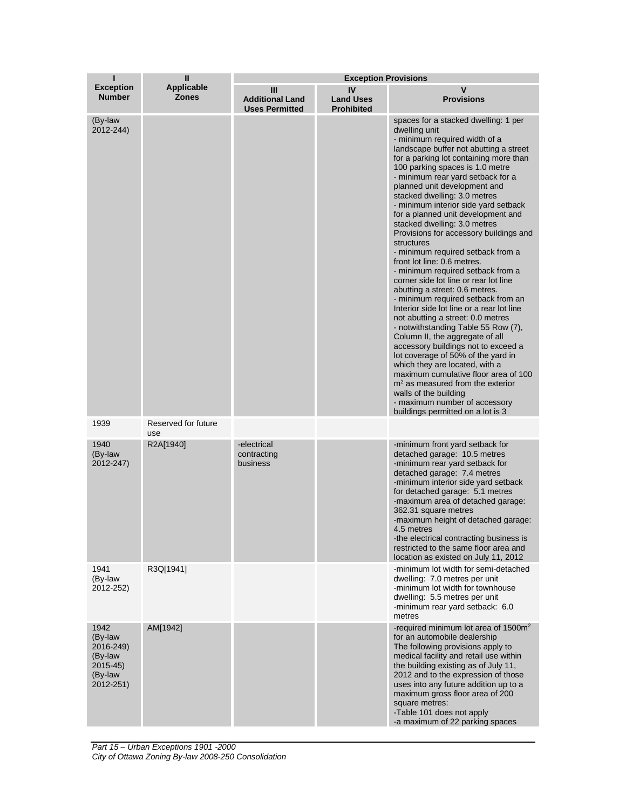| п                                                                           | $\mathbf{I}$                      | <b>Exception Provisions</b>                          |                                             |                                                                                                                                                                                                                                                                                                                                                                                                                                                                                                                                                                                                                                                                                                                                                                                                                                                                                                                                                                                                                                                                                                                                                                            |
|-----------------------------------------------------------------------------|-----------------------------------|------------------------------------------------------|---------------------------------------------|----------------------------------------------------------------------------------------------------------------------------------------------------------------------------------------------------------------------------------------------------------------------------------------------------------------------------------------------------------------------------------------------------------------------------------------------------------------------------------------------------------------------------------------------------------------------------------------------------------------------------------------------------------------------------------------------------------------------------------------------------------------------------------------------------------------------------------------------------------------------------------------------------------------------------------------------------------------------------------------------------------------------------------------------------------------------------------------------------------------------------------------------------------------------------|
| <b>Exception</b><br><b>Number</b>                                           | <b>Applicable</b><br><b>Zones</b> | Ш<br><b>Additional Land</b><br><b>Uses Permitted</b> | IV<br><b>Land Uses</b><br><b>Prohibited</b> | $\mathbf v$<br><b>Provisions</b>                                                                                                                                                                                                                                                                                                                                                                                                                                                                                                                                                                                                                                                                                                                                                                                                                                                                                                                                                                                                                                                                                                                                           |
| (By-law<br>2012-244)                                                        |                                   |                                                      |                                             | spaces for a stacked dwelling: 1 per<br>dwelling unit<br>- minimum required width of a<br>landscape buffer not abutting a street<br>for a parking lot containing more than<br>100 parking spaces is 1.0 metre<br>- minimum rear yard setback for a<br>planned unit development and<br>stacked dwelling: 3.0 metres<br>- minimum interior side yard setback<br>for a planned unit development and<br>stacked dwelling: 3.0 metres<br>Provisions for accessory buildings and<br>structures<br>- minimum required setback from a<br>front lot line: 0.6 metres.<br>- minimum required setback from a<br>corner side lot line or rear lot line<br>abutting a street: 0.6 metres.<br>- minimum required setback from an<br>Interior side lot line or a rear lot line<br>not abutting a street: 0.0 metres<br>- notwithstanding Table 55 Row (7),<br>Column II, the aggregate of all<br>accessory buildings not to exceed a<br>lot coverage of 50% of the yard in<br>which they are located, with a<br>maximum cumulative floor area of 100<br>$m2$ as measured from the exterior<br>walls of the building<br>- maximum number of accessory<br>buildings permitted on a lot is 3 |
| 1939                                                                        | Reserved for future<br>use        |                                                      |                                             |                                                                                                                                                                                                                                                                                                                                                                                                                                                                                                                                                                                                                                                                                                                                                                                                                                                                                                                                                                                                                                                                                                                                                                            |
| 1940<br>(By-law<br>2012-247)                                                | R2A[1940]                         | -electrical<br>contracting<br>business               |                                             | -minimum front yard setback for<br>detached garage: 10.5 metres<br>-minimum rear yard setback for<br>detached garage: 7.4 metres<br>-minimum interior side yard setback<br>for detached garage: 5.1 metres<br>-maximum area of detached garage:<br>362.31 square metres<br>-maximum height of detached garage:<br>4.5 metres<br>-the electrical contracting business is<br>restricted to the same floor area and<br>location as existed on July 11, 2012                                                                                                                                                                                                                                                                                                                                                                                                                                                                                                                                                                                                                                                                                                                   |
| 1941<br>(By-law<br>2012-252)                                                | R3Q[1941]                         |                                                      |                                             | -minimum lot width for semi-detached<br>dwelling: 7.0 metres per unit<br>-minimum lot width for townhouse<br>dwelling: 5.5 metres per unit<br>-minimum rear yard setback: 6.0<br>metres                                                                                                                                                                                                                                                                                                                                                                                                                                                                                                                                                                                                                                                                                                                                                                                                                                                                                                                                                                                    |
| 1942<br>(By-law<br>2016-249)<br>(By-law<br>2015-45)<br>(By-law<br>2012-251) | AM[1942]                          |                                                      |                                             | -required minimum lot area of $1500m^2$<br>for an automobile dealership<br>The following provisions apply to<br>medical facility and retail use within<br>the building existing as of July 11,<br>2012 and to the expression of those<br>uses into any future addition up to a<br>maximum gross floor area of 200<br>square metres:<br>-Table 101 does not apply<br>-a maximum of 22 parking spaces                                                                                                                                                                                                                                                                                                                                                                                                                                                                                                                                                                                                                                                                                                                                                                        |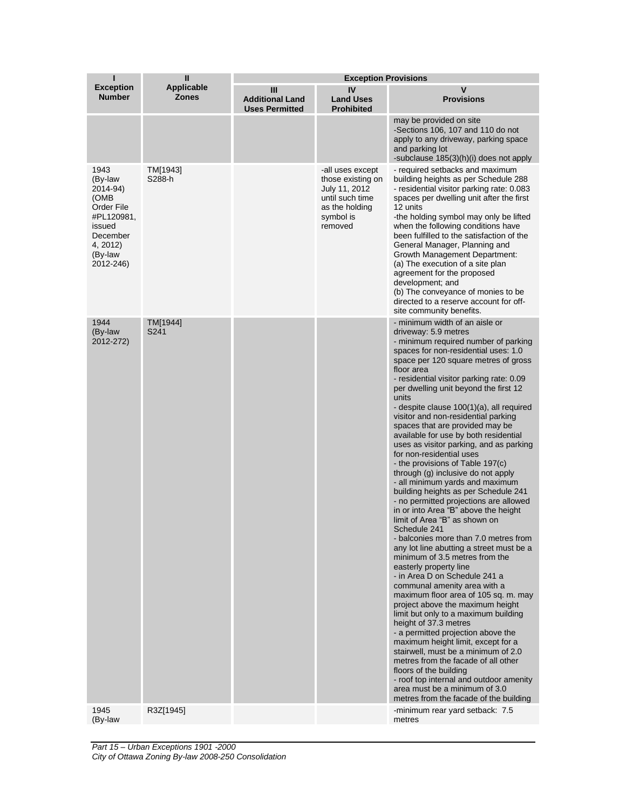| ı                                                                                                                         | $\mathbf{I}$                      | <b>Exception Provisions</b>                          |                                                                                                                     |                                                                                                                                                                                                                                                                                                                                                                                                                                                                                                                                                                                                                                                                                                                                                                                                                                                                                                                                                                                                                                                                                                                                                                                                                                                                                                                                                                                                                                                                                                   |  |
|---------------------------------------------------------------------------------------------------------------------------|-----------------------------------|------------------------------------------------------|---------------------------------------------------------------------------------------------------------------------|---------------------------------------------------------------------------------------------------------------------------------------------------------------------------------------------------------------------------------------------------------------------------------------------------------------------------------------------------------------------------------------------------------------------------------------------------------------------------------------------------------------------------------------------------------------------------------------------------------------------------------------------------------------------------------------------------------------------------------------------------------------------------------------------------------------------------------------------------------------------------------------------------------------------------------------------------------------------------------------------------------------------------------------------------------------------------------------------------------------------------------------------------------------------------------------------------------------------------------------------------------------------------------------------------------------------------------------------------------------------------------------------------------------------------------------------------------------------------------------------------|--|
| <b>Exception</b><br><b>Number</b>                                                                                         | <b>Applicable</b><br><b>Zones</b> | Ш<br><b>Additional Land</b><br><b>Uses Permitted</b> | IV<br><b>Land Uses</b><br><b>Prohibited</b>                                                                         | $\mathbf v$<br><b>Provisions</b>                                                                                                                                                                                                                                                                                                                                                                                                                                                                                                                                                                                                                                                                                                                                                                                                                                                                                                                                                                                                                                                                                                                                                                                                                                                                                                                                                                                                                                                                  |  |
|                                                                                                                           |                                   |                                                      |                                                                                                                     | may be provided on site<br>-Sections 106, 107 and 110 do not<br>apply to any driveway, parking space<br>and parking lot<br>-subclause 185(3)(h)(i) does not apply                                                                                                                                                                                                                                                                                                                                                                                                                                                                                                                                                                                                                                                                                                                                                                                                                                                                                                                                                                                                                                                                                                                                                                                                                                                                                                                                 |  |
| 1943<br>(By-law<br>2014-94)<br>(OMB<br>Order File<br>#PL120981,<br>issued<br>December<br>4, 2012)<br>(By-law<br>2012-246) | TM[1943]<br>S288-h                |                                                      | -all uses except<br>those existing on<br>July 11, 2012<br>until such time<br>as the holding<br>symbol is<br>removed | - required setbacks and maximum<br>building heights as per Schedule 288<br>- residential visitor parking rate: 0.083<br>spaces per dwelling unit after the first<br>12 units<br>-the holding symbol may only be lifted<br>when the following conditions have<br>been fulfilled to the satisfaction of the<br>General Manager, Planning and<br><b>Growth Management Department:</b><br>(a) The execution of a site plan<br>agreement for the proposed<br>development; and<br>(b) The conveyance of monies to be<br>directed to a reserve account for off-<br>site community benefits.                                                                                                                                                                                                                                                                                                                                                                                                                                                                                                                                                                                                                                                                                                                                                                                                                                                                                                              |  |
| 1944<br>(By-law<br>2012-272)                                                                                              | TM[1944]<br>S241                  |                                                      |                                                                                                                     | - minimum width of an aisle or<br>driveway: 5.9 metres<br>- minimum required number of parking<br>spaces for non-residential uses: 1.0<br>space per 120 square metres of gross<br>floor area<br>- residential visitor parking rate: 0.09<br>per dwelling unit beyond the first 12<br>units<br>- despite clause 100(1)(a), all required<br>visitor and non-residential parking<br>spaces that are provided may be<br>available for use by both residential<br>uses as visitor parking, and as parking<br>for non-residential uses<br>- the provisions of Table 197(c)<br>through (g) inclusive do not apply<br>- all minimum yards and maximum<br>building heights as per Schedule 241<br>- no permitted projections are allowed<br>in or into Area "B" above the height<br>limit of Area "B" as shown on<br>Schedule 241<br>- balconies more than 7.0 metres from<br>any lot line abutting a street must be a<br>minimum of 3.5 metres from the<br>easterly property line<br>- in Area D on Schedule 241 a<br>communal amenity area with a<br>maximum floor area of 105 sq. m. may<br>project above the maximum height<br>limit but only to a maximum building<br>height of 37.3 metres<br>- a permitted projection above the<br>maximum height limit, except for a<br>stairwell, must be a minimum of 2.0<br>metres from the facade of all other<br>floors of the building<br>- roof top internal and outdoor amenity<br>area must be a minimum of 3.0<br>metres from the facade of the building |  |
| 1945<br>(By-law                                                                                                           | R3Z[1945]                         |                                                      |                                                                                                                     | -minimum rear yard setback: 7.5<br>metres                                                                                                                                                                                                                                                                                                                                                                                                                                                                                                                                                                                                                                                                                                                                                                                                                                                                                                                                                                                                                                                                                                                                                                                                                                                                                                                                                                                                                                                         |  |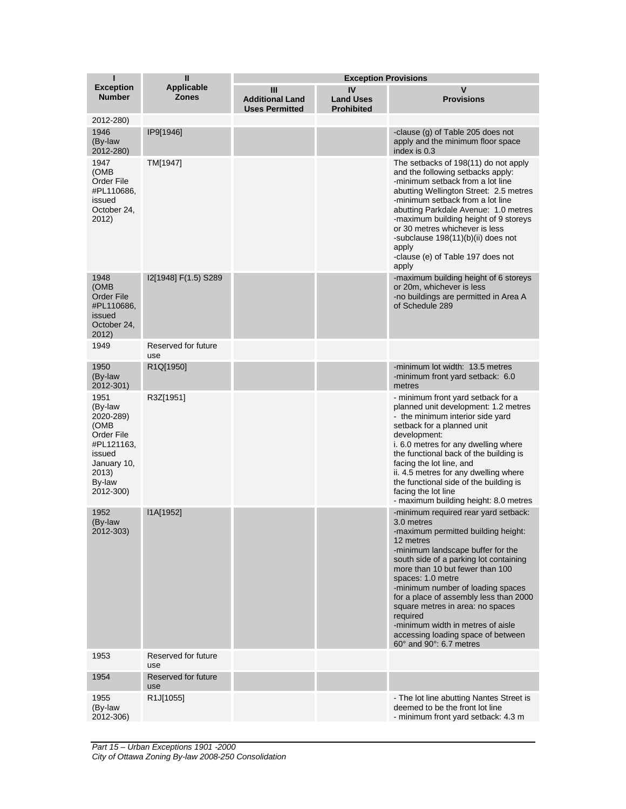| ī                                                                                                                         | $\mathbf{I}$                      |                                                      | <b>Exception Provisions</b>                 |                                                                                                                                                                                                                                                                                                                                                                                                                                                                                                   |
|---------------------------------------------------------------------------------------------------------------------------|-----------------------------------|------------------------------------------------------|---------------------------------------------|---------------------------------------------------------------------------------------------------------------------------------------------------------------------------------------------------------------------------------------------------------------------------------------------------------------------------------------------------------------------------------------------------------------------------------------------------------------------------------------------------|
| <b>Exception</b><br><b>Number</b>                                                                                         | <b>Applicable</b><br><b>Zones</b> | Ш<br><b>Additional Land</b><br><b>Uses Permitted</b> | IV<br><b>Land Uses</b><br><b>Prohibited</b> | v<br><b>Provisions</b>                                                                                                                                                                                                                                                                                                                                                                                                                                                                            |
| 2012-280)                                                                                                                 |                                   |                                                      |                                             |                                                                                                                                                                                                                                                                                                                                                                                                                                                                                                   |
| 1946<br>(By-law<br>2012-280)                                                                                              | IP9[1946]                         |                                                      |                                             | -clause (g) of Table 205 does not<br>apply and the minimum floor space<br>index is 0.3                                                                                                                                                                                                                                                                                                                                                                                                            |
| 1947<br>(OMB<br>Order File<br>#PL110686,<br>issued<br>October 24,<br>2012)                                                | TM[1947]                          |                                                      |                                             | The setbacks of 198(11) do not apply<br>and the following setbacks apply:<br>-minimum setback from a lot line<br>abutting Wellington Street: 2.5 metres<br>-minimum setback from a lot line<br>abutting Parkdale Avenue: 1.0 metres<br>-maximum building height of 9 storeys<br>or 30 metres whichever is less<br>-subclause 198(11)(b)(ii) does not<br>apply<br>-clause (e) of Table 197 does not<br>apply                                                                                       |
| 1948<br>(OMB<br>Order File<br>#PL110686,<br>issued<br>October 24,<br>2012)                                                | I2[1948] F(1.5) S289              |                                                      |                                             | -maximum building height of 6 storeys<br>or 20m, whichever is less<br>-no buildings are permitted in Area A<br>of Schedule 289                                                                                                                                                                                                                                                                                                                                                                    |
| 1949                                                                                                                      | Reserved for future<br>use        |                                                      |                                             |                                                                                                                                                                                                                                                                                                                                                                                                                                                                                                   |
| 1950<br>(By-law<br>2012-301)                                                                                              | R1Q[1950]                         |                                                      |                                             | -minimum lot width: 13.5 metres<br>-minimum front yard setback: 6.0<br>metres                                                                                                                                                                                                                                                                                                                                                                                                                     |
| 1951<br>(By-law<br>2020-289)<br>(OMB<br>Order File<br>#PL121163,<br>issued<br>January 10,<br>2013)<br>By-law<br>2012-300) | R3Z[1951]                         |                                                      |                                             | - minimum front yard setback for a<br>planned unit development: 1.2 metres<br>- the minimum interior side yard<br>setback for a planned unit<br>development:<br>i. 6.0 metres for any dwelling where<br>the functional back of the building is<br>facing the lot line, and<br>ii. 4.5 metres for any dwelling where<br>the functional side of the building is<br>facing the lot line<br>- maximum building height: 8.0 metres                                                                     |
| 1952<br>(By-law<br>2012-303)                                                                                              | I1A[1952]                         |                                                      |                                             | -minimum required rear yard setback:<br>3.0 metres<br>-maximum permitted building height:<br>12 metres<br>-minimum landscape buffer for the<br>south side of a parking lot containing<br>more than 10 but fewer than 100<br>spaces: 1.0 metre<br>-minimum number of loading spaces<br>for a place of assembly less than 2000<br>square metres in area: no spaces<br>required<br>-minimum width in metres of aisle<br>accessing loading space of between<br>$60^\circ$ and $90^\circ$ : 6.7 metres |
| 1953                                                                                                                      | Reserved for future<br>use        |                                                      |                                             |                                                                                                                                                                                                                                                                                                                                                                                                                                                                                                   |
| 1954                                                                                                                      | Reserved for future<br>use        |                                                      |                                             |                                                                                                                                                                                                                                                                                                                                                                                                                                                                                                   |
| 1955<br>(By-law<br>2012-306)                                                                                              | R1J[1055]                         |                                                      |                                             | - The lot line abutting Nantes Street is<br>deemed to be the front lot line<br>- minimum front yard setback: 4.3 m                                                                                                                                                                                                                                                                                                                                                                                |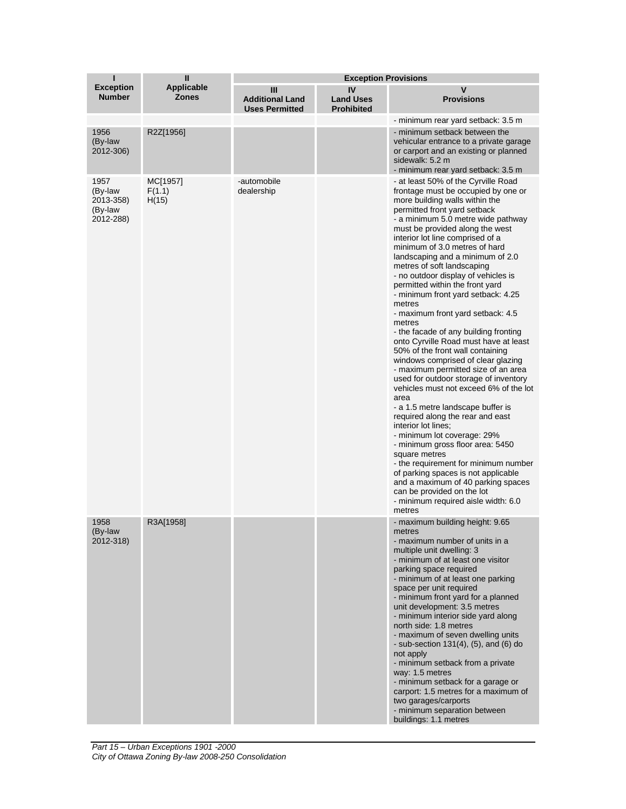| П                                                    | $\mathbf{I}$                      | <b>Exception Provisions</b>                          |                                             |                                                                                                                                                                                                                                                                                                                                                                                                                                                                                                                                                                                                                                                                                                                                                                                                                                                                                                                                                                                                                                                                                                                                                                                                                           |  |
|------------------------------------------------------|-----------------------------------|------------------------------------------------------|---------------------------------------------|---------------------------------------------------------------------------------------------------------------------------------------------------------------------------------------------------------------------------------------------------------------------------------------------------------------------------------------------------------------------------------------------------------------------------------------------------------------------------------------------------------------------------------------------------------------------------------------------------------------------------------------------------------------------------------------------------------------------------------------------------------------------------------------------------------------------------------------------------------------------------------------------------------------------------------------------------------------------------------------------------------------------------------------------------------------------------------------------------------------------------------------------------------------------------------------------------------------------------|--|
| <b>Exception</b><br><b>Number</b>                    | <b>Applicable</b><br><b>Zones</b> | Ш<br><b>Additional Land</b><br><b>Uses Permitted</b> | IV<br><b>Land Uses</b><br><b>Prohibited</b> | v<br><b>Provisions</b>                                                                                                                                                                                                                                                                                                                                                                                                                                                                                                                                                                                                                                                                                                                                                                                                                                                                                                                                                                                                                                                                                                                                                                                                    |  |
|                                                      |                                   |                                                      |                                             | - minimum rear yard setback: 3.5 m                                                                                                                                                                                                                                                                                                                                                                                                                                                                                                                                                                                                                                                                                                                                                                                                                                                                                                                                                                                                                                                                                                                                                                                        |  |
| 1956<br>(By-law<br>2012-306)                         | R2Z[1956]                         |                                                      |                                             | - minimum setback between the<br>vehicular entrance to a private garage<br>or carport and an existing or planned<br>sidewalk: 5.2 m<br>- minimum rear yard setback: 3.5 m                                                                                                                                                                                                                                                                                                                                                                                                                                                                                                                                                                                                                                                                                                                                                                                                                                                                                                                                                                                                                                                 |  |
| 1957<br>(By-law<br>2013-358)<br>(By-law<br>2012-288) | MC[1957]<br>F(1.1)<br>H(15)       | -automobile<br>dealership                            |                                             | - at least 50% of the Cyrville Road<br>frontage must be occupied by one or<br>more building walls within the<br>permitted front yard setback<br>- a minimum 5.0 metre wide pathway<br>must be provided along the west<br>interior lot line comprised of a<br>minimum of 3.0 metres of hard<br>landscaping and a minimum of 2.0<br>metres of soft landscaping<br>- no outdoor display of vehicles is<br>permitted within the front yard<br>minimum front yard setback: 4.25<br>metres<br>- maximum front yard setback: 4.5<br>metres<br>- the facade of any building fronting<br>onto Cyrville Road must have at least<br>50% of the front wall containing<br>windows comprised of clear glazing<br>- maximum permitted size of an area<br>used for outdoor storage of inventory<br>vehicles must not exceed 6% of the lot<br>area<br>- a 1.5 metre landscape buffer is<br>required along the rear and east<br>interior lot lines:<br>- minimum lot coverage: 29%<br>- minimum gross floor area: 5450<br>square metres<br>- the requirement for minimum number<br>of parking spaces is not applicable<br>and a maximum of 40 parking spaces<br>can be provided on the lot<br>- minimum required aisle width: 6.0<br>metres |  |
| 1958<br>(By-law<br>2012-318)                         | R3A[1958]                         |                                                      |                                             | - maximum building height: 9.65<br>metres<br>- maximum number of units in a<br>multiple unit dwelling: 3<br>- minimum of at least one visitor<br>parking space required<br>- minimum of at least one parking<br>space per unit required<br>- minimum front yard for a planned<br>unit development: 3.5 metres<br>- minimum interior side yard along<br>north side: 1.8 metres<br>- maximum of seven dwelling units<br>- sub-section $131(4)$ , $(5)$ , and $(6)$ do<br>not apply<br>- minimum setback from a private<br>way: 1.5 metres<br>- minimum setback for a garage or<br>carport: 1.5 metres for a maximum of<br>two garages/carports<br>- minimum separation between<br>buildings: 1.1 metres                                                                                                                                                                                                                                                                                                                                                                                                                                                                                                                     |  |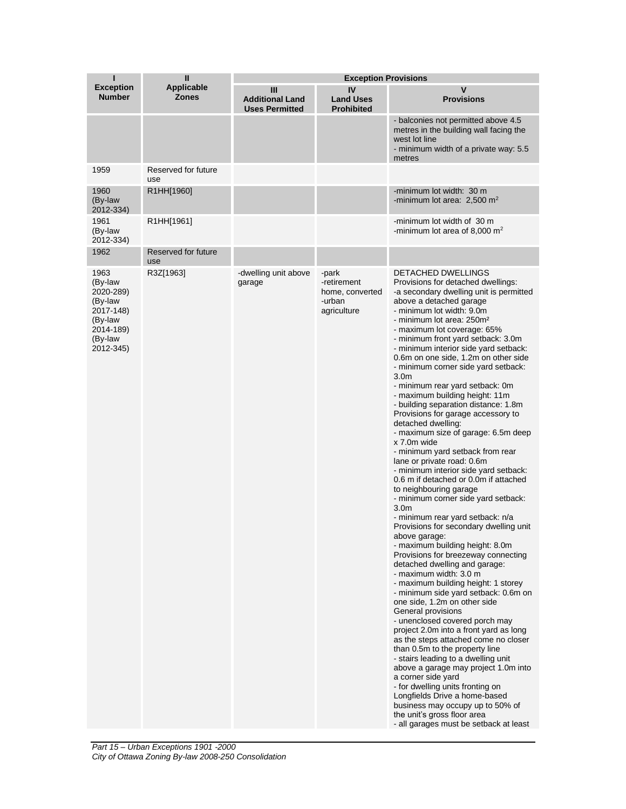| ı                                                                                                    | Ш                                 | <b>Exception Provisions</b>                          |                                                                  |                                                                                                                                                                                                                                                                                                                                                                                                                                                                                                                                                                                                                                                                                                                                                                                                                                                                                                                                                                                                                                                                                                                                                                                                                                                                                                                                                                                                                                                                                                                                                                                                                                                                                                                            |  |
|------------------------------------------------------------------------------------------------------|-----------------------------------|------------------------------------------------------|------------------------------------------------------------------|----------------------------------------------------------------------------------------------------------------------------------------------------------------------------------------------------------------------------------------------------------------------------------------------------------------------------------------------------------------------------------------------------------------------------------------------------------------------------------------------------------------------------------------------------------------------------------------------------------------------------------------------------------------------------------------------------------------------------------------------------------------------------------------------------------------------------------------------------------------------------------------------------------------------------------------------------------------------------------------------------------------------------------------------------------------------------------------------------------------------------------------------------------------------------------------------------------------------------------------------------------------------------------------------------------------------------------------------------------------------------------------------------------------------------------------------------------------------------------------------------------------------------------------------------------------------------------------------------------------------------------------------------------------------------------------------------------------------------|--|
| <b>Exception</b><br><b>Number</b>                                                                    | <b>Applicable</b><br><b>Zones</b> | Ш<br><b>Additional Land</b><br><b>Uses Permitted</b> | IV<br><b>Land Uses</b><br><b>Prohibited</b>                      | V<br><b>Provisions</b>                                                                                                                                                                                                                                                                                                                                                                                                                                                                                                                                                                                                                                                                                                                                                                                                                                                                                                                                                                                                                                                                                                                                                                                                                                                                                                                                                                                                                                                                                                                                                                                                                                                                                                     |  |
|                                                                                                      |                                   |                                                      |                                                                  | - balconies not permitted above 4.5<br>metres in the building wall facing the<br>west lot line<br>- minimum width of a private way: 5.5<br>metres                                                                                                                                                                                                                                                                                                                                                                                                                                                                                                                                                                                                                                                                                                                                                                                                                                                                                                                                                                                                                                                                                                                                                                                                                                                                                                                                                                                                                                                                                                                                                                          |  |
| 1959                                                                                                 | Reserved for future<br>use        |                                                      |                                                                  |                                                                                                                                                                                                                                                                                                                                                                                                                                                                                                                                                                                                                                                                                                                                                                                                                                                                                                                                                                                                                                                                                                                                                                                                                                                                                                                                                                                                                                                                                                                                                                                                                                                                                                                            |  |
| 1960<br>(By-law<br>2012-334)                                                                         | R1HH[1960]                        |                                                      |                                                                  | -minimum lot width: 30 m<br>-minimum lot area: $2,500$ m <sup>2</sup>                                                                                                                                                                                                                                                                                                                                                                                                                                                                                                                                                                                                                                                                                                                                                                                                                                                                                                                                                                                                                                                                                                                                                                                                                                                                                                                                                                                                                                                                                                                                                                                                                                                      |  |
| 1961<br>(By-law<br>2012-334)                                                                         | R1HH[1961]                        |                                                      |                                                                  | -minimum lot width of 30 m<br>-minimum lot area of 8,000 $m2$                                                                                                                                                                                                                                                                                                                                                                                                                                                                                                                                                                                                                                                                                                                                                                                                                                                                                                                                                                                                                                                                                                                                                                                                                                                                                                                                                                                                                                                                                                                                                                                                                                                              |  |
| 1962                                                                                                 | Reserved for future<br>use        |                                                      |                                                                  |                                                                                                                                                                                                                                                                                                                                                                                                                                                                                                                                                                                                                                                                                                                                                                                                                                                                                                                                                                                                                                                                                                                                                                                                                                                                                                                                                                                                                                                                                                                                                                                                                                                                                                                            |  |
| 1963<br>(By-law<br>2020-289)<br>(By-law<br>2017-148)<br>(By-law<br>2014-189)<br>(By-law<br>2012-345) | R3Z[1963]                         | -dwelling unit above<br>garage                       | -park<br>-retirement<br>home, converted<br>-urban<br>agriculture | <b>DETACHED DWELLINGS</b><br>Provisions for detached dwellings:<br>-a secondary dwelling unit is permitted<br>above a detached garage<br>- minimum lot width: 9.0m<br>- minimum lot area: 250m <sup>2</sup><br>- maximum lot coverage: 65%<br>- minimum front yard setback: 3.0m<br>- minimum interior side yard setback:<br>0.6m on one side, 1.2m on other side<br>- minimum corner side yard setback:<br>3.0 <sub>m</sub><br>- minimum rear yard setback: 0m<br>- maximum building height: 11m<br>- building separation distance: 1.8m<br>Provisions for garage accessory to<br>detached dwelling:<br>- maximum size of garage: 6.5m deep<br>x 7.0m wide<br>- minimum yard setback from rear<br>lane or private road: 0.6m<br>- minimum interior side yard setback:<br>0.6 m if detached or 0.0m if attached<br>to neighbouring garage<br>- minimum corner side yard setback:<br>3.0 <sub>m</sub><br>- minimum rear yard setback: n/a<br>Provisions for secondary dwelling unit<br>above garage:<br>- maximum building height: 8.0m<br>Provisions for breezeway connecting<br>detached dwelling and garage:<br>- maximum width: 3.0 m<br>- maximum building height: 1 storey<br>- minimum side yard setback: 0.6m on<br>one side, 1.2m on other side<br>General provisions<br>- unenclosed covered porch may<br>project 2.0m into a front yard as long<br>as the steps attached come no closer<br>than 0.5m to the property line<br>- stairs leading to a dwelling unit<br>above a garage may project 1.0m into<br>a corner side yard<br>- for dwelling units fronting on<br>Longfields Drive a home-based<br>business may occupy up to 50% of<br>the unit's gross floor area<br>- all garages must be setback at least |  |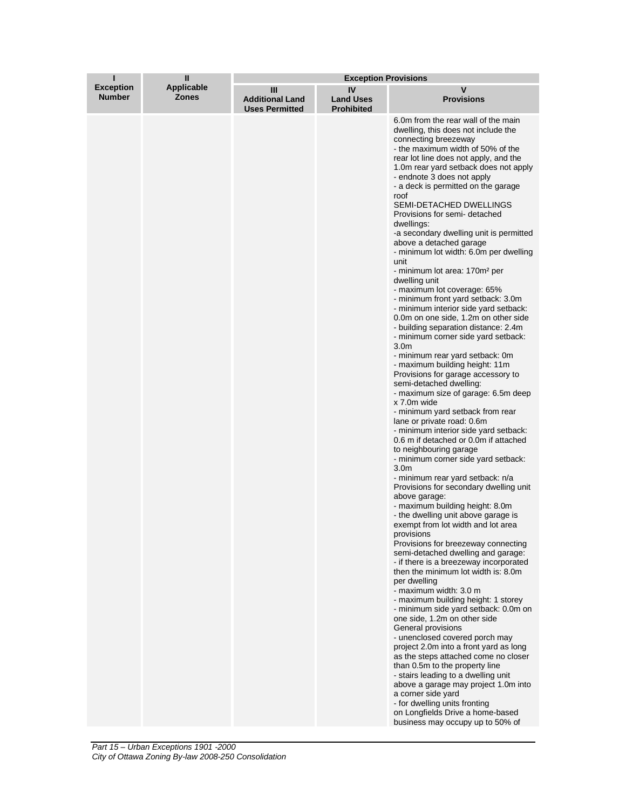| ī                                 | $\mathbf{I}$                      | <b>Exception Provisions</b>                          |                                             |                                                                                                                                                                                                                                                                                                                                                                                                                                                                                                                                                                                                                                                                                                                                                                                                                                                                                                                                                                                                                                                                                                                                                                                                                                                                                                                                                                                                                                                                                                                                                                                                                                                                                                                                                                                                                                                                                                                                                                                                                                                                                                                                                                                                                    |  |
|-----------------------------------|-----------------------------------|------------------------------------------------------|---------------------------------------------|--------------------------------------------------------------------------------------------------------------------------------------------------------------------------------------------------------------------------------------------------------------------------------------------------------------------------------------------------------------------------------------------------------------------------------------------------------------------------------------------------------------------------------------------------------------------------------------------------------------------------------------------------------------------------------------------------------------------------------------------------------------------------------------------------------------------------------------------------------------------------------------------------------------------------------------------------------------------------------------------------------------------------------------------------------------------------------------------------------------------------------------------------------------------------------------------------------------------------------------------------------------------------------------------------------------------------------------------------------------------------------------------------------------------------------------------------------------------------------------------------------------------------------------------------------------------------------------------------------------------------------------------------------------------------------------------------------------------------------------------------------------------------------------------------------------------------------------------------------------------------------------------------------------------------------------------------------------------------------------------------------------------------------------------------------------------------------------------------------------------------------------------------------------------------------------------------------------------|--|
| <b>Exception</b><br><b>Number</b> | <b>Applicable</b><br><b>Zones</b> | Ш<br><b>Additional Land</b><br><b>Uses Permitted</b> | IV<br><b>Land Uses</b><br><b>Prohibited</b> | v<br><b>Provisions</b>                                                                                                                                                                                                                                                                                                                                                                                                                                                                                                                                                                                                                                                                                                                                                                                                                                                                                                                                                                                                                                                                                                                                                                                                                                                                                                                                                                                                                                                                                                                                                                                                                                                                                                                                                                                                                                                                                                                                                                                                                                                                                                                                                                                             |  |
|                                   |                                   |                                                      |                                             | 6.0m from the rear wall of the main<br>dwelling, this does not include the<br>connecting breezeway<br>- the maximum width of 50% of the<br>rear lot line does not apply, and the<br>1.0 m rear yard setback does not apply<br>- endnote 3 does not apply<br>- a deck is permitted on the garage<br>roof<br>SEMI-DETACHED DWELLINGS<br>Provisions for semi-detached<br>dwellings:<br>-a secondary dwelling unit is permitted<br>above a detached garage<br>- minimum lot width: 6.0m per dwelling<br>unit<br>- minimum lot area: 170m <sup>2</sup> per<br>dwelling unit<br>- maximum lot coverage: 65%<br>- minimum front yard setback: 3.0m<br>- minimum interior side yard setback:<br>0.0m on one side, 1.2m on other side<br>- building separation distance: 2.4m<br>- minimum corner side yard setback:<br>3.0 <sub>m</sub><br>- minimum rear yard setback: 0m<br>- maximum building height: 11m<br>Provisions for garage accessory to<br>semi-detached dwelling:<br>- maximum size of garage: 6.5m deep<br>x 7.0m wide<br>- minimum yard setback from rear<br>lane or private road: 0.6m<br>- minimum interior side yard setback:<br>0.6 m if detached or 0.0m if attached<br>to neighbouring garage<br>- minimum corner side yard setback:<br>3.0 <sub>m</sub><br>- minimum rear yard setback: n/a<br>Provisions for secondary dwelling unit<br>above garage:<br>- maximum building height: 8.0m<br>- the dwelling unit above garage is<br>exempt from lot width and lot area<br>provisions<br>Provisions for breezeway connecting<br>semi-detached dwelling and garage:<br>- if there is a breezeway incorporated<br>then the minimum lot width is: 8.0m<br>per dwelling<br>- maximum width: 3.0 m<br>- maximum building height: 1 storey<br>- minimum side yard setback: 0.0m on<br>one side, 1.2m on other side<br>General provisions<br>- unenclosed covered porch may<br>project 2.0m into a front yard as long<br>as the steps attached come no closer<br>than 0.5m to the property line<br>- stairs leading to a dwelling unit<br>above a garage may project 1.0m into<br>a corner side yard<br>- for dwelling units fronting<br>on Longfields Drive a home-based<br>business may occupy up to 50% of |  |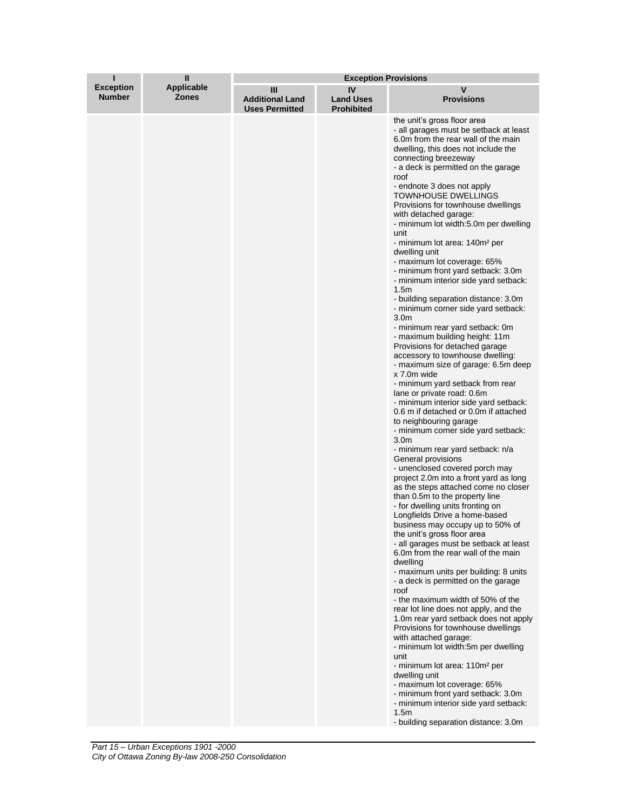| ī                                 | $\mathbf{I}$               | <b>Exception Provisions</b>                          |                                             |                                                                                                                                                                                                                                                                                                                                                                                                                                                                                                                                                                                                                                                                                                                                                                                                                                                                                                                                                                                                                                                                                                                                                                                                                                                                                                                                                                                                                                                                                                                                                                                                                                                                                                                                                                                                                                                                                                                                                                                                                                                                                                                                                                    |  |
|-----------------------------------|----------------------------|------------------------------------------------------|---------------------------------------------|--------------------------------------------------------------------------------------------------------------------------------------------------------------------------------------------------------------------------------------------------------------------------------------------------------------------------------------------------------------------------------------------------------------------------------------------------------------------------------------------------------------------------------------------------------------------------------------------------------------------------------------------------------------------------------------------------------------------------------------------------------------------------------------------------------------------------------------------------------------------------------------------------------------------------------------------------------------------------------------------------------------------------------------------------------------------------------------------------------------------------------------------------------------------------------------------------------------------------------------------------------------------------------------------------------------------------------------------------------------------------------------------------------------------------------------------------------------------------------------------------------------------------------------------------------------------------------------------------------------------------------------------------------------------------------------------------------------------------------------------------------------------------------------------------------------------------------------------------------------------------------------------------------------------------------------------------------------------------------------------------------------------------------------------------------------------------------------------------------------------------------------------------------------------|--|
| <b>Exception</b><br><b>Number</b> | <b>Applicable</b><br>Zones | Ш<br><b>Additional Land</b><br><b>Uses Permitted</b> | IV<br><b>Land Uses</b><br><b>Prohibited</b> | v<br><b>Provisions</b>                                                                                                                                                                                                                                                                                                                                                                                                                                                                                                                                                                                                                                                                                                                                                                                                                                                                                                                                                                                                                                                                                                                                                                                                                                                                                                                                                                                                                                                                                                                                                                                                                                                                                                                                                                                                                                                                                                                                                                                                                                                                                                                                             |  |
|                                   |                            |                                                      |                                             | the unit's gross floor area<br>- all garages must be setback at least<br>6.0m from the rear wall of the main<br>dwelling, this does not include the<br>connecting breezeway<br>- a deck is permitted on the garage<br>roof<br>- endnote 3 does not apply<br><b>TOWNHOUSE DWELLINGS</b><br>Provisions for townhouse dwellings<br>with detached garage:<br>- minimum lot width:5.0m per dwelling<br>unit<br>- minimum lot area: 140m <sup>2</sup> per<br>dwelling unit<br>- maximum lot coverage: 65%<br>- minimum front yard setback: 3.0m<br>- minimum interior side yard setback:<br>1.5 <sub>m</sub><br>- building separation distance: 3.0m<br>- minimum corner side yard setback:<br>3.0 <sub>m</sub><br>- minimum rear yard setback: 0m<br>- maximum building height: 11m<br>Provisions for detached garage<br>accessory to townhouse dwelling:<br>- maximum size of garage: 6.5m deep<br>x 7.0m wide<br>- minimum yard setback from rear<br>lane or private road: 0.6m<br>- minimum interior side yard setback:<br>0.6 m if detached or 0.0m if attached<br>to neighbouring garage<br>- minimum corner side yard setback:<br>3.0 <sub>m</sub><br>- minimum rear yard setback: n/a<br>General provisions<br>- unenclosed covered porch may<br>project 2.0m into a front yard as long<br>as the steps attached come no closer<br>than 0.5m to the property line<br>- for dwelling units fronting on<br>Longfields Drive a home-based<br>business may occupy up to 50% of<br>the unit's gross floor area<br>- all garages must be setback at least<br>6.0m from the rear wall of the main<br>dwelling<br>- maximum units per building: 8 units<br>- a deck is permitted on the garage<br>roof<br>- the maximum width of 50% of the<br>rear lot line does not apply, and the<br>1.0 m rear yard setback does not apply<br>Provisions for townhouse dwellings<br>with attached garage:<br>- minimum lot width:5m per dwelling<br>unit<br>- minimum lot area: 110m <sup>2</sup> per<br>dwelling unit<br>- maximum lot coverage: 65%<br>- minimum front yard setback: 3.0m<br>- minimum interior side yard setback:<br>1.5m<br>- building separation distance: 3.0m |  |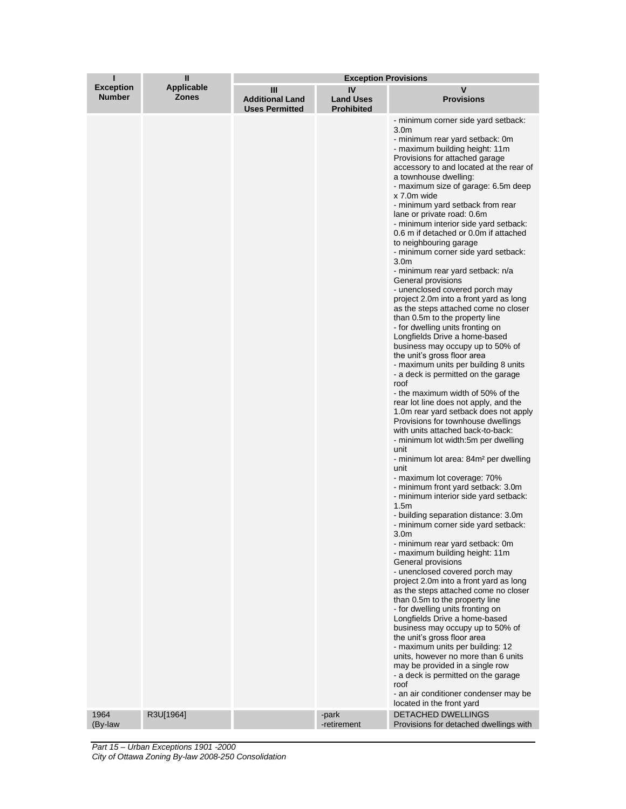|                                   | Ш                          | <b>Exception Provisions</b>                          |                                             |                                                                                                                                                                                                                                                                                                                                                                                                                                                                                                                                                                                                                                                                                                                                                                                                                                                                                                                                                                                                                                                                                                                                                                                                                                                                                                                                                                                                                                                                                                                                                                                                                                                                                                                                                                                                                                                                                                                                                                                                                                                                                                                                                                      |
|-----------------------------------|----------------------------|------------------------------------------------------|---------------------------------------------|----------------------------------------------------------------------------------------------------------------------------------------------------------------------------------------------------------------------------------------------------------------------------------------------------------------------------------------------------------------------------------------------------------------------------------------------------------------------------------------------------------------------------------------------------------------------------------------------------------------------------------------------------------------------------------------------------------------------------------------------------------------------------------------------------------------------------------------------------------------------------------------------------------------------------------------------------------------------------------------------------------------------------------------------------------------------------------------------------------------------------------------------------------------------------------------------------------------------------------------------------------------------------------------------------------------------------------------------------------------------------------------------------------------------------------------------------------------------------------------------------------------------------------------------------------------------------------------------------------------------------------------------------------------------------------------------------------------------------------------------------------------------------------------------------------------------------------------------------------------------------------------------------------------------------------------------------------------------------------------------------------------------------------------------------------------------------------------------------------------------------------------------------------------------|
| <b>Exception</b><br><b>Number</b> | <b>Applicable</b><br>Zones | Ш<br><b>Additional Land</b><br><b>Uses Permitted</b> | IV<br><b>Land Uses</b><br><b>Prohibited</b> | v<br><b>Provisions</b>                                                                                                                                                                                                                                                                                                                                                                                                                                                                                                                                                                                                                                                                                                                                                                                                                                                                                                                                                                                                                                                                                                                                                                                                                                                                                                                                                                                                                                                                                                                                                                                                                                                                                                                                                                                                                                                                                                                                                                                                                                                                                                                                               |
| 1964                              | R3U[1964]                  |                                                      | -park                                       | - minimum corner side yard setback:<br>3.0 <sub>m</sub><br>- minimum rear yard setback: 0m<br>- maximum building height: 11m<br>Provisions for attached garage<br>accessory to and located at the rear of<br>a townhouse dwelling:<br>- maximum size of garage: 6.5m deep<br>x 7.0m wide<br>- minimum yard setback from rear<br>lane or private road: 0.6m<br>- minimum interior side yard setback:<br>0.6 m if detached or 0.0m if attached<br>to neighbouring garage<br>- minimum corner side yard setback:<br>3.0 <sub>m</sub><br>- minimum rear yard setback: n/a<br>General provisions<br>- unenclosed covered porch may<br>project 2.0m into a front yard as long<br>as the steps attached come no closer<br>than 0.5m to the property line<br>- for dwelling units fronting on<br>Longfields Drive a home-based<br>business may occupy up to 50% of<br>the unit's gross floor area<br>- maximum units per building 8 units<br>- a deck is permitted on the garage<br>roof<br>- the maximum width of 50% of the<br>rear lot line does not apply, and the<br>1.0m rear yard setback does not apply<br>Provisions for townhouse dwellings<br>with units attached back-to-back:<br>- minimum lot width:5m per dwelling<br>unit<br>- minimum lot area: 84m <sup>2</sup> per dwelling<br>unit<br>- maximum lot coverage: 70%<br>- minimum front yard setback: 3.0m<br>- minimum interior side yard setback:<br>1.5m<br>- building separation distance: 3.0m<br>- minimum corner side yard setback:<br>3.0m<br>- minimum rear yard setback: 0m<br>- maximum building height: 11m<br>General provisions<br>- unenclosed covered porch may<br>project 2.0m into a front yard as long<br>as the steps attached come no closer<br>than 0.5m to the property line<br>- for dwelling units fronting on<br>Longfields Drive a home-based<br>business may occupy up to 50% of<br>the unit's gross floor area<br>- maximum units per building: 12<br>units, however no more than 6 units<br>may be provided in a single row<br>- a deck is permitted on the garage<br>roof<br>- an air conditioner condenser may be<br>located in the front yard<br><b>DETACHED DWELLINGS</b> |
| (By-law                           |                            |                                                      | -retirement                                 | Provisions for detached dwellings with                                                                                                                                                                                                                                                                                                                                                                                                                                                                                                                                                                                                                                                                                                                                                                                                                                                                                                                                                                                                                                                                                                                                                                                                                                                                                                                                                                                                                                                                                                                                                                                                                                                                                                                                                                                                                                                                                                                                                                                                                                                                                                                               |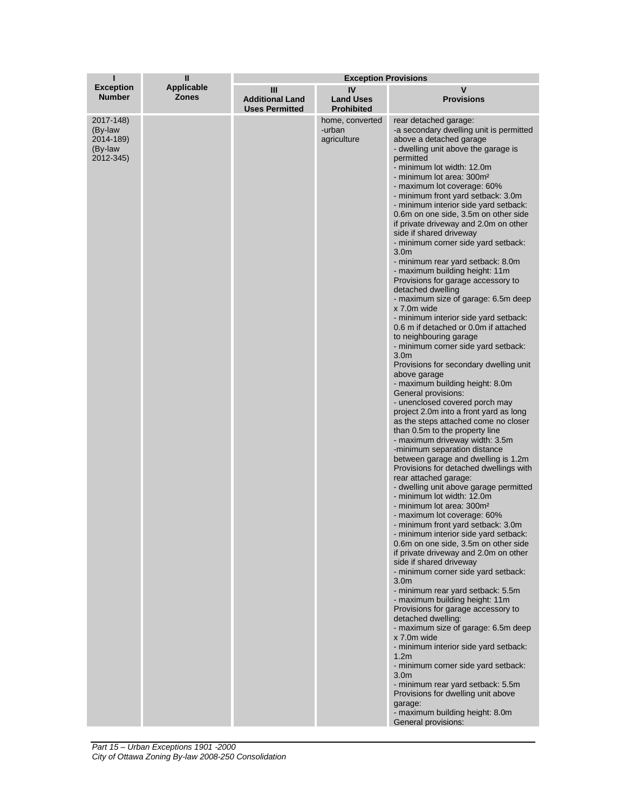| т                                                         | Ш                                 | <b>Exception Provisions</b>                          |                                             |                                                                                                                                                                                                                                                                                                                                                                                                                                                                                                                                                                                                                                                                                                                                                                                                                                                                                                                                                                                                                                                                                                                                                                                                                                                                                                                                                                                                                                                                                                                                                                                                                                                                                                                                                                                                                                                                                                                                                                                                                                                                                                                                                                                                         |  |
|-----------------------------------------------------------|-----------------------------------|------------------------------------------------------|---------------------------------------------|---------------------------------------------------------------------------------------------------------------------------------------------------------------------------------------------------------------------------------------------------------------------------------------------------------------------------------------------------------------------------------------------------------------------------------------------------------------------------------------------------------------------------------------------------------------------------------------------------------------------------------------------------------------------------------------------------------------------------------------------------------------------------------------------------------------------------------------------------------------------------------------------------------------------------------------------------------------------------------------------------------------------------------------------------------------------------------------------------------------------------------------------------------------------------------------------------------------------------------------------------------------------------------------------------------------------------------------------------------------------------------------------------------------------------------------------------------------------------------------------------------------------------------------------------------------------------------------------------------------------------------------------------------------------------------------------------------------------------------------------------------------------------------------------------------------------------------------------------------------------------------------------------------------------------------------------------------------------------------------------------------------------------------------------------------------------------------------------------------------------------------------------------------------------------------------------------------|--|
| <b>Exception</b><br><b>Number</b>                         | <b>Applicable</b><br><b>Zones</b> | Ш<br><b>Additional Land</b><br><b>Uses Permitted</b> | IV<br><b>Land Uses</b><br><b>Prohibited</b> | v<br><b>Provisions</b>                                                                                                                                                                                                                                                                                                                                                                                                                                                                                                                                                                                                                                                                                                                                                                                                                                                                                                                                                                                                                                                                                                                                                                                                                                                                                                                                                                                                                                                                                                                                                                                                                                                                                                                                                                                                                                                                                                                                                                                                                                                                                                                                                                                  |  |
| 2017-148)<br>(By-law<br>2014-189)<br>(By-law<br>2012-345) |                                   |                                                      | home, converted<br>-urban<br>agriculture    | rear detached garage:<br>-a secondary dwelling unit is permitted<br>above a detached garage<br>- dwelling unit above the garage is<br>permitted<br>- minimum lot width: 12.0m<br>- minimum lot area: 300m <sup>2</sup><br>- maximum lot coverage: 60%<br>- minimum front yard setback: 3.0m<br>- minimum interior side yard setback:<br>0.6m on one side, 3.5m on other side<br>if private driveway and 2.0m on other<br>side if shared driveway<br>- minimum corner side yard setback:<br>3.0 <sub>m</sub><br>- minimum rear yard setback: 8.0m<br>- maximum building height: 11m<br>Provisions for garage accessory to<br>detached dwelling<br>- maximum size of garage: 6.5m deep<br>x 7.0m wide<br>- minimum interior side yard setback:<br>0.6 m if detached or 0.0m if attached<br>to neighbouring garage<br>- minimum corner side yard setback:<br>3.0 <sub>m</sub><br>Provisions for secondary dwelling unit<br>above garage<br>- maximum building height: 8.0m<br>General provisions:<br>- unenclosed covered porch may<br>project 2.0m into a front yard as long<br>as the steps attached come no closer<br>than 0.5m to the property line<br>- maximum driveway width: 3.5m<br>-minimum separation distance<br>between garage and dwelling is 1.2m<br>Provisions for detached dwellings with<br>rear attached garage:<br>- dwelling unit above garage permitted<br>- minimum lot width: 12.0m<br>- minimum lot area: 300m <sup>2</sup><br>- maximum lot coverage: 60%<br>- minimum front yard setback: 3.0m<br>- minimum interior side yard setback:<br>0.6m on one side, 3.5m on other side<br>if private driveway and 2.0m on other<br>side if shared driveway<br>- minimum corner side yard setback:<br>3.0 <sub>m</sub><br>- minimum rear yard setback: 5.5m<br>- maximum building height: 11m<br>Provisions for garage accessory to<br>detached dwelling:<br>- maximum size of garage: 6.5m deep<br>x 7.0m wide<br>- minimum interior side yard setback:<br>1.2 <sub>m</sub><br>- minimum corner side yard setback:<br>3.0 <sub>m</sub><br>- minimum rear yard setback: 5.5m<br>Provisions for dwelling unit above<br>garage:<br>- maximum building height: 8.0m<br>General provisions: |  |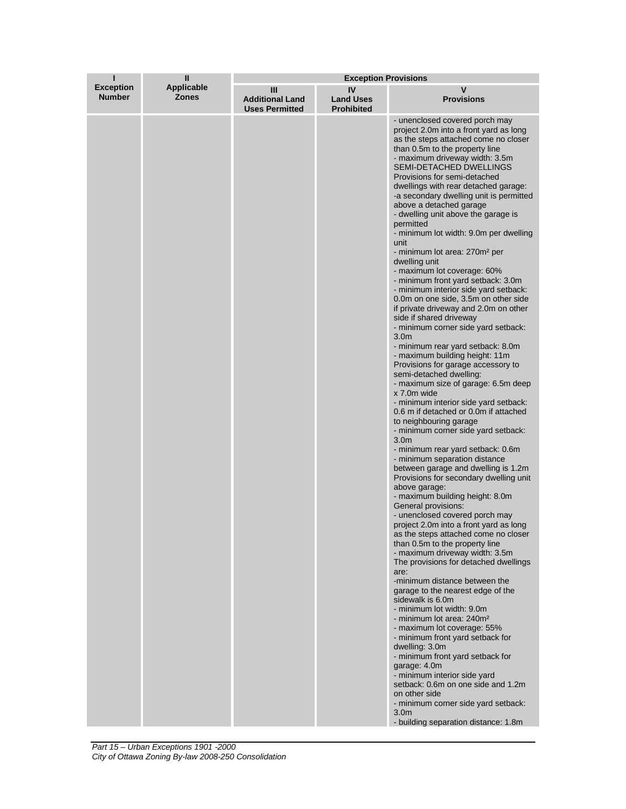| ı                                 | $\mathbf{I}$                      | <b>Exception Provisions</b>                          |                                             |                                                                                                                                                                                                                                                                                                                                                                                                                                                                                                                                                                                                                                                                                                                                                                                                                                                                                                                                                                                                                                                                                                                                                                                                                                                                                                                                                                                                                                                                                                                                                                                                                                                                                                                                                                                                                                                                                                                                                                                                                                                                                                                                                                                  |
|-----------------------------------|-----------------------------------|------------------------------------------------------|---------------------------------------------|----------------------------------------------------------------------------------------------------------------------------------------------------------------------------------------------------------------------------------------------------------------------------------------------------------------------------------------------------------------------------------------------------------------------------------------------------------------------------------------------------------------------------------------------------------------------------------------------------------------------------------------------------------------------------------------------------------------------------------------------------------------------------------------------------------------------------------------------------------------------------------------------------------------------------------------------------------------------------------------------------------------------------------------------------------------------------------------------------------------------------------------------------------------------------------------------------------------------------------------------------------------------------------------------------------------------------------------------------------------------------------------------------------------------------------------------------------------------------------------------------------------------------------------------------------------------------------------------------------------------------------------------------------------------------------------------------------------------------------------------------------------------------------------------------------------------------------------------------------------------------------------------------------------------------------------------------------------------------------------------------------------------------------------------------------------------------------------------------------------------------------------------------------------------------------|
| <b>Exception</b><br><b>Number</b> | <b>Applicable</b><br><b>Zones</b> | Ш<br><b>Additional Land</b><br><b>Uses Permitted</b> | IV<br><b>Land Uses</b><br><b>Prohibited</b> | V<br><b>Provisions</b>                                                                                                                                                                                                                                                                                                                                                                                                                                                                                                                                                                                                                                                                                                                                                                                                                                                                                                                                                                                                                                                                                                                                                                                                                                                                                                                                                                                                                                                                                                                                                                                                                                                                                                                                                                                                                                                                                                                                                                                                                                                                                                                                                           |
|                                   |                                   |                                                      |                                             | - unenclosed covered porch may<br>project 2.0m into a front yard as long<br>as the steps attached come no closer<br>than 0.5m to the property line<br>- maximum driveway width: 3.5m<br><b>SEMI-DETACHED DWELLINGS</b><br>Provisions for semi-detached<br>dwellings with rear detached garage:<br>-a secondary dwelling unit is permitted<br>above a detached garage<br>- dwelling unit above the garage is<br>permitted<br>- minimum lot width: 9.0m per dwelling<br>unit<br>- minimum lot area: 270m <sup>2</sup> per<br>dwelling unit<br>- maximum lot coverage: 60%<br>- minimum front yard setback: 3.0m<br>- minimum interior side yard setback:<br>0.0m on one side, 3.5m on other side<br>if private driveway and 2.0m on other<br>side if shared driveway<br>- minimum corner side yard setback:<br>3.0 <sub>m</sub><br>- minimum rear yard setback: 8.0m<br>- maximum building height: 11m<br>Provisions for garage accessory to<br>semi-detached dwelling:<br>- maximum size of garage: 6.5m deep<br>x 7.0m wide<br>- minimum interior side yard setback:<br>0.6 m if detached or 0.0m if attached<br>to neighbouring garage<br>- minimum corner side yard setback:<br>3.0 <sub>m</sub><br>- minimum rear yard setback: 0.6m<br>- minimum separation distance<br>between garage and dwelling is 1.2m<br>Provisions for secondary dwelling unit<br>above garage:<br>- maximum building height: 8.0m<br>General provisions:<br>- unenclosed covered porch may<br>project 2.0m into a front yard as long<br>as the steps attached come no closer<br>than 0.5m to the property line<br>- maximum driveway width: 3.5m<br>The provisions for detached dwellings<br>are:<br>-minimum distance between the<br>garage to the nearest edge of the<br>sidewalk is 6.0m<br>- minimum lot width: 9.0m<br>- minimum lot area: 240m <sup>2</sup><br>- maximum lot coverage: 55%<br>- minimum front yard setback for<br>dwelling: 3.0m<br>- minimum front yard setback for<br>garage: 4.0m<br>- minimum interior side yard<br>setback: 0.6m on one side and 1.2m<br>on other side<br>- minimum corner side yard setback:<br>3.0 <sub>m</sub><br>- building separation distance: 1.8m |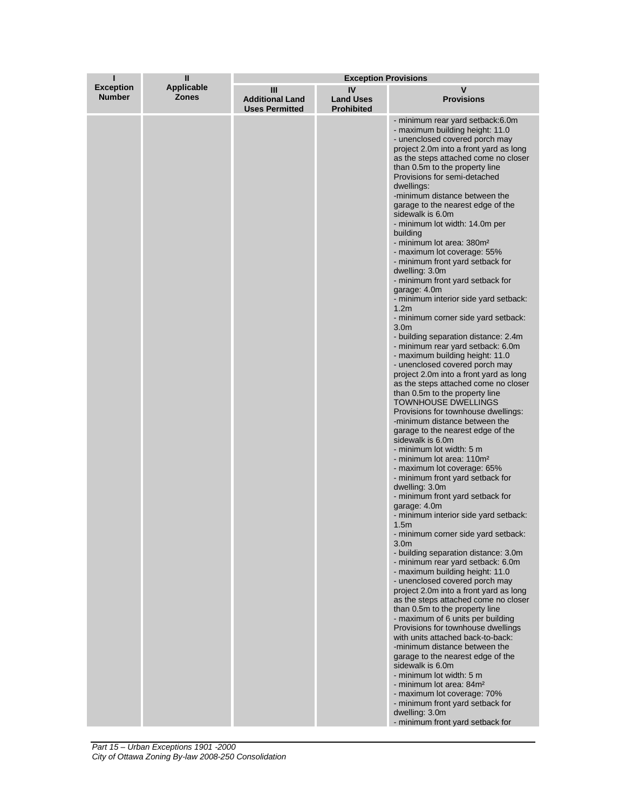| ı                                 | Ш                          | <b>Exception Provisions</b>                          |                                             |                                                                                                                                                                                                                                                                                                                                                                                                                                                                                                                                                                                                                                                                                                                                                                                                                                                                                                                                                                                                                                                                                                                                                                                                                                                                                                                                                                                                                                                                                                                                                                                                                                                                                                                                                                                                                                                                                                                                                                                                                                                                                                                                                                |
|-----------------------------------|----------------------------|------------------------------------------------------|---------------------------------------------|----------------------------------------------------------------------------------------------------------------------------------------------------------------------------------------------------------------------------------------------------------------------------------------------------------------------------------------------------------------------------------------------------------------------------------------------------------------------------------------------------------------------------------------------------------------------------------------------------------------------------------------------------------------------------------------------------------------------------------------------------------------------------------------------------------------------------------------------------------------------------------------------------------------------------------------------------------------------------------------------------------------------------------------------------------------------------------------------------------------------------------------------------------------------------------------------------------------------------------------------------------------------------------------------------------------------------------------------------------------------------------------------------------------------------------------------------------------------------------------------------------------------------------------------------------------------------------------------------------------------------------------------------------------------------------------------------------------------------------------------------------------------------------------------------------------------------------------------------------------------------------------------------------------------------------------------------------------------------------------------------------------------------------------------------------------------------------------------------------------------------------------------------------------|
| <b>Exception</b><br><b>Number</b> | Applicable<br><b>Zones</b> | Ш<br><b>Additional Land</b><br><b>Uses Permitted</b> | IV<br><b>Land Uses</b><br><b>Prohibited</b> | v<br><b>Provisions</b>                                                                                                                                                                                                                                                                                                                                                                                                                                                                                                                                                                                                                                                                                                                                                                                                                                                                                                                                                                                                                                                                                                                                                                                                                                                                                                                                                                                                                                                                                                                                                                                                                                                                                                                                                                                                                                                                                                                                                                                                                                                                                                                                         |
|                                   |                            |                                                      |                                             | - minimum rear yard setback:6.0m<br>- maximum building height: 11.0<br>- unenclosed covered porch may<br>project 2.0m into a front yard as long<br>as the steps attached come no closer<br>than 0.5m to the property line<br>Provisions for semi-detached<br>dwellings:<br>-minimum distance between the<br>garage to the nearest edge of the<br>sidewalk is 6.0m<br>- minimum lot width: 14.0m per<br>building<br>- minimum lot area: 380m <sup>2</sup><br>- maximum lot coverage: 55%<br>- minimum front yard setback for<br>dwelling: 3.0m<br>- minimum front yard setback for<br>garage: 4.0m<br>- minimum interior side yard setback:<br>1.2 <sub>m</sub><br>- minimum corner side yard setback:<br>3.0 <sub>m</sub><br>- building separation distance: 2.4m<br>- minimum rear yard setback: 6.0m<br>- maximum building height: 11.0<br>- unenclosed covered porch may<br>project 2.0m into a front yard as long<br>as the steps attached come no closer<br>than 0.5m to the property line<br>TOWNHOUSE DWELLINGS<br>Provisions for townhouse dwellings:<br>-minimum distance between the<br>garage to the nearest edge of the<br>sidewalk is 6.0m<br>- minimum lot width: 5 m<br>- minimum lot area: 110m <sup>2</sup><br>- maximum lot coverage: 65%<br>- minimum front yard setback for<br>dwelling: 3.0m<br>- minimum front yard setback for<br>garage: 4.0m<br>- minimum interior side yard setback:<br>1.5m<br>- minimum corner side yard setback:<br>3.0 <sub>m</sub><br>- building separation distance: 3.0m<br>- minimum rear yard setback: 6.0m<br>- maximum building height: 11.0<br>- unenclosed covered porch may<br>project 2.0m into a front yard as long<br>as the steps attached come no closer<br>than 0.5m to the property line<br>- maximum of 6 units per building<br>Provisions for townhouse dwellings<br>with units attached back-to-back:<br>-minimum distance between the<br>garage to the nearest edge of the<br>sidewalk is 6.0m<br>- minimum lot width: 5 m<br>- minimum lot area: 84m <sup>2</sup><br>- maximum lot coverage: 70%<br>- minimum front yard setback for<br>dwelling: 3.0m<br>- minimum front yard setback for |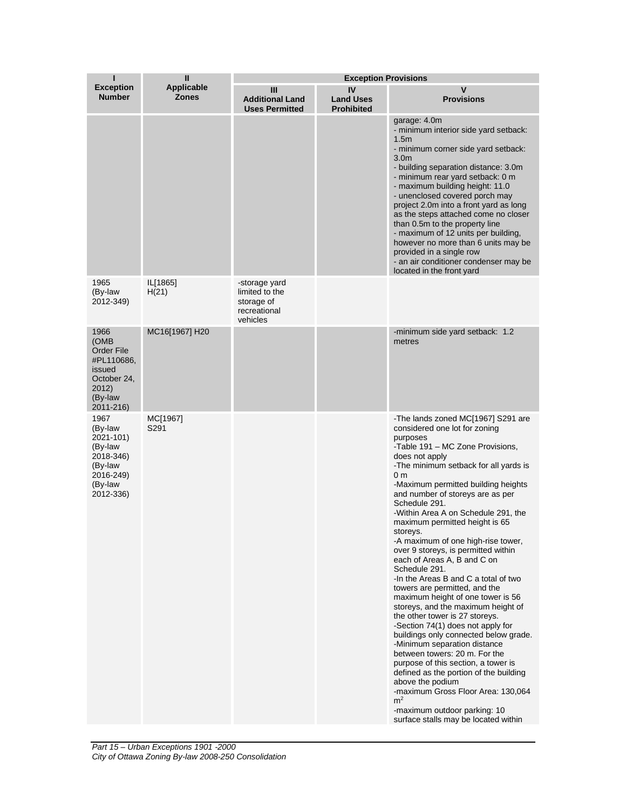| П                                                                                                         | $\mathbf{I}$                      | <b>Exception Provisions</b>                                               |                                             |                                                                                                                                                                                                                                                                                                                                                                                                                                                                                                                                                                                                                                                                                                                                                                                                                                                                                                                                                                                                                                                                                          |
|-----------------------------------------------------------------------------------------------------------|-----------------------------------|---------------------------------------------------------------------------|---------------------------------------------|------------------------------------------------------------------------------------------------------------------------------------------------------------------------------------------------------------------------------------------------------------------------------------------------------------------------------------------------------------------------------------------------------------------------------------------------------------------------------------------------------------------------------------------------------------------------------------------------------------------------------------------------------------------------------------------------------------------------------------------------------------------------------------------------------------------------------------------------------------------------------------------------------------------------------------------------------------------------------------------------------------------------------------------------------------------------------------------|
| <b>Exception</b><br><b>Number</b>                                                                         | <b>Applicable</b><br><b>Zones</b> | $\mathbf{III}$<br><b>Additional Land</b><br><b>Uses Permitted</b>         | IV<br><b>Land Uses</b><br><b>Prohibited</b> | V<br><b>Provisions</b>                                                                                                                                                                                                                                                                                                                                                                                                                                                                                                                                                                                                                                                                                                                                                                                                                                                                                                                                                                                                                                                                   |
|                                                                                                           |                                   |                                                                           |                                             | garage: 4.0m<br>- minimum interior side yard setback:<br>1.5 <sub>m</sub><br>- minimum corner side yard setback:<br>3.0 <sub>m</sub><br>- building separation distance: 3.0m<br>- minimum rear yard setback: 0 m<br>- maximum building height: 11.0<br>- unenclosed covered porch may<br>project 2.0m into a front yard as long<br>as the steps attached come no closer<br>than 0.5m to the property line<br>- maximum of 12 units per building,<br>however no more than 6 units may be<br>provided in a single row<br>- an air conditioner condenser may be<br>located in the front yard                                                                                                                                                                                                                                                                                                                                                                                                                                                                                                |
| 1965<br>(By-law<br>2012-349)                                                                              | IL[1865]<br>H(21)                 | -storage yard<br>limited to the<br>storage of<br>recreational<br>vehicles |                                             |                                                                                                                                                                                                                                                                                                                                                                                                                                                                                                                                                                                                                                                                                                                                                                                                                                                                                                                                                                                                                                                                                          |
| 1966<br>(OMB<br><b>Order File</b><br>#PL110686,<br>issued<br>October 24,<br>2012)<br>(By-law<br>2011-216) | MC16[1967] H20                    |                                                                           |                                             | -minimum side yard setback: 1.2<br>metres                                                                                                                                                                                                                                                                                                                                                                                                                                                                                                                                                                                                                                                                                                                                                                                                                                                                                                                                                                                                                                                |
| 1967<br>(By-law<br>2021-101)<br>(By-law<br>2018-346)<br>(By-law<br>2016-249)<br>(By-law<br>2012-336)      | MC[1967]<br>S291                  |                                                                           |                                             | -The lands zoned MC[1967] S291 are<br>considered one lot for zoning<br>purposes<br>-Table 191 - MC Zone Provisions,<br>does not apply<br>-The minimum setback for all yards is<br>0 <sub>m</sub><br>-Maximum permitted building heights<br>and number of storeys are as per<br>Schedule 291.<br>-Within Area A on Schedule 291, the<br>maximum permitted height is 65<br>storeys.<br>-A maximum of one high-rise tower,<br>over 9 storeys, is permitted within<br>each of Areas A, B and C on<br>Schedule 291.<br>-In the Areas B and C a total of two<br>towers are permitted, and the<br>maximum height of one tower is 56<br>storeys, and the maximum height of<br>the other tower is 27 storeys.<br>-Section 74(1) does not apply for<br>buildings only connected below grade.<br>-Minimum separation distance<br>between towers: 20 m. For the<br>purpose of this section, a tower is<br>defined as the portion of the building<br>above the podium<br>-maximum Gross Floor Area: 130,064<br>m <sup>2</sup><br>-maximum outdoor parking: 10<br>surface stalls may be located within |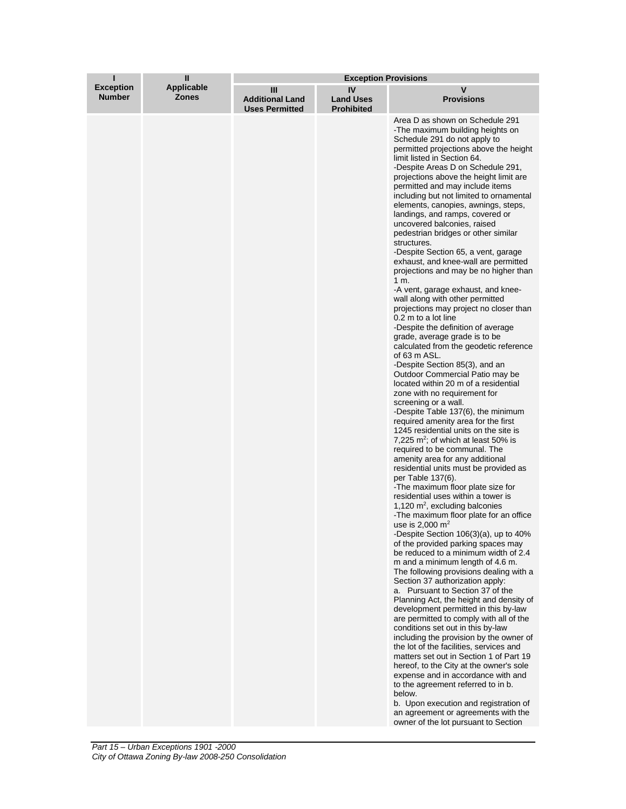| ī                                 | $\mathbf{I}$               | <b>Exception Provisions</b>                          |                                             |                                                                                                                                                                                                                                                                                                                                                                                                                                                                                                                                                                                                                                                                                                                                                                                                                                                                                                                                                                                                                                                                                                                                                                                                                                                                                                                                                                                                                                                                                                                                                                                                                                                                                                                                                                                                                                                                                                                                                                                                                                                                                                                                                                                                                                                                                                                                                                                                                             |
|-----------------------------------|----------------------------|------------------------------------------------------|---------------------------------------------|-----------------------------------------------------------------------------------------------------------------------------------------------------------------------------------------------------------------------------------------------------------------------------------------------------------------------------------------------------------------------------------------------------------------------------------------------------------------------------------------------------------------------------------------------------------------------------------------------------------------------------------------------------------------------------------------------------------------------------------------------------------------------------------------------------------------------------------------------------------------------------------------------------------------------------------------------------------------------------------------------------------------------------------------------------------------------------------------------------------------------------------------------------------------------------------------------------------------------------------------------------------------------------------------------------------------------------------------------------------------------------------------------------------------------------------------------------------------------------------------------------------------------------------------------------------------------------------------------------------------------------------------------------------------------------------------------------------------------------------------------------------------------------------------------------------------------------------------------------------------------------------------------------------------------------------------------------------------------------------------------------------------------------------------------------------------------------------------------------------------------------------------------------------------------------------------------------------------------------------------------------------------------------------------------------------------------------------------------------------------------------------------------------------------------------|
| <b>Exception</b><br><b>Number</b> | Applicable<br><b>Zones</b> | Ш<br><b>Additional Land</b><br><b>Uses Permitted</b> | IV<br><b>Land Uses</b><br><b>Prohibited</b> | v<br><b>Provisions</b>                                                                                                                                                                                                                                                                                                                                                                                                                                                                                                                                                                                                                                                                                                                                                                                                                                                                                                                                                                                                                                                                                                                                                                                                                                                                                                                                                                                                                                                                                                                                                                                                                                                                                                                                                                                                                                                                                                                                                                                                                                                                                                                                                                                                                                                                                                                                                                                                      |
|                                   |                            |                                                      |                                             | Area D as shown on Schedule 291<br>-The maximum building heights on<br>Schedule 291 do not apply to<br>permitted projections above the height<br>limit listed in Section 64.<br>-Despite Areas D on Schedule 291,<br>projections above the height limit are<br>permitted and may include items<br>including but not limited to ornamental<br>elements, canopies, awnings, steps,<br>landings, and ramps, covered or<br>uncovered balconies, raised<br>pedestrian bridges or other similar<br>structures.<br>-Despite Section 65, a vent, garage<br>exhaust, and knee-wall are permitted<br>projections and may be no higher than<br>1 m.<br>-A vent, garage exhaust, and knee-<br>wall along with other permitted<br>projections may project no closer than<br>0.2 m to a lot line<br>-Despite the definition of average<br>grade, average grade is to be<br>calculated from the geodetic reference<br>of 63 m ASL.<br>-Despite Section 85(3), and an<br>Outdoor Commercial Patio may be<br>located within 20 m of a residential<br>zone with no requirement for<br>screening or a wall.<br>-Despite Table 137(6), the minimum<br>required amenity area for the first<br>1245 residential units on the site is<br>7,225 $m^2$ ; of which at least 50% is<br>required to be communal. The<br>amenity area for any additional<br>residential units must be provided as<br>per Table 137(6).<br>-The maximum floor plate size for<br>residential uses within a tower is<br>1,120 $m^2$ , excluding balconies<br>-The maximum floor plate for an office<br>use is $2,000 \text{ m}^2$<br>-Despite Section 106(3)(a), up to 40%<br>of the provided parking spaces may<br>be reduced to a minimum width of 2.4<br>m and a minimum length of 4.6 m.<br>The following provisions dealing with a<br>Section 37 authorization apply:<br>a. Pursuant to Section 37 of the<br>Planning Act, the height and density of<br>development permitted in this by-law<br>are permitted to comply with all of the<br>conditions set out in this by-law<br>including the provision by the owner of<br>the lot of the facilities, services and<br>matters set out in Section 1 of Part 19<br>hereof, to the City at the owner's sole<br>expense and in accordance with and<br>to the agreement referred to in b.<br>below.<br>b. Upon execution and registration of<br>an agreement or agreements with the<br>owner of the lot pursuant to Section |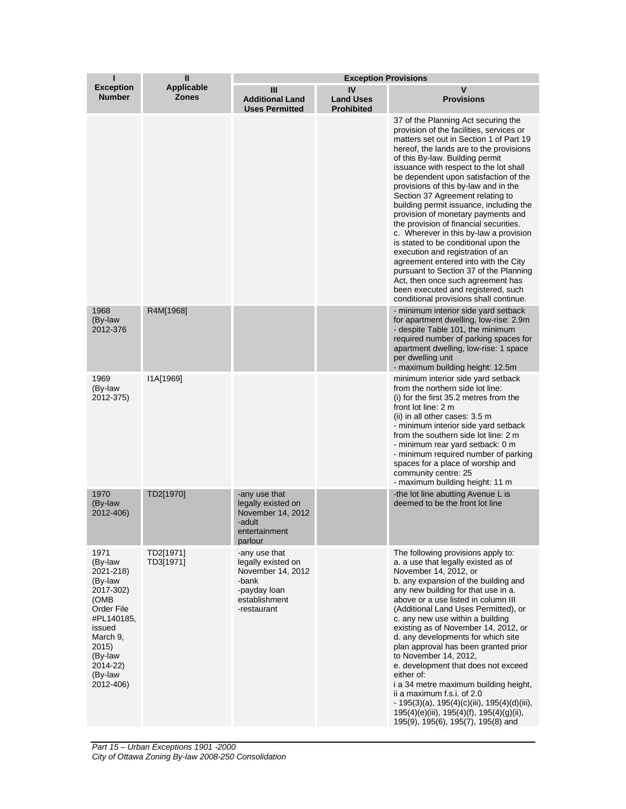| ī                                                                                                                                                                      | $\mathbf{I}$                      | <b>Exception Provisions</b>                                                                                       |                                             |                                                                                                                                                                                                                                                                                                                                                                                                                                                                                                                                                                                                                                                                                                                                                                                                                                 |
|------------------------------------------------------------------------------------------------------------------------------------------------------------------------|-----------------------------------|-------------------------------------------------------------------------------------------------------------------|---------------------------------------------|---------------------------------------------------------------------------------------------------------------------------------------------------------------------------------------------------------------------------------------------------------------------------------------------------------------------------------------------------------------------------------------------------------------------------------------------------------------------------------------------------------------------------------------------------------------------------------------------------------------------------------------------------------------------------------------------------------------------------------------------------------------------------------------------------------------------------------|
| <b>Exception</b><br><b>Number</b>                                                                                                                                      | <b>Applicable</b><br><b>Zones</b> | Ш<br><b>Additional Land</b><br><b>Uses Permitted</b>                                                              | IV<br><b>Land Uses</b><br><b>Prohibited</b> | V<br><b>Provisions</b>                                                                                                                                                                                                                                                                                                                                                                                                                                                                                                                                                                                                                                                                                                                                                                                                          |
|                                                                                                                                                                        |                                   |                                                                                                                   |                                             | 37 of the Planning Act securing the<br>provision of the facilities, services or<br>matters set out in Section 1 of Part 19<br>hereof, the lands are to the provisions<br>of this By-law. Building permit<br>issuance with respect to the lot shall<br>be dependent upon satisfaction of the<br>provisions of this by-law and in the<br>Section 37 Agreement relating to<br>building permit issuance, including the<br>provision of monetary payments and<br>the provision of financial securities.<br>c. Wherever in this by-law a provision<br>is stated to be conditional upon the<br>execution and registration of an<br>agreement entered into with the City<br>pursuant to Section 37 of the Planning<br>Act, then once such agreement has<br>been executed and registered, such<br>conditional provisions shall continue. |
| 1968<br>(By-law<br>2012-376                                                                                                                                            | R4M[1968]                         |                                                                                                                   |                                             | - minimum interior side yard setback<br>for apartment dwelling, low-rise: 2.9m<br>- despite Table 101, the minimum<br>required number of parking spaces for<br>apartment dwelling, low-rise: 1 space<br>per dwelling unit<br>- maximum building height: 12.5m                                                                                                                                                                                                                                                                                                                                                                                                                                                                                                                                                                   |
| 1969<br>(By-law<br>2012-375)                                                                                                                                           | I1A[1969]                         |                                                                                                                   |                                             | minimum interior side yard setback<br>from the northern side lot line:<br>(i) for the first 35.2 metres from the<br>front lot line: 2 m<br>(ii) in all other cases: 3.5 m<br>- minimum interior side yard setback<br>from the southern side lot line: 2 m<br>- minimum rear yard setback: 0 m<br>- minimum required number of parking<br>spaces for a place of worship and<br>community centre: 25<br>- maximum building height: 11 m                                                                                                                                                                                                                                                                                                                                                                                           |
| 1970<br>(By-law<br>2012-406)                                                                                                                                           | TD2[1970]                         | -any use that<br>legally existed on<br>November 14, 2012<br>-adult<br>entertainment<br>parlour                    |                                             | -the lot line abutting Avenue L is<br>deemed to be the front lot line                                                                                                                                                                                                                                                                                                                                                                                                                                                                                                                                                                                                                                                                                                                                                           |
| 1971<br>(By-law<br>2021-218)<br>(By-law<br>2017-302)<br>(OMB<br>Order File<br>#PL140185,<br>issued<br>March 9,<br>2015)<br>(By-law<br>2014-22)<br>(By-law<br>2012-406) | TD2[1971]<br>TD3[1971]            | -any use that<br>legally existed on<br>November 14, 2012<br>-bank<br>-payday loan<br>establishment<br>-restaurant |                                             | The following provisions apply to:<br>a. a use that legally existed as of<br>November 14, 2012, or<br>b. any expansion of the building and<br>any new building for that use in a.<br>above or a use listed in column III<br>(Additional Land Uses Permitted), or<br>c. any new use within a building<br>existing as of November 14, 2012, or<br>d. any developments for which site<br>plan approval has been granted prior<br>to November 14, 2012,<br>e. development that does not exceed<br>either of:<br>i a 34 metre maximum building height,<br>ii a maximum f.s.i. of 2.0<br>$-195(3)(a)$ , 195(4)(c)(iii), 195(4)(d)(iii),<br>$195(4)(e)(iii)$ , $195(4)(f)$ , $195(4)(g)(ii)$ ,<br>195(9), 195(6), 195(7), 195(8) and                                                                                                   |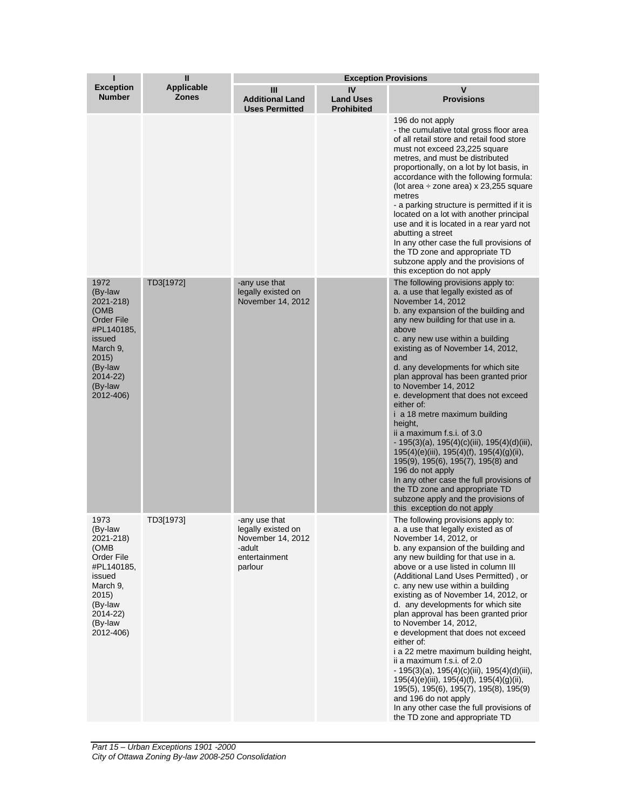| п                                                                                                                                                     | $\mathbf{I}$                      | <b>Exception Provisions</b>                                                                    |                                             |                                                                                                                                                                                                                                                                                                                                                                                                                                                                                                                                                                                                                                                                                                                                                                                                                                          |
|-------------------------------------------------------------------------------------------------------------------------------------------------------|-----------------------------------|------------------------------------------------------------------------------------------------|---------------------------------------------|------------------------------------------------------------------------------------------------------------------------------------------------------------------------------------------------------------------------------------------------------------------------------------------------------------------------------------------------------------------------------------------------------------------------------------------------------------------------------------------------------------------------------------------------------------------------------------------------------------------------------------------------------------------------------------------------------------------------------------------------------------------------------------------------------------------------------------------|
| <b>Exception</b><br><b>Number</b>                                                                                                                     | <b>Applicable</b><br><b>Zones</b> | Ш<br><b>Additional Land</b><br><b>Uses Permitted</b>                                           | IV<br><b>Land Uses</b><br><b>Prohibited</b> | $\mathbf v$<br><b>Provisions</b>                                                                                                                                                                                                                                                                                                                                                                                                                                                                                                                                                                                                                                                                                                                                                                                                         |
|                                                                                                                                                       |                                   |                                                                                                |                                             | 196 do not apply<br>- the cumulative total gross floor area<br>of all retail store and retail food store<br>must not exceed 23,225 square<br>metres, and must be distributed<br>proportionally, on a lot by lot basis, in<br>accordance with the following formula:<br>(lot area $\div$ zone area) x 23,255 square<br>metres<br>- a parking structure is permitted if it is<br>located on a lot with another principal<br>use and it is located in a rear yard not<br>abutting a street<br>In any other case the full provisions of<br>the TD zone and appropriate TD<br>subzone apply and the provisions of<br>this exception do not apply                                                                                                                                                                                              |
| 1972<br>(By-law<br>2021-218)<br>(OMB<br><b>Order File</b><br>#PL140185,<br>issued<br>March 9,<br>2015)<br>(By-law<br>2014-22)<br>(By-law<br>2012-406) | TD3[1972]                         | -any use that<br>legally existed on<br>November 14, 2012                                       |                                             | The following provisions apply to:<br>a. a use that legally existed as of<br>November 14, 2012<br>b. any expansion of the building and<br>any new building for that use in a.<br>above<br>c. any new use within a building<br>existing as of November 14, 2012,<br>and<br>d. any developments for which site<br>plan approval has been granted prior<br>to November 14, 2012<br>e. development that does not exceed<br>either of:<br><i>i</i> a 18 metre maximum building<br>height,<br>ii a maximum f.s.i. of 3.0<br>$-195(3)(a)$ , 195(4)(c)(iii), 195(4)(d)(iii),<br>$195(4)(e)(iii)$ , $195(4)(f)$ , $195(4)(g)(ii)$ ,<br>195(9), 195(6), 195(7), 195(8) and<br>196 do not apply<br>In any other case the full provisions of<br>the TD zone and appropriate TD<br>subzone apply and the provisions of<br>this exception do not apply |
| 1973<br>(By-law<br>2021-218)<br>(OMB<br>Order File<br>#PL140185,<br>issued<br>March 9,<br>2015)<br>(By-law<br>2014-22)<br>(By-law<br>2012-406)        | TD3[1973]                         | -any use that<br>legally existed on<br>November 14, 2012<br>-adult<br>entertainment<br>parlour |                                             | The following provisions apply to:<br>a. a use that legally existed as of<br>November 14, 2012, or<br>b. any expansion of the building and<br>any new building for that use in a.<br>above or a use listed in column III<br>(Additional Land Uses Permitted), or<br>c. any new use within a building<br>existing as of November 14, 2012, or<br>d. any developments for which site<br>plan approval has been granted prior<br>to November 14, 2012,<br>e development that does not exceed<br>either of:<br>i a 22 metre maximum building height,<br>ii a maximum f.s.i. of 2.0<br>$-195(3)(a)$ , 195(4)(c)(iii), 195(4)(d)(iii),<br>$195(4)(e)(iii)$ , $195(4)(f)$ , $195(4)(g)(ii)$ ,<br>195(5), 195(6), 195(7), 195(8), 195(9)<br>and 196 do not apply<br>In any other case the full provisions of<br>the TD zone and appropriate TD   |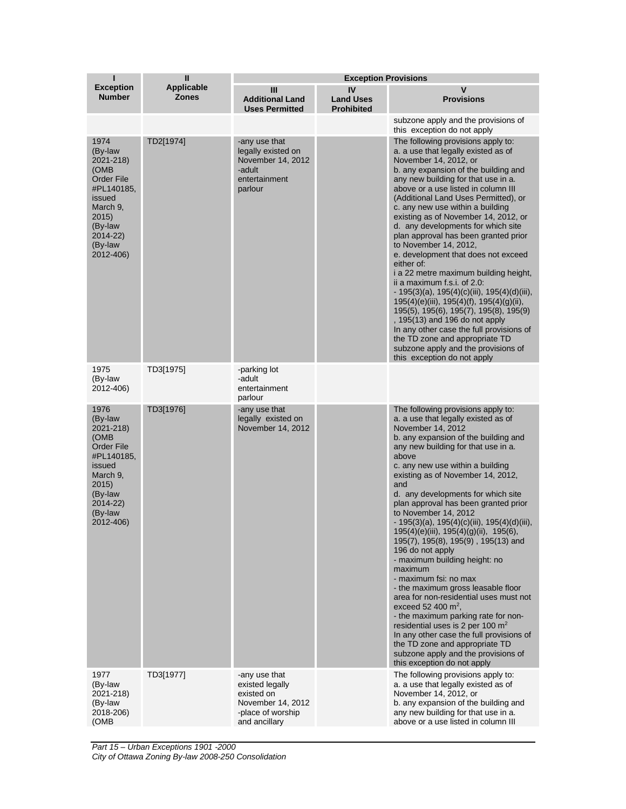| ī                                                                                                                                                     | $\mathbf{I}$               | <b>Exception Provisions</b>                                                                               |                                             |                                                                                                                                                                                                                                                                                                                                                                                                                                                                                                                                                                                                                                                                                                                                                                                                                                                                                                                                                    |
|-------------------------------------------------------------------------------------------------------------------------------------------------------|----------------------------|-----------------------------------------------------------------------------------------------------------|---------------------------------------------|----------------------------------------------------------------------------------------------------------------------------------------------------------------------------------------------------------------------------------------------------------------------------------------------------------------------------------------------------------------------------------------------------------------------------------------------------------------------------------------------------------------------------------------------------------------------------------------------------------------------------------------------------------------------------------------------------------------------------------------------------------------------------------------------------------------------------------------------------------------------------------------------------------------------------------------------------|
| <b>Exception</b><br><b>Number</b>                                                                                                                     | <b>Applicable</b><br>Zones | Ш<br><b>Additional Land</b><br><b>Uses Permitted</b>                                                      | IV<br><b>Land Uses</b><br><b>Prohibited</b> | V<br><b>Provisions</b>                                                                                                                                                                                                                                                                                                                                                                                                                                                                                                                                                                                                                                                                                                                                                                                                                                                                                                                             |
|                                                                                                                                                       |                            |                                                                                                           |                                             | subzone apply and the provisions of<br>this exception do not apply                                                                                                                                                                                                                                                                                                                                                                                                                                                                                                                                                                                                                                                                                                                                                                                                                                                                                 |
| 1974<br>(By-law<br>2021-218)<br>(OMB<br><b>Order File</b><br>#PL140185.<br>issued<br>March 9,<br>2015)<br>(By-law<br>2014-22)<br>(By-law<br>2012-406) | TD2[1974]                  | -any use that<br>legally existed on<br>November 14, 2012<br>-adult<br>entertainment<br>parlour            |                                             | The following provisions apply to:<br>a. a use that legally existed as of<br>November 14, 2012, or<br>b. any expansion of the building and<br>any new building for that use in a.<br>above or a use listed in column III<br>(Additional Land Uses Permitted), or<br>c. any new use within a building<br>existing as of November 14, 2012, or<br>d. any developments for which site<br>plan approval has been granted prior<br>to November 14, 2012,<br>e. development that does not exceed<br>either of:<br>i a 22 metre maximum building height,<br>ii a maximum f.s.i. of 2.0:<br>$-195(3)(a)$ , 195(4)(c)(iii), 195(4)(d)(iii),<br>$195(4)(e)(iii)$ , $195(4)(f)$ , $195(4)(g)(ii)$ ,<br>195(5), 195(6), 195(7), 195(8), 195(9)<br>, 195(13) and 196 do not apply<br>In any other case the full provisions of<br>the TD zone and appropriate TD<br>subzone apply and the provisions of<br>this exception do not apply                           |
| 1975<br>(By-law<br>2012-406)                                                                                                                          | TD3[1975]                  | -parking lot<br>-adult<br>entertainment<br>parlour                                                        |                                             |                                                                                                                                                                                                                                                                                                                                                                                                                                                                                                                                                                                                                                                                                                                                                                                                                                                                                                                                                    |
| 1976<br>(By-law<br>2021-218)<br>(OMB<br><b>Order File</b><br>#PL140185,<br>issued<br>March 9,<br>2015)<br>(By-law<br>2014-22)<br>(By-law<br>2012-406) | TD3[1976]                  | -any use that<br>legally existed on<br>November 14, 2012                                                  |                                             | The following provisions apply to:<br>a. a use that legally existed as of<br>November 14, 2012<br>b. any expansion of the building and<br>any new building for that use in a.<br>above<br>c. any new use within a building<br>existing as of November 14, 2012,<br>and<br>d. any developments for which site<br>plan approval has been granted prior<br>to November 14, 2012<br>$-195(3)(a)$ , 195(4)(c)(iii), 195(4)(d)(iii),<br>195(4)(e)(iii), 195(4)(g)(ii), 195(6),<br>195(7), 195(8), 195(9), 195(13) and<br>196 do not apply<br>- maximum building height: no<br>maximum<br>- maximum fsi: no max<br>- the maximum gross leasable floor<br>area for non-residential uses must not<br>exceed 52 400 $m^2$ ,<br>- the maximum parking rate for non-<br>residential uses is 2 per 100 $m2$<br>In any other case the full provisions of<br>the TD zone and appropriate TD<br>subzone apply and the provisions of<br>this exception do not apply |
| 1977<br>(By-law<br>2021-218)<br>(By-law<br>2018-206)<br>(OMB                                                                                          | TD3[1977]                  | -any use that<br>existed legally<br>existed on<br>November 14, 2012<br>-place of worship<br>and ancillary |                                             | The following provisions apply to:<br>a. a use that legally existed as of<br>November 14, 2012, or<br>b. any expansion of the building and<br>any new building for that use in a.<br>above or a use listed in column III                                                                                                                                                                                                                                                                                                                                                                                                                                                                                                                                                                                                                                                                                                                           |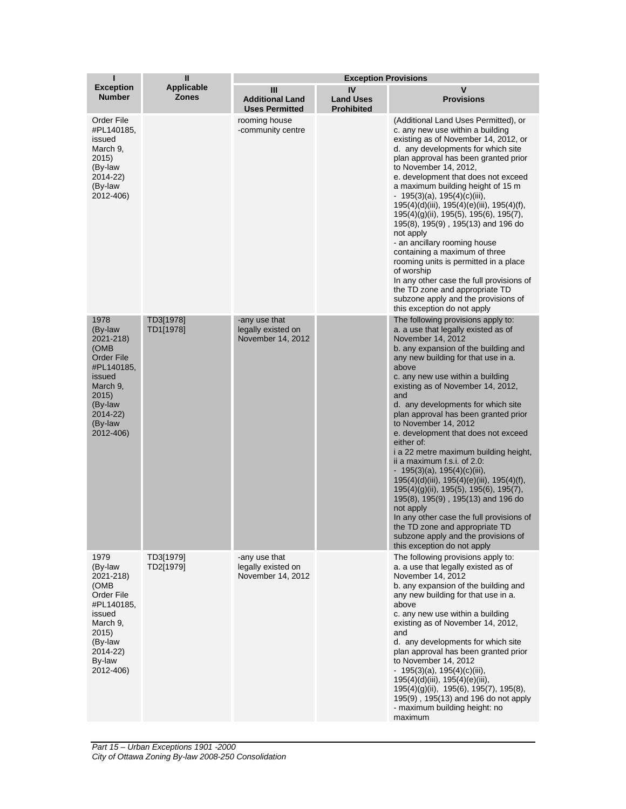| ī                                                                                                                                                     | $\mathbf{I}$                      | <b>Exception Provisions</b>                              |                                             |                                                                                                                                                                                                                                                                                                                                                                                                                                                                                                                                                                                                                                                                                                                                                                                                                                           |
|-------------------------------------------------------------------------------------------------------------------------------------------------------|-----------------------------------|----------------------------------------------------------|---------------------------------------------|-------------------------------------------------------------------------------------------------------------------------------------------------------------------------------------------------------------------------------------------------------------------------------------------------------------------------------------------------------------------------------------------------------------------------------------------------------------------------------------------------------------------------------------------------------------------------------------------------------------------------------------------------------------------------------------------------------------------------------------------------------------------------------------------------------------------------------------------|
| <b>Exception</b><br><b>Number</b>                                                                                                                     | <b>Applicable</b><br><b>Zones</b> | Ш<br><b>Additional Land</b><br><b>Uses Permitted</b>     | IV<br><b>Land Uses</b><br><b>Prohibited</b> | $\mathbf v$<br><b>Provisions</b>                                                                                                                                                                                                                                                                                                                                                                                                                                                                                                                                                                                                                                                                                                                                                                                                          |
| Order File<br>#PL140185,<br>issued<br>March 9,<br>2015)<br>(By-law<br>2014-22)<br>(By-law<br>2012-406)                                                |                                   | rooming house<br>-community centre                       |                                             | (Additional Land Uses Permitted), or<br>c. any new use within a building<br>existing as of November 14, 2012, or<br>d. any developments for which site<br>plan approval has been granted prior<br>to November 14, 2012,<br>e. development that does not exceed<br>a maximum building height of 15 m<br>- 195(3)(a), 195(4)(c)(iii),<br>195(4)(d)(iii), 195(4)(e)(iii), 195(4)(f),<br>195(4)(g)(ii), 195(5), 195(6), 195(7),<br>195(8), 195(9), 195(13) and 196 do<br>not apply<br>- an ancillary rooming house<br>containing a maximum of three<br>rooming units is permitted in a place<br>of worship<br>In any other case the full provisions of<br>the TD zone and appropriate TD<br>subzone apply and the provisions of<br>this exception do not apply                                                                                |
| 1978<br>(By-law<br>2021-218)<br>(OMB<br><b>Order File</b><br>#PL140185,<br>issued<br>March 9,<br>2015)<br>(By-law<br>2014-22)<br>(By-law<br>2012-406) | TD3[1978]<br>TD1[1978]            | -any use that<br>legally existed on<br>November 14, 2012 |                                             | The following provisions apply to:<br>a. a use that legally existed as of<br>November 14, 2012<br>b. any expansion of the building and<br>any new building for that use in a.<br>above<br>c. any new use within a building<br>existing as of November 14, 2012,<br>and<br>d. any developments for which site<br>plan approval has been granted prior<br>to November 14, 2012<br>e. development that does not exceed<br>either of:<br>i a 22 metre maximum building height,<br>ii a maximum f.s.i. of 2.0:<br>$-195(3)(a), 195(4)(c)(iii),$<br>195(4)(d)(iii), 195(4)(e)(iii), 195(4)(f),<br>195(4)(g)(ii), 195(5), 195(6), 195(7),<br>195(8), 195(9), 195(13) and 196 do<br>not apply<br>In any other case the full provisions of<br>the TD zone and appropriate TD<br>subzone apply and the provisions of<br>this exception do not apply |
| 1979<br>(By-law<br>2021-218)<br>(OMB<br>Order File<br>#PL140185,<br>issued<br>March 9,<br>2015)<br>(By-law<br>2014-22)<br>By-law<br>2012-406)         | TD3[1979]<br>TD2[1979]            | -any use that<br>legally existed on<br>November 14, 2012 |                                             | The following provisions apply to:<br>a. a use that legally existed as of<br>November 14, 2012<br>b. any expansion of the building and<br>any new building for that use in a.<br>above<br>c. any new use within a building<br>existing as of November 14, 2012,<br>and<br>d. any developments for which site<br>plan approval has been granted prior<br>to November 14, 2012<br>$-195(3)(a)$ , 195(4)(c)(iii),<br>195(4)(d)(iii), 195(4)(e)(iii),<br>195(4)(g)(ii), 195(6), 195(7), 195(8),<br>195(9), 195(13) and 196 do not apply<br>- maximum building height: no<br>maximum                                                                                                                                                                                                                                                           |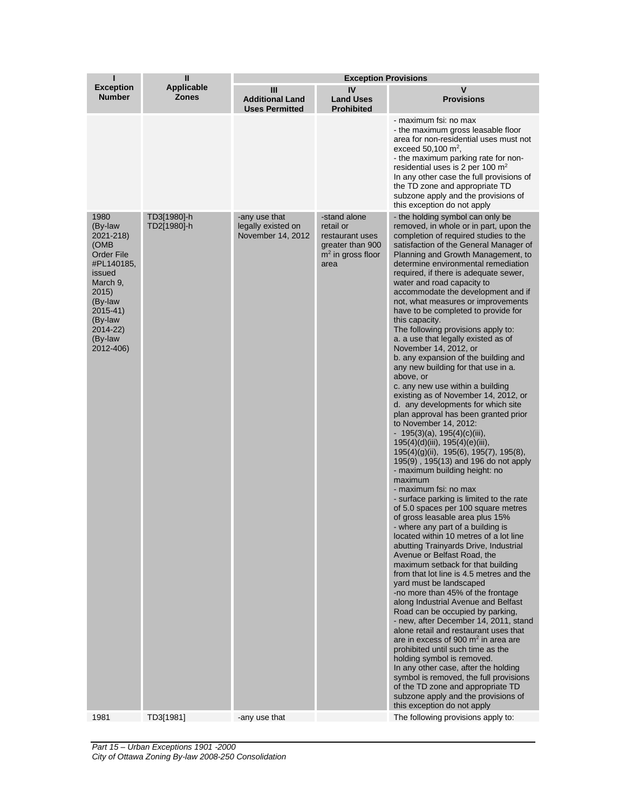| ī                                                                                                                                                                           | $\mathbf{I}$               | <b>Exception Provisions</b>                              |                                                                                                 |                                                                                                                                                                                                                                                                                                                                                                                                                                                                                                                                                                                                                                                                                                                                                                                                                                                                                                                                                                                                                                                                                                                                                                                                                                                                                                                                                                                                                                                                                                                                                                                                                                                                                                                                                                                                                                                                                                                                                                           |
|-----------------------------------------------------------------------------------------------------------------------------------------------------------------------------|----------------------------|----------------------------------------------------------|-------------------------------------------------------------------------------------------------|---------------------------------------------------------------------------------------------------------------------------------------------------------------------------------------------------------------------------------------------------------------------------------------------------------------------------------------------------------------------------------------------------------------------------------------------------------------------------------------------------------------------------------------------------------------------------------------------------------------------------------------------------------------------------------------------------------------------------------------------------------------------------------------------------------------------------------------------------------------------------------------------------------------------------------------------------------------------------------------------------------------------------------------------------------------------------------------------------------------------------------------------------------------------------------------------------------------------------------------------------------------------------------------------------------------------------------------------------------------------------------------------------------------------------------------------------------------------------------------------------------------------------------------------------------------------------------------------------------------------------------------------------------------------------------------------------------------------------------------------------------------------------------------------------------------------------------------------------------------------------------------------------------------------------------------------------------------------------|
| <b>Exception</b><br><b>Number</b>                                                                                                                                           | <b>Applicable</b><br>Zones | III<br><b>Additional Land</b><br><b>Uses Permitted</b>   | IV<br><b>Land Uses</b><br><b>Prohibited</b>                                                     | V<br><b>Provisions</b>                                                                                                                                                                                                                                                                                                                                                                                                                                                                                                                                                                                                                                                                                                                                                                                                                                                                                                                                                                                                                                                                                                                                                                                                                                                                                                                                                                                                                                                                                                                                                                                                                                                                                                                                                                                                                                                                                                                                                    |
|                                                                                                                                                                             |                            |                                                          |                                                                                                 | - maximum fsi: no max<br>- the maximum gross leasable floor<br>area for non-residential uses must not<br>exceed 50,100 $m^2$ ,<br>- the maximum parking rate for non-<br>residential uses is 2 per 100 $m2$<br>In any other case the full provisions of<br>the TD zone and appropriate TD<br>subzone apply and the provisions of<br>this exception do not apply                                                                                                                                                                                                                                                                                                                                                                                                                                                                                                                                                                                                                                                                                                                                                                                                                                                                                                                                                                                                                                                                                                                                                                                                                                                                                                                                                                                                                                                                                                                                                                                                           |
| 1980<br>(By-law<br>2021-218)<br>(OMB<br><b>Order File</b><br>#PL140185,<br>issued<br>March 9,<br>2015<br>(By-law<br>2015-41)<br>(By-law<br>2014-22)<br>(By-law<br>2012-406) | TD3[1980]-h<br>TD2[1980]-h | -any use that<br>legally existed on<br>November 14, 2012 | -stand alone<br>retail or<br>restaurant uses<br>greater than 900<br>$m2$ in gross floor<br>area | - the holding symbol can only be<br>removed, in whole or in part, upon the<br>completion of required studies to the<br>satisfaction of the General Manager of<br>Planning and Growth Management, to<br>determine environmental remediation<br>required, if there is adequate sewer,<br>water and road capacity to<br>accommodate the development and if<br>not, what measures or improvements<br>have to be completed to provide for<br>this capacity.<br>The following provisions apply to:<br>a. a use that legally existed as of<br>November 14, 2012, or<br>b. any expansion of the building and<br>any new building for that use in a.<br>above, or<br>c. any new use within a building<br>existing as of November 14, 2012, or<br>d. any developments for which site<br>plan approval has been granted prior<br>to November 14, 2012:<br>- 195(3)(a), 195(4)(c)(iii),<br>195(4)(d)(iii), 195(4)(e)(iii),<br>195(4)(g)(ii), 195(6), 195(7), 195(8),<br>195(9), 195(13) and 196 do not apply<br>- maximum building height: no<br>maximum<br>- maximum fsi: no max<br>- surface parking is limited to the rate<br>of 5.0 spaces per 100 square metres<br>of gross leasable area plus 15%<br>- where any part of a building is<br>located within 10 metres of a lot line<br>abutting Trainyards Drive, Industrial<br>Avenue or Belfast Road, the<br>maximum setback for that building<br>from that lot line is 4.5 metres and the<br>yard must be landscaped<br>-no more than 45% of the frontage<br>along Industrial Avenue and Belfast<br>Road can be occupied by parking,<br>- new, after December 14, 2011, stand<br>alone retail and restaurant uses that<br>are in excess of 900 $m2$ in area are<br>prohibited until such time as the<br>holding symbol is removed.<br>In any other case, after the holding<br>symbol is removed, the full provisions<br>of the TD zone and appropriate TD<br>subzone apply and the provisions of<br>this exception do not apply |
| 1981                                                                                                                                                                        | TD3[1981]                  | -any use that                                            |                                                                                                 | The following provisions apply to:                                                                                                                                                                                                                                                                                                                                                                                                                                                                                                                                                                                                                                                                                                                                                                                                                                                                                                                                                                                                                                                                                                                                                                                                                                                                                                                                                                                                                                                                                                                                                                                                                                                                                                                                                                                                                                                                                                                                        |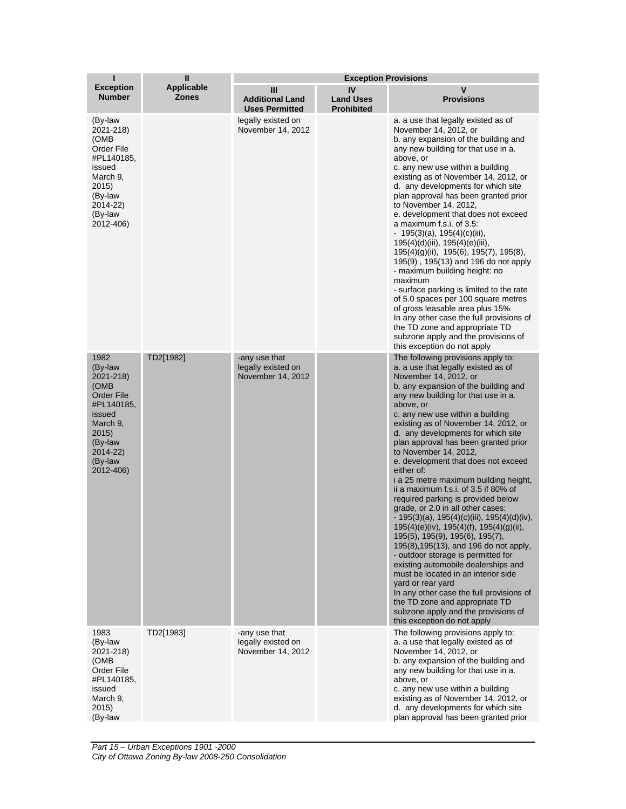| ı                                                                                                                                                      | $\mathbf{I}$                      | <b>Exception Provisions</b>                              |                                             |                                                                                                                                                                                                                                                                                                                                                                                                                                                                                                                                                                                                                                                                                                                                                                                                                                                                                                                                                                                                                                                                           |  |
|--------------------------------------------------------------------------------------------------------------------------------------------------------|-----------------------------------|----------------------------------------------------------|---------------------------------------------|---------------------------------------------------------------------------------------------------------------------------------------------------------------------------------------------------------------------------------------------------------------------------------------------------------------------------------------------------------------------------------------------------------------------------------------------------------------------------------------------------------------------------------------------------------------------------------------------------------------------------------------------------------------------------------------------------------------------------------------------------------------------------------------------------------------------------------------------------------------------------------------------------------------------------------------------------------------------------------------------------------------------------------------------------------------------------|--|
| <b>Exception</b><br><b>Number</b>                                                                                                                      | <b>Applicable</b><br><b>Zones</b> | Ш<br><b>Additional Land</b><br><b>Uses Permitted</b>     | IV<br><b>Land Uses</b><br><b>Prohibited</b> | v<br><b>Provisions</b>                                                                                                                                                                                                                                                                                                                                                                                                                                                                                                                                                                                                                                                                                                                                                                                                                                                                                                                                                                                                                                                    |  |
| (By-law<br>2021-218)<br>(OMB)<br>Order File<br>#PL140185,<br>issued<br>March 9,<br>2015)<br>(By-law<br>2014-22)<br>(By-law<br>2012-406)                |                                   | legally existed on<br>November 14, 2012                  |                                             | a. a use that legally existed as of<br>November 14, 2012, or<br>b. any expansion of the building and<br>any new building for that use in a.<br>above, or<br>c. any new use within a building<br>existing as of November 14, 2012, or<br>d. any developments for which site<br>plan approval has been granted prior<br>to November 14, 2012,<br>e. development that does not exceed<br>a maximum f.s.i. of 3.5:<br>$-195(3)(a)$ , 195(4)(c)(iii),<br>195(4)(d)(iii), 195(4)(e)(iii),<br>195(4)(g)(ii), 195(6), 195(7), 195(8),<br>195(9), 195(13) and 196 do not apply<br>- maximum building height: no<br>maximum<br>- surface parking is limited to the rate<br>of 5.0 spaces per 100 square metres<br>of gross leasable area plus 15%<br>In any other case the full provisions of<br>the TD zone and appropriate TD<br>subzone apply and the provisions of<br>this exception do not apply                                                                                                                                                                               |  |
| 1982<br>(By-law<br>2021-218)<br>(OMB)<br><b>Order File</b><br>#PL140185,<br>issued<br>March 9,<br>2015)<br>(By-law<br>2014-22)<br>(By-law<br>2012-406) | TD2[1982]                         | -any use that<br>legally existed on<br>November 14, 2012 |                                             | The following provisions apply to:<br>a. a use that legally existed as of<br>November 14, 2012, or<br>b. any expansion of the building and<br>any new building for that use in a.<br>above, or<br>c. any new use within a building<br>existing as of November 14, 2012, or<br>d. any developments for which site<br>plan approval has been granted prior<br>to November 14, 2012,<br>e. development that does not exceed<br>either of:<br>i a 25 metre maximum building height,<br>ii a maximum f.s.i. of 3.5 if 80% of<br>required parking is provided below<br>grade, or 2.0 in all other cases:<br>$-195(3)(a)$ , 195(4)(c)(iii), 195(4)(d)(iv),<br>195(4)(e)(iv), 195(4)(f), 195(4)(g)(ii),<br>195(5), 195(9), 195(6), 195(7),<br>195(8), 195(13), and 196 do not apply,<br>- outdoor storage is permitted for<br>existing automobile dealerships and<br>must be located in an interior side<br>yard or rear yard<br>In any other case the full provisions of<br>the TD zone and appropriate TD<br>subzone apply and the provisions of<br>this exception do not apply |  |
| 1983<br>(By-law<br>2021-218)<br>(OMB<br>Order File<br>#PL140185,<br>issued<br>March 9,<br>2015)<br>(By-law                                             | TD2[1983]                         | -any use that<br>legally existed on<br>November 14, 2012 |                                             | The following provisions apply to:<br>a. a use that legally existed as of<br>November 14, 2012, or<br>b. any expansion of the building and<br>any new building for that use in a.<br>above, or<br>c. any new use within a building<br>existing as of November 14, 2012, or<br>d. any developments for which site<br>plan approval has been granted prior                                                                                                                                                                                                                                                                                                                                                                                                                                                                                                                                                                                                                                                                                                                  |  |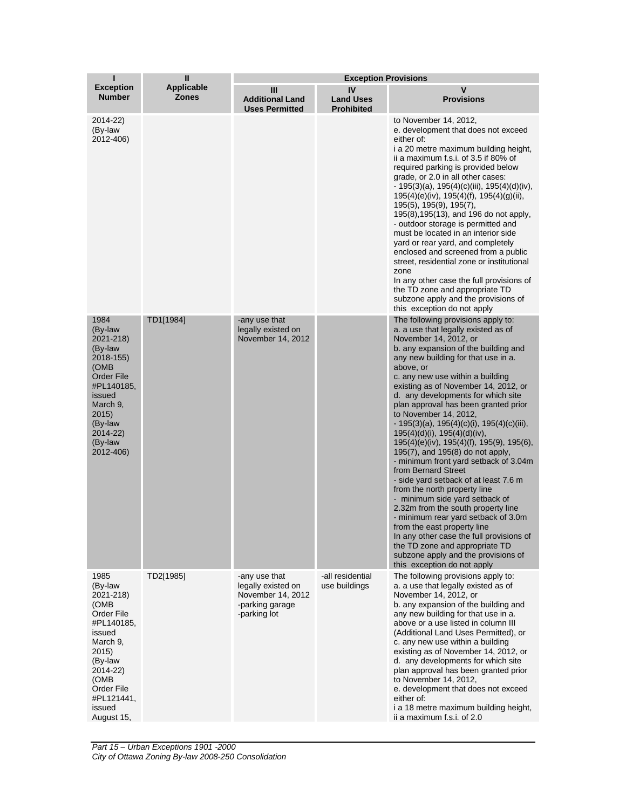| п<br>$\mathbf{I}$<br><b>Exception Provisions</b>                                                                                                                                   |                                   |                                                                                             |                                             |                                                                                                                                                                                                                                                                                                                                                                                                                                                                                                                                                                                                                                                                                                                                                                                                                                                                                                                                                                                                   |
|------------------------------------------------------------------------------------------------------------------------------------------------------------------------------------|-----------------------------------|---------------------------------------------------------------------------------------------|---------------------------------------------|---------------------------------------------------------------------------------------------------------------------------------------------------------------------------------------------------------------------------------------------------------------------------------------------------------------------------------------------------------------------------------------------------------------------------------------------------------------------------------------------------------------------------------------------------------------------------------------------------------------------------------------------------------------------------------------------------------------------------------------------------------------------------------------------------------------------------------------------------------------------------------------------------------------------------------------------------------------------------------------------------|
| <b>Exception</b><br><b>Number</b>                                                                                                                                                  | <b>Applicable</b><br><b>Zones</b> | Ш<br><b>Additional Land</b><br><b>Uses Permitted</b>                                        | IV<br><b>Land Uses</b><br><b>Prohibited</b> | v<br><b>Provisions</b>                                                                                                                                                                                                                                                                                                                                                                                                                                                                                                                                                                                                                                                                                                                                                                                                                                                                                                                                                                            |
| 2014-22)<br>(By-law<br>2012-406)                                                                                                                                                   |                                   |                                                                                             |                                             | to November 14, 2012,<br>e. development that does not exceed<br>either of:<br>i a 20 metre maximum building height,<br>ii a maximum f.s.i. of 3.5 if 80% of<br>required parking is provided below<br>grade, or 2.0 in all other cases:<br>$-195(3)(a)$ , 195(4)(c)(iii), 195(4)(d)(iv),<br>$195(4)(e)(iv)$ , $195(4)(f)$ , $195(4)(g)(ii)$ ,<br>195(5), 195(9), 195(7),<br>195(8), 195(13), and 196 do not apply,<br>- outdoor storage is permitted and<br>must be located in an interior side<br>yard or rear yard, and completely<br>enclosed and screened from a public<br>street, residential zone or institutional<br>zone<br>In any other case the full provisions of<br>the TD zone and appropriate TD<br>subzone apply and the provisions of<br>this exception do not apply                                                                                                                                                                                                               |
| 1984<br>(By-law<br>2021-218)<br>(By-law<br>2018-155)<br>(OMB<br>Order File<br>#PL140185,<br>issued<br>March 9,<br>2015)<br>(By-law<br>2014-22)<br>(By-law<br>2012-406)             | TD1[1984]                         | -any use that<br>legally existed on<br>November 14, 2012                                    |                                             | The following provisions apply to:<br>a. a use that legally existed as of<br>November 14, 2012, or<br>b. any expansion of the building and<br>any new building for that use in a.<br>above, or<br>c. any new use within a building<br>existing as of November 14, 2012, or<br>d. any developments for which site<br>plan approval has been granted prior<br>to November 14, 2012,<br>- 195(3)(a), 195(4)(c)(i), 195(4)(c)(iii),<br>$195(4)(d)(i)$ , $195(4)(d)(iv)$ ,<br>195(4)(e)(iv), 195(4)(f), 195(9), 195(6),<br>195(7), and 195(8) do not apply,<br>- minimum front yard setback of 3.04m<br>from Bernard Street<br>- side yard setback of at least 7.6 m<br>from the north property line<br>- minimum side yard setback of<br>2.32m from the south property line<br>- minimum rear yard setback of 3.0m<br>from the east property line<br>In any other case the full provisions of<br>the TD zone and appropriate TD<br>subzone apply and the provisions of<br>this exception do not apply |
| 1985<br>(By-law<br>2021-218)<br>(OMB<br>Order File<br>#PL140185,<br>issued<br>March 9,<br>2015)<br>(By-law<br>2014-22)<br>(OMB<br>Order File<br>#PL121441,<br>issued<br>August 15, | TD2[1985]                         | -any use that<br>legally existed on<br>November 14, 2012<br>-parking garage<br>-parking lot | -all residential<br>use buildings           | The following provisions apply to:<br>a. a use that legally existed as of<br>November 14, 2012, or<br>b. any expansion of the building and<br>any new building for that use in a.<br>above or a use listed in column III<br>(Additional Land Uses Permitted), or<br>c. any new use within a building<br>existing as of November 14, 2012, or<br>d. any developments for which site<br>plan approval has been granted prior<br>to November 14, 2012,<br>e. development that does not exceed<br>either of:<br>i a 18 metre maximum building height,<br>ii a maximum f.s.i. of 2.0                                                                                                                                                                                                                                                                                                                                                                                                                   |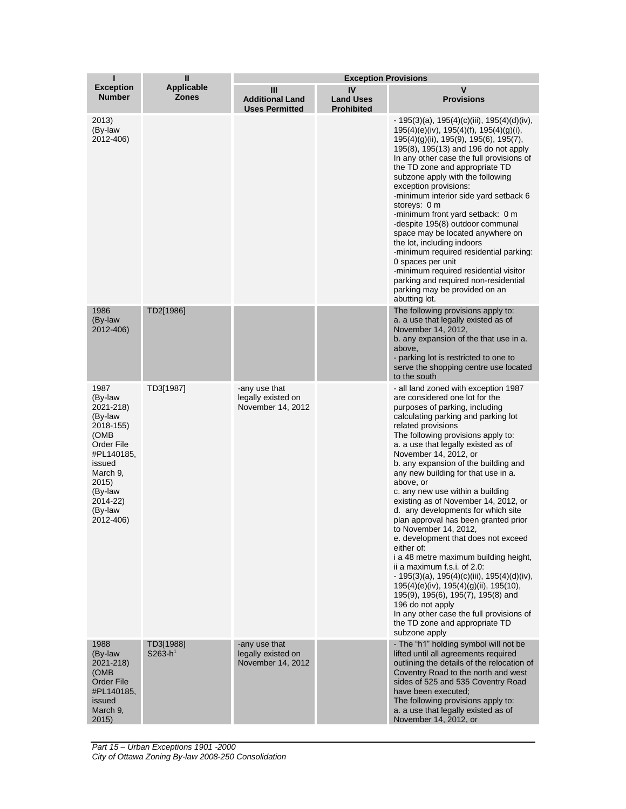| Т                                                                                                                                                                      | $\mathbf{I}$                      | <b>Exception Provisions</b>                              |                                             |                                                                                                                                                                                                                                                                                                                                                                                                                                                                                                                                                                                                                                                                                                                                                                                                                                                                                                                                                      |
|------------------------------------------------------------------------------------------------------------------------------------------------------------------------|-----------------------------------|----------------------------------------------------------|---------------------------------------------|------------------------------------------------------------------------------------------------------------------------------------------------------------------------------------------------------------------------------------------------------------------------------------------------------------------------------------------------------------------------------------------------------------------------------------------------------------------------------------------------------------------------------------------------------------------------------------------------------------------------------------------------------------------------------------------------------------------------------------------------------------------------------------------------------------------------------------------------------------------------------------------------------------------------------------------------------|
| <b>Exception</b><br><b>Number</b>                                                                                                                                      | <b>Applicable</b><br><b>Zones</b> | Ш<br><b>Additional Land</b><br><b>Uses Permitted</b>     | IV<br><b>Land Uses</b><br><b>Prohibited</b> | v<br><b>Provisions</b>                                                                                                                                                                                                                                                                                                                                                                                                                                                                                                                                                                                                                                                                                                                                                                                                                                                                                                                               |
| 2013)<br>(By-law<br>2012-406)                                                                                                                                          |                                   |                                                          |                                             | $-195(3)(a)$ , 195(4)(c)(iii), 195(4)(d)(iv),<br>$195(4)(e)(iv)$ , $195(4)(f)$ , $195(4)(g)(i)$ ,<br>195(4)(g)(ii), 195(9), 195(6), 195(7),<br>195(8), 195(13) and 196 do not apply<br>In any other case the full provisions of<br>the TD zone and appropriate TD<br>subzone apply with the following<br>exception provisions:<br>-minimum interior side yard setback 6<br>storeys: 0 m<br>-minimum front yard setback: 0 m<br>-despite 195(8) outdoor communal<br>space may be located anywhere on<br>the lot, including indoors<br>-minimum required residential parking:<br>0 spaces per unit<br>-minimum required residential visitor<br>parking and required non-residential<br>parking may be provided on an<br>abutting lot.                                                                                                                                                                                                                  |
| 1986<br>(By-law<br>2012-406)                                                                                                                                           | TD2[1986]                         |                                                          |                                             | The following provisions apply to:<br>a. a use that legally existed as of<br>November 14, 2012,<br>b. any expansion of the that use in a.<br>above,<br>- parking lot is restricted to one to<br>serve the shopping centre use located<br>to the south                                                                                                                                                                                                                                                                                                                                                                                                                                                                                                                                                                                                                                                                                                |
| 1987<br>(By-law<br>2021-218)<br>(By-law<br>2018-155)<br>(OMB<br>Order File<br>#PL140185,<br>issued<br>March 9,<br>2015)<br>(By-law<br>2014-22)<br>(By-law<br>2012-406) | TD3[1987]                         | -any use that<br>legally existed on<br>November 14, 2012 |                                             | - all land zoned with exception 1987<br>are considered one lot for the<br>purposes of parking, including<br>calculating parking and parking lot<br>related provisions<br>The following provisions apply to:<br>a. a use that legally existed as of<br>November 14, 2012, or<br>b. any expansion of the building and<br>any new building for that use in a.<br>above, or<br>c. any new use within a building<br>existing as of November 14, 2012, or<br>d. any developments for which site<br>plan approval has been granted prior<br>to November 14, 2012,<br>e. development that does not exceed<br>either of:<br>i a 48 metre maximum building height,<br>ii a maximum f.s.i. of 2.0:<br>$-195(3)(a)$ , 195(4)(c)(iii), 195(4)(d)(iv),<br>$195(4)(e)(iv)$ , $195(4)(g)(ii)$ , $195(10)$ ,<br>195(9), 195(6), 195(7), 195(8) and<br>196 do not apply<br>In any other case the full provisions of<br>the TD zone and appropriate TD<br>subzone apply |
| 1988<br>(By-law<br>2021-218)<br>(OMB<br>Order File<br>#PL140185,<br>issued<br>March 9,<br>2015)                                                                        | TD3[1988]<br>$S263-h1$            | -any use that<br>legally existed on<br>November 14, 2012 |                                             | - The "h1" holding symbol will not be<br>lifted until all agreements required<br>outlining the details of the relocation of<br>Coventry Road to the north and west<br>sides of 525 and 535 Coventry Road<br>have been executed;<br>The following provisions apply to:<br>a. a use that legally existed as of<br>November 14, 2012, or                                                                                                                                                                                                                                                                                                                                                                                                                                                                                                                                                                                                                |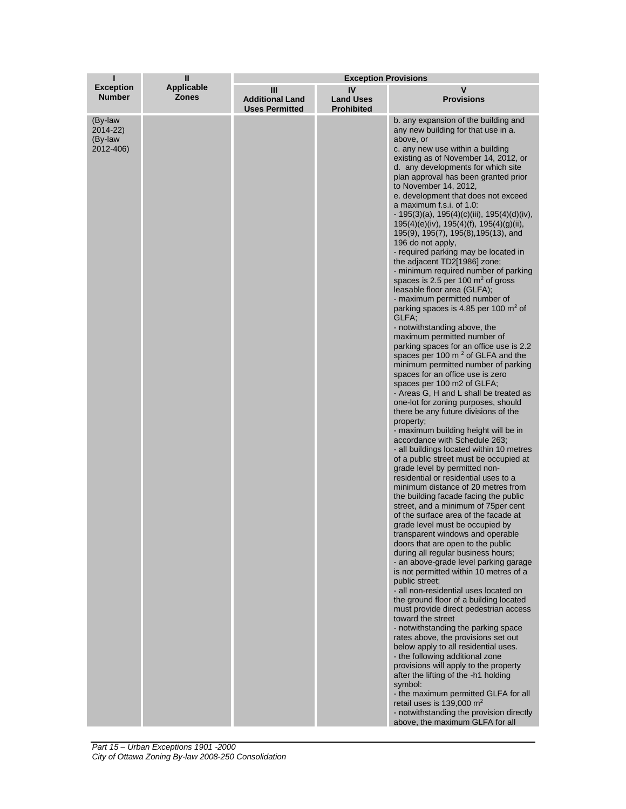| п                                           | $\mathbf{I}$                      | <b>Exception Provisions</b>                          |                                             |                                                                                                                                                                                                                                                                                                                                                                                                                                                                                                                                                                                                                                                                                                                                                                                                                                                                                                                                                                                                                                                                                                                                                                                                                                                                                                                                                                                                                                                                                                                                                                                                                                                                                                                                                                                                                                                                                                                                                                                                                                                                                                                                                                                                                                                                                                                                                                                                                                          |
|---------------------------------------------|-----------------------------------|------------------------------------------------------|---------------------------------------------|------------------------------------------------------------------------------------------------------------------------------------------------------------------------------------------------------------------------------------------------------------------------------------------------------------------------------------------------------------------------------------------------------------------------------------------------------------------------------------------------------------------------------------------------------------------------------------------------------------------------------------------------------------------------------------------------------------------------------------------------------------------------------------------------------------------------------------------------------------------------------------------------------------------------------------------------------------------------------------------------------------------------------------------------------------------------------------------------------------------------------------------------------------------------------------------------------------------------------------------------------------------------------------------------------------------------------------------------------------------------------------------------------------------------------------------------------------------------------------------------------------------------------------------------------------------------------------------------------------------------------------------------------------------------------------------------------------------------------------------------------------------------------------------------------------------------------------------------------------------------------------------------------------------------------------------------------------------------------------------------------------------------------------------------------------------------------------------------------------------------------------------------------------------------------------------------------------------------------------------------------------------------------------------------------------------------------------------------------------------------------------------------------------------------------------------|
| <b>Exception</b><br><b>Number</b>           | <b>Applicable</b><br><b>Zones</b> | Ш<br><b>Additional Land</b><br><b>Uses Permitted</b> | IV<br><b>Land Uses</b><br><b>Prohibited</b> | v<br><b>Provisions</b>                                                                                                                                                                                                                                                                                                                                                                                                                                                                                                                                                                                                                                                                                                                                                                                                                                                                                                                                                                                                                                                                                                                                                                                                                                                                                                                                                                                                                                                                                                                                                                                                                                                                                                                                                                                                                                                                                                                                                                                                                                                                                                                                                                                                                                                                                                                                                                                                                   |
| (By-law<br>2014-22)<br>(By-law<br>2012-406) |                                   |                                                      |                                             | b. any expansion of the building and<br>any new building for that use in a.<br>above, or<br>c. any new use within a building<br>existing as of November 14, 2012, or<br>d. any developments for which site<br>plan approval has been granted prior<br>to November 14, 2012,<br>e. development that does not exceed<br>a maximum f.s.i. of 1.0:<br>$-195(3)(a)$ , 195(4)(c)(iii), 195(4)(d)(iv),<br>$195(4)(e)(iv)$ , $195(4)(f)$ , $195(4)(g)(ii)$ ,<br>195(9), 195(7), 195(8), 195(13), and<br>196 do not apply,<br>- required parking may be located in<br>the adjacent TD2[1986] zone;<br>- minimum required number of parking<br>spaces is 2.5 per 100 $m2$ of gross<br>leasable floor area (GLFA);<br>- maximum permitted number of<br>parking spaces is 4.85 per 100 m <sup>2</sup> of<br>GLFA;<br>- notwithstanding above, the<br>maximum permitted number of<br>parking spaces for an office use is 2.2<br>spaces per 100 $m2$ of GLFA and the<br>minimum permitted number of parking<br>spaces for an office use is zero<br>spaces per 100 m2 of GLFA;<br>- Areas G, H and L shall be treated as<br>one-lot for zoning purposes, should<br>there be any future divisions of the<br>property;<br>- maximum building height will be in<br>accordance with Schedule 263;<br>- all buildings located within 10 metres<br>of a public street must be occupied at<br>grade level by permitted non-<br>residential or residential uses to a<br>minimum distance of 20 metres from<br>the building facade facing the public<br>street, and a minimum of 75 per cent<br>of the surface area of the facade at<br>grade level must be occupied by<br>transparent windows and operable<br>doors that are open to the public<br>during all regular business hours;<br>- an above-grade level parking garage<br>is not permitted within 10 metres of a<br>public street;<br>- all non-residential uses located on<br>the ground floor of a building located<br>must provide direct pedestrian access<br>toward the street<br>- notwithstanding the parking space<br>rates above, the provisions set out<br>below apply to all residential uses.<br>- the following additional zone<br>provisions will apply to the property<br>after the lifting of the -h1 holding<br>symbol:<br>- the maximum permitted GLFA for all<br>retail uses is $139,000 \text{ m}^2$<br>- notwithstanding the provision directly<br>above, the maximum GLFA for all |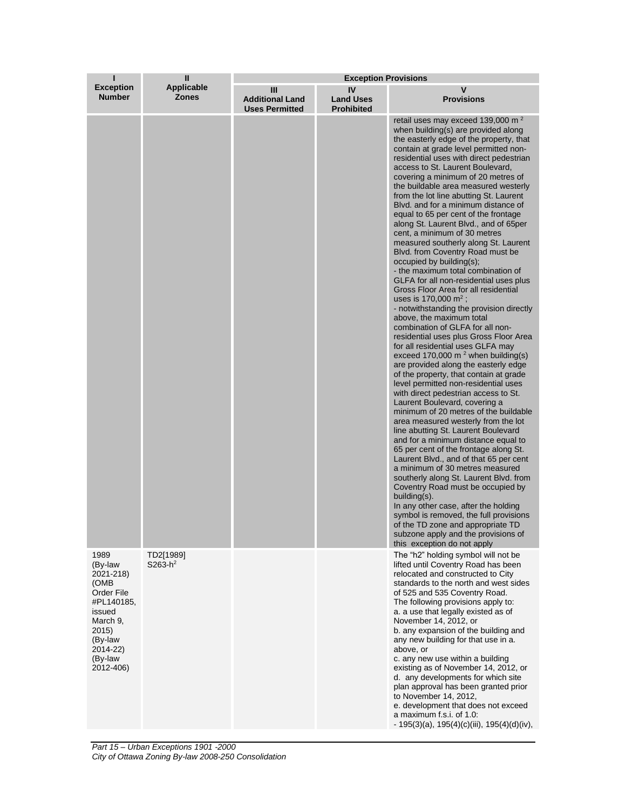| ı                                                                                                                                               | $\mathbf{I}$<br><b>Applicable</b><br><b>Zones</b> | <b>Exception Provisions</b>                          |                                             |                                                                                                                                                                                                                                                                                                                                                                                                                                                                                                                                                                                                                                                                                                                                                                                                                                                                                                                                                                                                                                                                                                                                                                                                                                                                                                                                                                                                                                                                                                                                                                                                                                                                                                                                                                                                                                    |  |
|-------------------------------------------------------------------------------------------------------------------------------------------------|---------------------------------------------------|------------------------------------------------------|---------------------------------------------|------------------------------------------------------------------------------------------------------------------------------------------------------------------------------------------------------------------------------------------------------------------------------------------------------------------------------------------------------------------------------------------------------------------------------------------------------------------------------------------------------------------------------------------------------------------------------------------------------------------------------------------------------------------------------------------------------------------------------------------------------------------------------------------------------------------------------------------------------------------------------------------------------------------------------------------------------------------------------------------------------------------------------------------------------------------------------------------------------------------------------------------------------------------------------------------------------------------------------------------------------------------------------------------------------------------------------------------------------------------------------------------------------------------------------------------------------------------------------------------------------------------------------------------------------------------------------------------------------------------------------------------------------------------------------------------------------------------------------------------------------------------------------------------------------------------------------------|--|
| <b>Exception</b><br><b>Number</b>                                                                                                               |                                                   | Ш<br><b>Additional Land</b><br><b>Uses Permitted</b> | IV<br><b>Land Uses</b><br><b>Prohibited</b> | v<br><b>Provisions</b>                                                                                                                                                                                                                                                                                                                                                                                                                                                                                                                                                                                                                                                                                                                                                                                                                                                                                                                                                                                                                                                                                                                                                                                                                                                                                                                                                                                                                                                                                                                                                                                                                                                                                                                                                                                                             |  |
|                                                                                                                                                 |                                                   |                                                      |                                             | retail uses may exceed 139,000 m <sup>2</sup><br>when building(s) are provided along<br>the easterly edge of the property, that<br>contain at grade level permitted non-<br>residential uses with direct pedestrian<br>access to St. Laurent Boulevard,<br>covering a minimum of 20 metres of<br>the buildable area measured westerly<br>from the lot line abutting St. Laurent<br>Blyd, and for a minimum distance of<br>equal to 65 per cent of the frontage<br>along St. Laurent Blvd., and of 65per<br>cent, a minimum of 30 metres<br>measured southerly along St. Laurent<br>Blvd. from Coventry Road must be<br>occupied by building(s);<br>- the maximum total combination of<br>GLFA for all non-residential uses plus<br>Gross Floor Area for all residential<br>uses is 170,000 $m^2$ ;<br>- notwithstanding the provision directly<br>above, the maximum total<br>combination of GLFA for all non-<br>residential uses plus Gross Floor Area<br>for all residential uses GLFA may<br>exceed 170,000 m <sup>2</sup> when building(s)<br>are provided along the easterly edge<br>of the property, that contain at grade<br>level permitted non-residential uses<br>with direct pedestrian access to St.<br>Laurent Boulevard, covering a<br>minimum of 20 metres of the buildable<br>area measured westerly from the lot<br>line abutting St. Laurent Boulevard<br>and for a minimum distance equal to<br>65 per cent of the frontage along St.<br>Laurent Blvd., and of that 65 per cent<br>a minimum of 30 metres measured<br>southerly along St. Laurent Blvd. from<br>Coventry Road must be occupied by<br>building(s).<br>In any other case, after the holding<br>symbol is removed, the full provisions<br>of the TD zone and appropriate TD<br>subzone apply and the provisions of<br>this exception do not apply |  |
| 1989<br>(By-law<br>2021-218)<br>(OMB)<br>Order File<br>#PL140185,<br>issued<br>March 9.<br>2015)<br>(By-law<br>2014-22)<br>(By-law<br>2012-406) | TD2[1989]<br>$S263-h^2$                           |                                                      |                                             | The "h2" holding symbol will not be<br>lifted until Coventry Road has been<br>relocated and constructed to City<br>standards to the north and west sides<br>of 525 and 535 Coventry Road.<br>The following provisions apply to:<br>a. a use that legally existed as of<br>November 14, 2012, or<br>b. any expansion of the building and<br>any new building for that use in a.<br>above, or<br>c. any new use within a building<br>existing as of November 14, 2012, or<br>d. any developments for which site<br>plan approval has been granted prior<br>to November 14, 2012,<br>e. development that does not exceed<br>a maximum f.s.i. of 1.0.<br>$-195(3)(a)$ , 195(4)(c)(iii), 195(4)(d)(iv),                                                                                                                                                                                                                                                                                                                                                                                                                                                                                                                                                                                                                                                                                                                                                                                                                                                                                                                                                                                                                                                                                                                                 |  |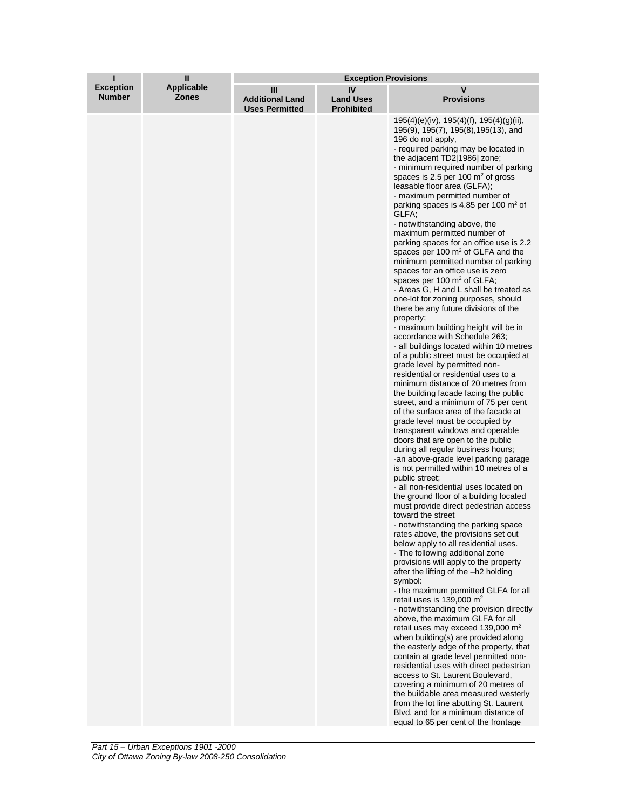| ı                                 | Ш                                 | <b>Exception Provisions</b>                          |                                             |                                                                                                                                                                                                                                                                                                                                                                                                                                                                                                                                                                                                                                                                                                                                                                                                                                                                                                                                                                                                                                                                                                                                                                                                                                                                                                                                                                                                                                                                                                                                                                                                                                                                                                                                                                                                                                                                                                                                                                                                                                                                                                                                                                                                                                                                                                                                                                                                                                                                                                                     |
|-----------------------------------|-----------------------------------|------------------------------------------------------|---------------------------------------------|---------------------------------------------------------------------------------------------------------------------------------------------------------------------------------------------------------------------------------------------------------------------------------------------------------------------------------------------------------------------------------------------------------------------------------------------------------------------------------------------------------------------------------------------------------------------------------------------------------------------------------------------------------------------------------------------------------------------------------------------------------------------------------------------------------------------------------------------------------------------------------------------------------------------------------------------------------------------------------------------------------------------------------------------------------------------------------------------------------------------------------------------------------------------------------------------------------------------------------------------------------------------------------------------------------------------------------------------------------------------------------------------------------------------------------------------------------------------------------------------------------------------------------------------------------------------------------------------------------------------------------------------------------------------------------------------------------------------------------------------------------------------------------------------------------------------------------------------------------------------------------------------------------------------------------------------------------------------------------------------------------------------------------------------------------------------------------------------------------------------------------------------------------------------------------------------------------------------------------------------------------------------------------------------------------------------------------------------------------------------------------------------------------------------------------------------------------------------------------------------------------------------|
| <b>Exception</b><br><b>Number</b> | <b>Applicable</b><br><b>Zones</b> | Ш<br><b>Additional Land</b><br><b>Uses Permitted</b> | IV<br><b>Land Uses</b><br><b>Prohibited</b> | ۷<br><b>Provisions</b>                                                                                                                                                                                                                                                                                                                                                                                                                                                                                                                                                                                                                                                                                                                                                                                                                                                                                                                                                                                                                                                                                                                                                                                                                                                                                                                                                                                                                                                                                                                                                                                                                                                                                                                                                                                                                                                                                                                                                                                                                                                                                                                                                                                                                                                                                                                                                                                                                                                                                              |
|                                   |                                   |                                                      |                                             | $195(4)(e)(iv)$ , $195(4)(f)$ , $195(4)(g)(ii)$ ,<br>195(9), 195(7), 195(8), 195(13), and<br>196 do not apply.<br>- required parking may be located in<br>the adjacent TD2[1986] zone;<br>- minimum required number of parking<br>spaces is 2.5 per 100 $m2$ of gross<br>leasable floor area (GLFA);<br>- maximum permitted number of<br>parking spaces is 4.85 per 100 $\mathrm{m}^2$ of<br>GLFA;<br>- notwithstanding above, the<br>maximum permitted number of<br>parking spaces for an office use is 2.2<br>spaces per 100 $m2$ of GLFA and the<br>minimum permitted number of parking<br>spaces for an office use is zero<br>spaces per 100 m <sup>2</sup> of GLFA;<br>- Areas G, H and L shall be treated as<br>one-lot for zoning purposes, should<br>there be any future divisions of the<br>property;<br>- maximum building height will be in<br>accordance with Schedule 263;<br>- all buildings located within 10 metres<br>of a public street must be occupied at<br>grade level by permitted non-<br>residential or residential uses to a<br>minimum distance of 20 metres from<br>the building facade facing the public<br>street, and a minimum of 75 per cent<br>of the surface area of the facade at<br>grade level must be occupied by<br>transparent windows and operable<br>doors that are open to the public<br>during all regular business hours;<br>-an above-grade level parking garage<br>is not permitted within 10 metres of a<br>public street:<br>- all non-residential uses located on<br>the ground floor of a building located<br>must provide direct pedestrian access<br>toward the street<br>- notwithstanding the parking space<br>rates above, the provisions set out<br>below apply to all residential uses.<br>- The following additional zone<br>provisions will apply to the property<br>after the lifting of the -h2 holding<br>symbol:<br>- the maximum permitted GLFA for all<br>retail uses is 139,000 m <sup>2</sup><br>- notwithstanding the provision directly<br>above, the maximum GLFA for all<br>retail uses may exceed 139,000 m <sup>2</sup><br>when building(s) are provided along<br>the easterly edge of the property, that<br>contain at grade level permitted non-<br>residential uses with direct pedestrian<br>access to St. Laurent Boulevard,<br>covering a minimum of 20 metres of<br>the buildable area measured westerly<br>from the lot line abutting St. Laurent<br>Blyd, and for a minimum distance of<br>equal to 65 per cent of the frontage |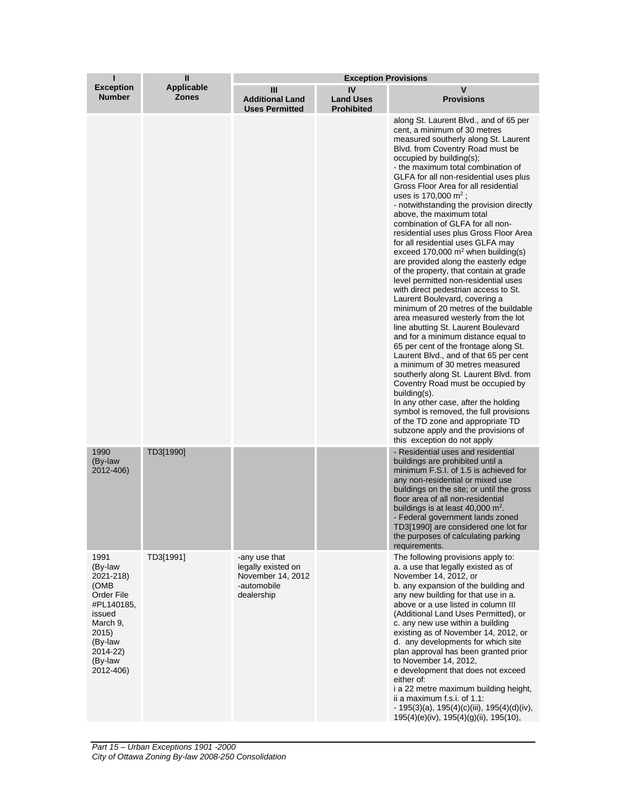| ī                                                                                                                                               | П                                 | <b>Exception Provisions</b>                                                           |                                             |                                                                                                                                                                                                                                                                                                                                                                                                                                                                                                                                                                                                                                                                                                                                                                                                                                                                                                                                                                                                                                                                                                                                                                                                                                                                                                                                                          |  |
|-------------------------------------------------------------------------------------------------------------------------------------------------|-----------------------------------|---------------------------------------------------------------------------------------|---------------------------------------------|----------------------------------------------------------------------------------------------------------------------------------------------------------------------------------------------------------------------------------------------------------------------------------------------------------------------------------------------------------------------------------------------------------------------------------------------------------------------------------------------------------------------------------------------------------------------------------------------------------------------------------------------------------------------------------------------------------------------------------------------------------------------------------------------------------------------------------------------------------------------------------------------------------------------------------------------------------------------------------------------------------------------------------------------------------------------------------------------------------------------------------------------------------------------------------------------------------------------------------------------------------------------------------------------------------------------------------------------------------|--|
| <b>Exception</b><br><b>Number</b>                                                                                                               | <b>Applicable</b><br><b>Zones</b> | Ш<br><b>Additional Land</b><br><b>Uses Permitted</b>                                  | IV<br><b>Land Uses</b><br><b>Prohibited</b> | v<br><b>Provisions</b>                                                                                                                                                                                                                                                                                                                                                                                                                                                                                                                                                                                                                                                                                                                                                                                                                                                                                                                                                                                                                                                                                                                                                                                                                                                                                                                                   |  |
|                                                                                                                                                 |                                   |                                                                                       |                                             | along St. Laurent Blvd., and of 65 per<br>cent, a minimum of 30 metres<br>measured southerly along St. Laurent<br>Blvd. from Coventry Road must be<br>occupied by building(s);<br>- the maximum total combination of<br>GLFA for all non-residential uses plus<br>Gross Floor Area for all residential<br>uses is 170,000 $m^2$ ;<br>- notwithstanding the provision directly<br>above, the maximum total<br>combination of GLFA for all non-<br>residential uses plus Gross Floor Area<br>for all residential uses GLFA may<br>exceed 170,000 $m^2$ when building(s)<br>are provided along the easterly edge<br>of the property, that contain at grade<br>level permitted non-residential uses<br>with direct pedestrian access to St.<br>Laurent Boulevard, covering a<br>minimum of 20 metres of the buildable<br>area measured westerly from the lot<br>line abutting St. Laurent Boulevard<br>and for a minimum distance equal to<br>65 per cent of the frontage along St.<br>Laurent Blvd., and of that 65 per cent<br>a minimum of 30 metres measured<br>southerly along St. Laurent Blvd. from<br>Coventry Road must be occupied by<br>building(s).<br>In any other case, after the holding<br>symbol is removed, the full provisions<br>of the TD zone and appropriate TD<br>subzone apply and the provisions of<br>this exception do not apply |  |
| 1990<br>(By-law<br>2012-406)                                                                                                                    | TD3[1990]                         |                                                                                       |                                             | - Residential uses and residential<br>buildings are prohibited until a<br>minimum F.S.I. of 1.5 is achieved for<br>any non-residential or mixed use<br>buildings on the site; or until the gross<br>floor area of all non-residential<br>buildings is at least 40,000 m <sup>2</sup> .<br>- Federal government lands zoned<br>TD3[1990] are considered one lot for<br>the purposes of calculating parking<br>requirements.                                                                                                                                                                                                                                                                                                                                                                                                                                                                                                                                                                                                                                                                                                                                                                                                                                                                                                                               |  |
| 1991<br>(By-law<br>2021-218)<br>(OMB)<br>Order File<br>#PL140185,<br>issued<br>March 9,<br>2015)<br>(By-law<br>2014-22)<br>(By-law<br>2012-406) | TD3[1991]                         | -any use that<br>legally existed on<br>November 14, 2012<br>-automobile<br>dealership |                                             | The following provisions apply to:<br>a. a use that legally existed as of<br>November 14, 2012, or<br>b. any expansion of the building and<br>any new building for that use in a.<br>above or a use listed in column III<br>(Additional Land Uses Permitted), or<br>c. any new use within a building<br>existing as of November 14, 2012, or<br>d. any developments for which site<br>plan approval has been granted prior<br>to November 14, 2012,<br>e development that does not exceed<br>either of:<br>i a 22 metre maximum building height,<br>ii a maximum f.s.i. of 1.1:<br>$-195(3)(a)$ , 195(4)(c)(iii), 195(4)(d)(iv),<br>195(4)(e)(iv), 195(4)(g)(ii), 195(10),                                                                                                                                                                                                                                                                                                                                                                                                                                                                                                                                                                                                                                                                               |  |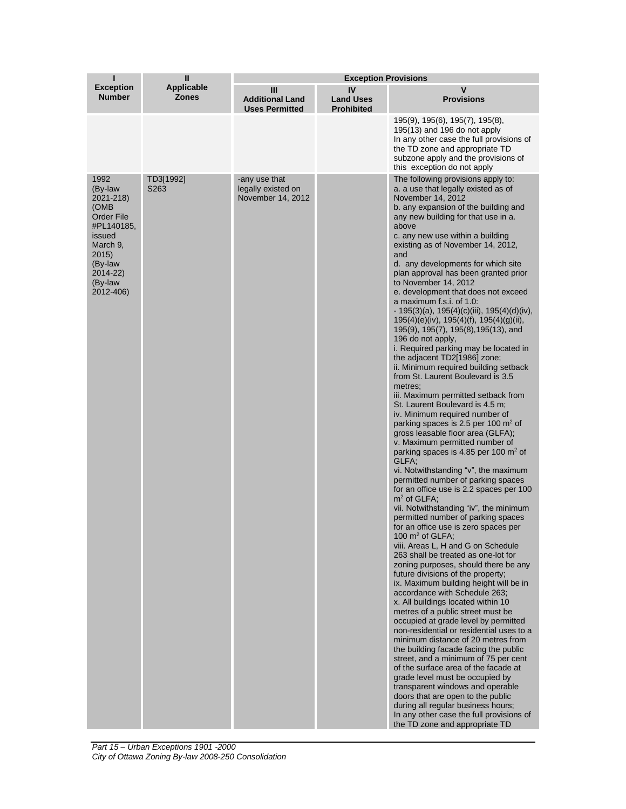| п                                                                                                                                                     | Ш                                 | <b>Exception Provisions</b>                              |                                             |                                                                                                                                                                                                                                                                                                                                                                                                                                                                                                                                                                                                                                                                                                                                                                                                                                                                                                                                                                                                                                                                                                                                                                                                                                                                                                                                                                                                                                                                                                                                                                                                                                                                                                                                                                                                                                                                                                                                                                                                                                                                                                                                                                          |  |
|-------------------------------------------------------------------------------------------------------------------------------------------------------|-----------------------------------|----------------------------------------------------------|---------------------------------------------|--------------------------------------------------------------------------------------------------------------------------------------------------------------------------------------------------------------------------------------------------------------------------------------------------------------------------------------------------------------------------------------------------------------------------------------------------------------------------------------------------------------------------------------------------------------------------------------------------------------------------------------------------------------------------------------------------------------------------------------------------------------------------------------------------------------------------------------------------------------------------------------------------------------------------------------------------------------------------------------------------------------------------------------------------------------------------------------------------------------------------------------------------------------------------------------------------------------------------------------------------------------------------------------------------------------------------------------------------------------------------------------------------------------------------------------------------------------------------------------------------------------------------------------------------------------------------------------------------------------------------------------------------------------------------------------------------------------------------------------------------------------------------------------------------------------------------------------------------------------------------------------------------------------------------------------------------------------------------------------------------------------------------------------------------------------------------------------------------------------------------------------------------------------------------|--|
| <b>Exception</b><br><b>Number</b>                                                                                                                     | <b>Applicable</b><br><b>Zones</b> | Ш<br><b>Additional Land</b><br><b>Uses Permitted</b>     | IV<br><b>Land Uses</b><br><b>Prohibited</b> | v<br><b>Provisions</b>                                                                                                                                                                                                                                                                                                                                                                                                                                                                                                                                                                                                                                                                                                                                                                                                                                                                                                                                                                                                                                                                                                                                                                                                                                                                                                                                                                                                                                                                                                                                                                                                                                                                                                                                                                                                                                                                                                                                                                                                                                                                                                                                                   |  |
|                                                                                                                                                       |                                   |                                                          |                                             | 195(9), 195(6), 195(7), 195(8),<br>195(13) and 196 do not apply<br>In any other case the full provisions of<br>the TD zone and appropriate TD<br>subzone apply and the provisions of<br>this exception do not apply                                                                                                                                                                                                                                                                                                                                                                                                                                                                                                                                                                                                                                                                                                                                                                                                                                                                                                                                                                                                                                                                                                                                                                                                                                                                                                                                                                                                                                                                                                                                                                                                                                                                                                                                                                                                                                                                                                                                                      |  |
| 1992<br>(By-law<br>2021-218)<br>(OMB<br><b>Order File</b><br>#PL140185,<br>issued<br>March 9,<br>2015)<br>(By-law<br>2014-22)<br>(By-law<br>2012-406) | TD3[1992]<br>S263                 | -any use that<br>legally existed on<br>November 14, 2012 |                                             | The following provisions apply to:<br>a. a use that legally existed as of<br>November 14, 2012<br>b. any expansion of the building and<br>any new building for that use in a.<br>above<br>c. any new use within a building<br>existing as of November 14, 2012,<br>and<br>d. any developments for which site<br>plan approval has been granted prior<br>to November 14, 2012<br>e. development that does not exceed<br>a maximum f.s.i. of 1.0.<br>$-195(3)(a)$ , 195(4)(c)(iii), 195(4)(d)(iv),<br>$195(4)(e)(iv)$ , $195(4)(f)$ , $195(4)(g)(ii)$ ,<br>195(9), 195(7), 195(8), 195(13), and<br>196 do not apply.<br>i. Required parking may be located in<br>the adjacent TD2[1986] zone;<br>ii. Minimum required building setback<br>from St. Laurent Boulevard is 3.5<br>metres;<br>iii. Maximum permitted setback from<br>St. Laurent Boulevard is 4.5 m;<br>iv. Minimum required number of<br>parking spaces is 2.5 per 100 $\mathrm{m}^2$ of<br>gross leasable floor area (GLFA);<br>v. Maximum permitted number of<br>parking spaces is 4.85 per 100 $m2$ of<br>GLFA;<br>vi. Notwithstanding "v", the maximum<br>permitted number of parking spaces<br>for an office use is 2.2 spaces per 100<br>$m2$ of GLFA;<br>vii. Notwithstanding "iv", the minimum<br>permitted number of parking spaces<br>for an office use is zero spaces per<br>100 $m^2$ of GLFA;<br>viii. Areas L, H and G on Schedule<br>263 shall be treated as one-lot for<br>zoning purposes, should there be any<br>future divisions of the property;<br>ix. Maximum building height will be in<br>accordance with Schedule 263;<br>x. All buildings located within 10<br>metres of a public street must be<br>occupied at grade level by permitted<br>non-residential or residential uses to a<br>minimum distance of 20 metres from<br>the building facade facing the public<br>street, and a minimum of 75 per cent<br>of the surface area of the facade at<br>grade level must be occupied by<br>transparent windows and operable<br>doors that are open to the public<br>during all regular business hours;<br>In any other case the full provisions of<br>the TD zone and appropriate TD |  |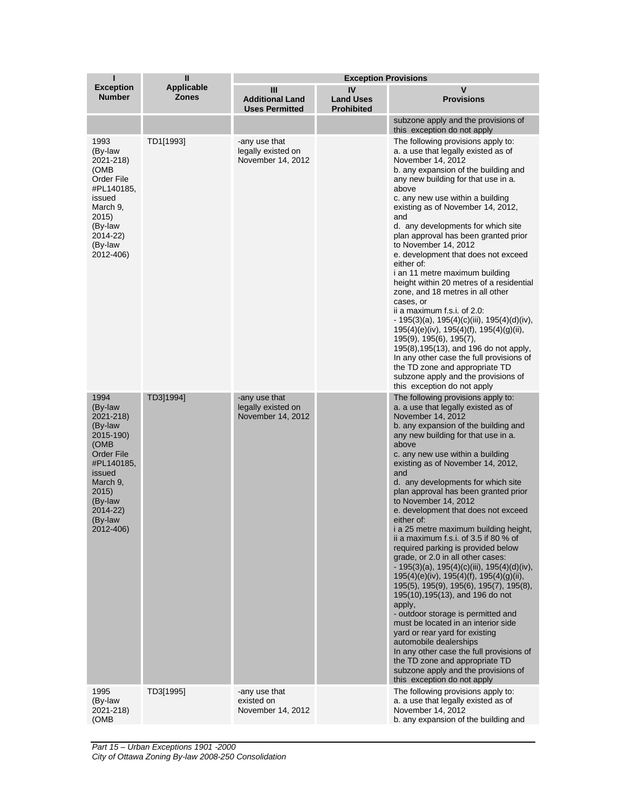| ī                                                                                                                                                                             | $\mathbf{I}$                      | <b>Exception Provisions</b>                              |                                             |                                                                                                                                                                                                                                                                                                                                                                                                                                                                                                                                                                                                                                                                                                                                                                                                                                                                                                                                                                                                                                                                                   |  |
|-------------------------------------------------------------------------------------------------------------------------------------------------------------------------------|-----------------------------------|----------------------------------------------------------|---------------------------------------------|-----------------------------------------------------------------------------------------------------------------------------------------------------------------------------------------------------------------------------------------------------------------------------------------------------------------------------------------------------------------------------------------------------------------------------------------------------------------------------------------------------------------------------------------------------------------------------------------------------------------------------------------------------------------------------------------------------------------------------------------------------------------------------------------------------------------------------------------------------------------------------------------------------------------------------------------------------------------------------------------------------------------------------------------------------------------------------------|--|
| <b>Exception</b><br><b>Number</b>                                                                                                                                             | <b>Applicable</b><br><b>Zones</b> | Ш<br><b>Additional Land</b><br><b>Uses Permitted</b>     | IV<br><b>Land Uses</b><br><b>Prohibited</b> | v<br><b>Provisions</b>                                                                                                                                                                                                                                                                                                                                                                                                                                                                                                                                                                                                                                                                                                                                                                                                                                                                                                                                                                                                                                                            |  |
|                                                                                                                                                                               |                                   |                                                          |                                             | subzone apply and the provisions of<br>this exception do not apply                                                                                                                                                                                                                                                                                                                                                                                                                                                                                                                                                                                                                                                                                                                                                                                                                                                                                                                                                                                                                |  |
| 1993<br>(By-law<br>2021-218)<br>(OMB<br>Order File<br>#PL140185,<br>issued<br>March 9,<br>2015)<br>(By-law<br>2014-22)<br>(By-law<br>2012-406)                                | TD1[1993]                         | -any use that<br>legally existed on<br>November 14, 2012 |                                             | The following provisions apply to:<br>a. a use that legally existed as of<br>November 14, 2012<br>b. any expansion of the building and<br>any new building for that use in a.<br>above<br>c. any new use within a building<br>existing as of November 14, 2012,<br>and<br>d. any developments for which site<br>plan approval has been granted prior<br>to November 14, 2012<br>e. development that does not exceed<br>either of:<br>i an 11 metre maximum building<br>height within 20 metres of a residential<br>zone, and 18 metres in all other<br>cases, or<br>ii a maximum f.s.i. of 2.0:<br>$-195(3)(a)$ , 195(4)(c)(iii), 195(4)(d)(iv),<br>$195(4)(e)(iv)$ , $195(4)(f)$ , $195(4)(g)(ii)$ ,<br>195(9), 195(6), 195(7),<br>195(8), 195(13), and 196 do not apply,<br>In any other case the full provisions of<br>the TD zone and appropriate TD<br>subzone apply and the provisions of<br>this exception do not apply                                                                                                                                                    |  |
| 1994<br>(By-law<br>2021-218)<br>(By-law<br>2015-190)<br>(OMB<br><b>Order File</b><br>#PL140185,<br>issued<br>March 9,<br>2015)<br>(By-law<br>2014-22)<br>(By-law<br>2012-406) | TD3]1994]                         | -any use that<br>legally existed on<br>November 14, 2012 |                                             | The following provisions apply to:<br>a. a use that legally existed as of<br>November 14, 2012<br>b. any expansion of the building and<br>any new building for that use in a.<br>above<br>c. any new use within a building<br>existing as of November 14, 2012,<br>and<br>d. any developments for which site<br>plan approval has been granted prior<br>to November 14, 2012<br>e. development that does not exceed<br>either of:<br>i a 25 metre maximum building height,<br>ii a maximum f.s.i. of 3.5 if 80 % of<br>required parking is provided below<br>grade, or 2.0 in all other cases:<br>$-195(3)(a)$ , 195(4)(c)(iii), 195(4)(d)(iv),<br>195(4)(e)(iv), 195(4)(f), 195(4)(g)(ii),<br>195(5), 195(9), 195(6), 195(7), 195(8),<br>195(10), 195(13), and 196 do not<br>apply,<br>- outdoor storage is permitted and<br>must be located in an interior side<br>yard or rear yard for existing<br>automobile dealerships<br>In any other case the full provisions of<br>the TD zone and appropriate TD<br>subzone apply and the provisions of<br>this exception do not apply |  |
| 1995<br>(By-law<br>2021-218)<br>(OMB                                                                                                                                          | TD3[1995]                         | -any use that<br>existed on<br>November 14, 2012         |                                             | The following provisions apply to:<br>a. a use that legally existed as of<br>November 14, 2012<br>b. any expansion of the building and                                                                                                                                                                                                                                                                                                                                                                                                                                                                                                                                                                                                                                                                                                                                                                                                                                                                                                                                            |  |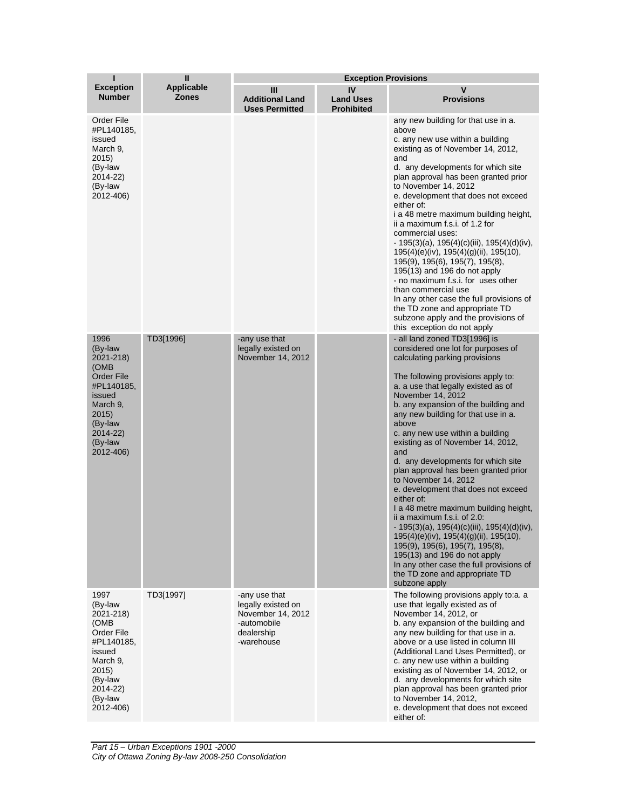| ī                                                                                                                                                     | $\mathbf{I}$                      | <b>Exception Provisions</b>                                                                         |                                             |                                                                                                                                                                                                                                                                                                                                                                                                                                                                                                                                                                                                                                                                                                                                                                                                                                                                                 |  |
|-------------------------------------------------------------------------------------------------------------------------------------------------------|-----------------------------------|-----------------------------------------------------------------------------------------------------|---------------------------------------------|---------------------------------------------------------------------------------------------------------------------------------------------------------------------------------------------------------------------------------------------------------------------------------------------------------------------------------------------------------------------------------------------------------------------------------------------------------------------------------------------------------------------------------------------------------------------------------------------------------------------------------------------------------------------------------------------------------------------------------------------------------------------------------------------------------------------------------------------------------------------------------|--|
| <b>Exception</b><br><b>Number</b>                                                                                                                     | <b>Applicable</b><br><b>Zones</b> | Ш<br><b>Additional Land</b><br><b>Uses Permitted</b>                                                | IV<br><b>Land Uses</b><br><b>Prohibited</b> | v<br><b>Provisions</b>                                                                                                                                                                                                                                                                                                                                                                                                                                                                                                                                                                                                                                                                                                                                                                                                                                                          |  |
| Order File<br>#PL140185,<br>issued<br>March 9,<br>2015)<br>(By-law<br>2014-22)<br>(By-law<br>2012-406)                                                |                                   |                                                                                                     |                                             | any new building for that use in a.<br>above<br>c. any new use within a building<br>existing as of November 14, 2012,<br>and<br>d. any developments for which site<br>plan approval has been granted prior<br>to November 14, 2012<br>e. development that does not exceed<br>either of:<br>i a 48 metre maximum building height,<br>ii a maximum f.s.i. of 1.2 for<br>commercial uses:<br>$-195(3)(a)$ , 195(4)(c)(iii), 195(4)(d)(iv),<br>195(4)(e)(iv), 195(4)(g)(ii), 195(10),<br>195(9), 195(6), 195(7), 195(8),<br>$195(13)$ and 196 do not apply<br>- no maximum f.s.i. for uses other<br>than commercial use<br>In any other case the full provisions of<br>the TD zone and appropriate TD<br>subzone apply and the provisions of<br>this exception do not apply                                                                                                         |  |
| 1996<br>(By-law<br>2021-218)<br>(OMB<br><b>Order File</b><br>#PL140185,<br>issued<br>March 9,<br>2015)<br>(By-law<br>2014-22)<br>(By-law<br>2012-406) | TD3[1996]                         | -any use that<br>legally existed on<br>November 14, 2012                                            |                                             | - all land zoned TD3[1996] is<br>considered one lot for purposes of<br>calculating parking provisions<br>The following provisions apply to:<br>a. a use that legally existed as of<br>November 14, 2012<br>b. any expansion of the building and<br>any new building for that use in a.<br>above<br>c. any new use within a building<br>existing as of November 14, 2012,<br>and<br>d. any developments for which site<br>plan approval has been granted prior<br>to November 14, 2012<br>e. development that does not exceed<br>either of:<br>I a 48 metre maximum building height,<br>ii a maximum f.s.i. of 2.0:<br>$-195(3)(a)$ , 195(4)(c)(iii), 195(4)(d)(iv),<br>195(4)(e)(iv), 195(4)(g)(ii), 195(10),<br>195(9), 195(6), 195(7), 195(8),<br>195(13) and 196 do not apply<br>In any other case the full provisions of<br>the TD zone and appropriate TD<br>subzone apply |  |
| 1997<br>(By-law<br>2021-218)<br>(OMB<br>Order File<br>#PL140185,<br>issued<br>March 9.<br>2015)<br>(By-law<br>2014-22)<br>(By-law<br>2012-406)        | TD3[1997]                         | -any use that<br>legally existed on<br>November 14, 2012<br>-automobile<br>dealership<br>-warehouse |                                             | The following provisions apply to:a. a<br>use that legally existed as of<br>November 14, 2012, or<br>b. any expansion of the building and<br>any new building for that use in a.<br>above or a use listed in column III<br>(Additional Land Uses Permitted), or<br>c. any new use within a building<br>existing as of November 14, 2012, or<br>d. any developments for which site<br>plan approval has been granted prior<br>to November 14, 2012,<br>e. development that does not exceed<br>either of:                                                                                                                                                                                                                                                                                                                                                                         |  |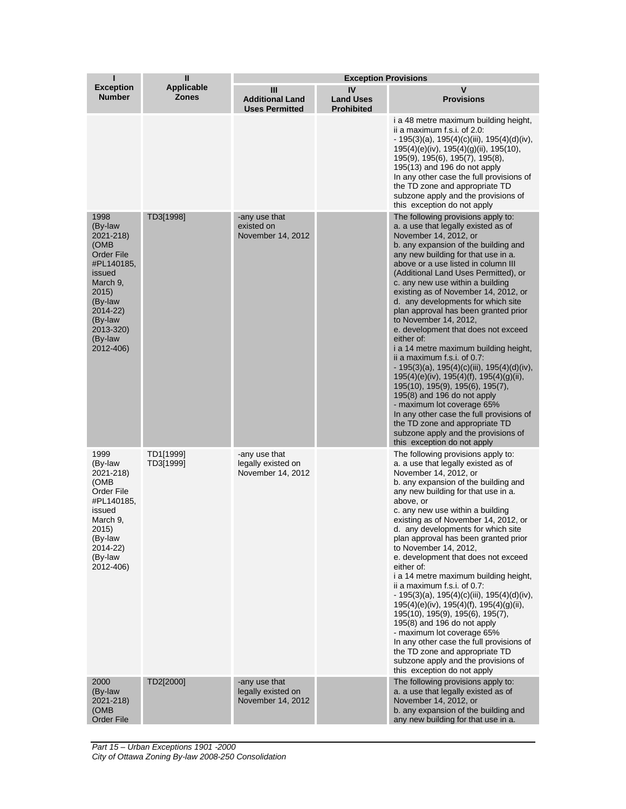| ı                                                                                                                                                                              | $\mathbf{I}$                      | <b>Exception Provisions</b>                              |                                             |                                                                                                                                                                                                                                                                                                                                                                                                                                                                                                                                                                                                                                                                                                                                                                                                                                                                                                                                               |  |
|--------------------------------------------------------------------------------------------------------------------------------------------------------------------------------|-----------------------------------|----------------------------------------------------------|---------------------------------------------|-----------------------------------------------------------------------------------------------------------------------------------------------------------------------------------------------------------------------------------------------------------------------------------------------------------------------------------------------------------------------------------------------------------------------------------------------------------------------------------------------------------------------------------------------------------------------------------------------------------------------------------------------------------------------------------------------------------------------------------------------------------------------------------------------------------------------------------------------------------------------------------------------------------------------------------------------|--|
| <b>Exception</b><br><b>Number</b>                                                                                                                                              | <b>Applicable</b><br><b>Zones</b> | Ш<br><b>Additional Land</b><br><b>Uses Permitted</b>     | IV<br><b>Land Uses</b><br><b>Prohibited</b> | v<br><b>Provisions</b>                                                                                                                                                                                                                                                                                                                                                                                                                                                                                                                                                                                                                                                                                                                                                                                                                                                                                                                        |  |
|                                                                                                                                                                                |                                   |                                                          |                                             | i a 48 metre maximum building height,<br>ii a maximum f.s.i. of $2.0$ :<br>$-195(3)(a)$ , 195(4)(c)(iii), 195(4)(d)(iv),<br>$195(4)(e)(iv)$ , $195(4)(g)(ii)$ , $195(10)$ ,<br>195(9), 195(6), 195(7), 195(8),<br>$195(13)$ and 196 do not apply<br>In any other case the full provisions of<br>the TD zone and appropriate TD<br>subzone apply and the provisions of<br>this exception do not apply                                                                                                                                                                                                                                                                                                                                                                                                                                                                                                                                          |  |
| 1998<br>(By-law<br>2021-218)<br>(OMB)<br><b>Order File</b><br>#PL140185,<br>issued<br>March 9,<br>2015)<br>(By-law<br>2014-22)<br>(By-law<br>2013-320)<br>(By-law<br>2012-406) | TD3[1998]                         | -any use that<br>existed on<br>November 14, 2012         |                                             | The following provisions apply to:<br>a. a use that legally existed as of<br>November 14, 2012, or<br>b. any expansion of the building and<br>any new building for that use in a.<br>above or a use listed in column III<br>(Additional Land Uses Permitted), or<br>c. any new use within a building<br>existing as of November 14, 2012, or<br>d. any developments for which site<br>plan approval has been granted prior<br>to November 14, 2012,<br>e. development that does not exceed<br>either of:<br>i a 14 metre maximum building height,<br>ii a maximum f.s.i. of 0.7:<br>$-195(3)(a)$ , 195(4)(c)(iii), 195(4)(d)(iv),<br>$195(4)(e)(iv)$ , $195(4)(f)$ , $195(4)(g)(ii)$ ,<br>195(10), 195(9), 195(6), 195(7),<br>$195(8)$ and 196 do not apply<br>- maximum lot coverage 65%<br>In any other case the full provisions of<br>the TD zone and appropriate TD<br>subzone apply and the provisions of<br>this exception do not apply |  |
| 1999<br>(By-law<br>2021-218)<br>(OMB)<br>Order File<br>#PL140185,<br>issued<br>March 9,<br>2015)<br>(By-law<br>2014-22)<br>(By-law<br>2012-406)                                | TD1[1999]<br>TD3[1999]            | -any use that<br>legally existed on<br>November 14, 2012 |                                             | The following provisions apply to:<br>a. a use that legally existed as of<br>November 14, 2012, or<br>b. any expansion of the building and<br>any new building for that use in a.<br>above, or<br>c. any new use within a building<br>existing as of November 14, 2012, or<br>d. any developments for which site<br>plan approval has been granted prior<br>to November 14, 2012,<br>e. development that does not exceed<br>either of:<br>i a 14 metre maximum building height,<br>ii a maximum f.s.i. of 0.7:<br>$-195(3)(a)$ , 195(4)(c)(iii), 195(4)(d)(iv),<br>195(4)(e)(iv), 195(4)(f), 195(4)(g)(ii),<br>195(10), 195(9), 195(6), 195(7),<br>195(8) and 196 do not apply<br>- maximum lot coverage 65%<br>In any other case the full provisions of<br>the TD zone and appropriate TD<br>subzone apply and the provisions of<br>this exception do not apply                                                                              |  |
| 2000<br>(By-law<br>2021-218)<br>(OMB<br>Order File                                                                                                                             | TD2[2000]                         | -any use that<br>legally existed on<br>November 14, 2012 |                                             | The following provisions apply to:<br>a. a use that legally existed as of<br>November 14, 2012, or<br>b. any expansion of the building and<br>any new building for that use in a.                                                                                                                                                                                                                                                                                                                                                                                                                                                                                                                                                                                                                                                                                                                                                             |  |